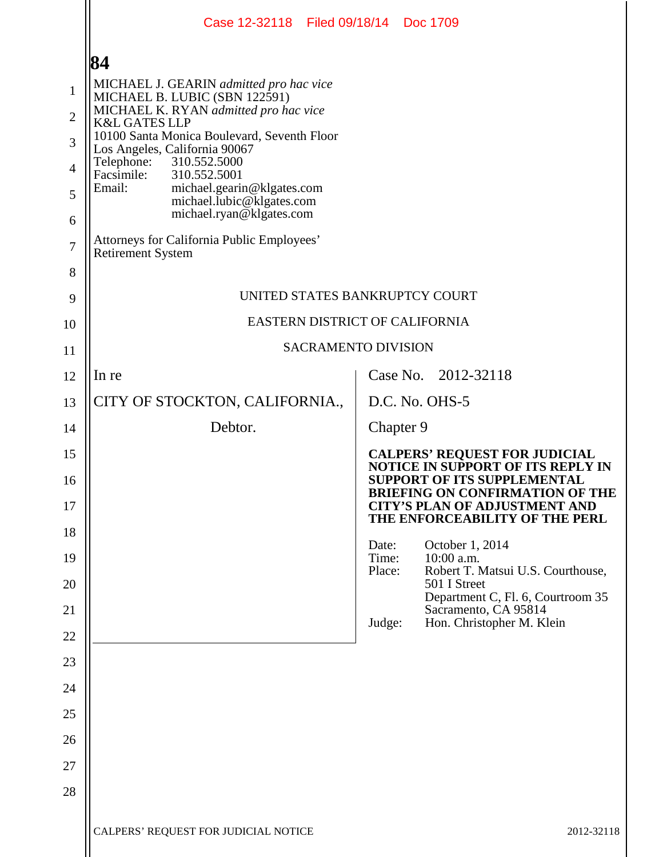|                     | Case 12-32118 Filed 09/18/14 Doc 1709                                                         |                                                                                                                          |
|---------------------|-----------------------------------------------------------------------------------------------|--------------------------------------------------------------------------------------------------------------------------|
|                     | 84                                                                                            |                                                                                                                          |
| $\mathbf{1}$        | MICHAEL J. GEARIN admitted pro hac vice<br>MICHAEL B. LUBIC (SBN 122591)                      |                                                                                                                          |
| $\overline{2}$      | MICHAEL K. RYAN admitted pro hac vice<br><b>K&amp;L GATES LLP</b>                             |                                                                                                                          |
| 3                   | 10100 Santa Monica Boulevard, Seventh Floor<br>Los Angeles, California 90067                  |                                                                                                                          |
| $\overline{4}$      | 310.552.5000<br>Telephone:<br>Facsimile:<br>310.552.5001                                      |                                                                                                                          |
| 5                   | Email:<br>michael.gearin@klgates.com<br>michael.lubic@klgates.com<br>michael.ryan@klgates.com |                                                                                                                          |
| 6                   | Attorneys for California Public Employees'                                                    |                                                                                                                          |
| $\overline{7}$<br>8 | <b>Retirement System</b>                                                                      |                                                                                                                          |
| 9                   |                                                                                               | UNITED STATES BANKRUPTCY COURT                                                                                           |
| 10                  |                                                                                               | EASTERN DISTRICT OF CALIFORNIA                                                                                           |
| 11                  |                                                                                               | <b>SACRAMENTO DIVISION</b>                                                                                               |
| 12                  | In re                                                                                         | Case No. 2012-32118                                                                                                      |
| 13                  | CITY OF STOCKTON, CALIFORNIA.,                                                                | D.C. No. OHS-5                                                                                                           |
| 14                  | Debtor.                                                                                       | Chapter 9                                                                                                                |
| 15                  |                                                                                               | <b>CALPERS' REQUEST FOR JUDICIAL</b>                                                                                     |
| 16                  |                                                                                               | <b>NOTICE IN SUPPORT OF ITS REPLY IN</b><br><b>SUPPORT OF ITS SUPPLEMENTAL</b><br><b>BRIEFING ON CONFIRMATION OF THE</b> |
| 17                  |                                                                                               | <b>CITY'S PLAN OF ADJUSTMENT AND</b><br>THE ENFORCEABILITY OF THE PERL                                                   |
| 18                  |                                                                                               | October 1, 2014<br>Date:                                                                                                 |
| 19                  |                                                                                               | Time:<br>$10:00$ a.m.<br>Place:<br>Robert T. Matsui U.S. Courthouse,                                                     |
| 20                  |                                                                                               | 501 I Street<br>Department C, Fl. 6, Courtroom 35                                                                        |
| 21                  |                                                                                               | Sacramento, CA 95814<br>Hon. Christopher M. Klein<br>Judge:                                                              |
| 22                  |                                                                                               |                                                                                                                          |
| 23                  |                                                                                               |                                                                                                                          |
| 24                  |                                                                                               |                                                                                                                          |
| 25                  |                                                                                               |                                                                                                                          |
| 26                  |                                                                                               |                                                                                                                          |
| 27                  |                                                                                               |                                                                                                                          |
| 28                  |                                                                                               |                                                                                                                          |
|                     | CALPERS' REQUEST FOR JUDICIAL NOTICE                                                          | 2012-32118                                                                                                               |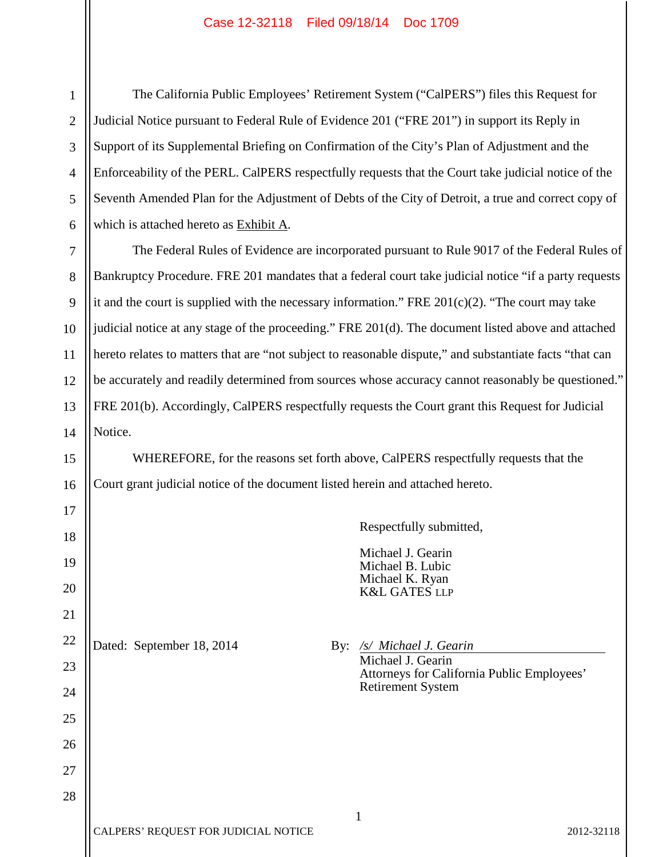1 2 3 4 5 6 The California Public Employees' Retirement System ("CalPERS") files this Request for Judicial Notice pursuant to Federal Rule of Evidence 201 ("FRE 201") in support its Reply in Support of its Supplemental Briefing on Confirmation of the City's Plan of Adjustment and the Enforceability of the PERL. CalPERS respectfully requests that the Court take judicial notice of the Seventh Amended Plan for the Adjustment of Debts of the City of Detroit, a true and correct copy of which is attached hereto as Exhibit A.

12 13 14 The Federal Rules of Evidence are incorporated pursuant to Rule 9017 of the Federal Rules of Bankruptcy Procedure. FRE 201 mandates that a federal court take judicial notice "if a party requests it and the court is supplied with the necessary information." FRE 201(c)(2). "The court may take judicial notice at any stage of the proceeding." FRE 201(d). The document listed above and attached hereto relates to matters that are "not subject to reasonable dispute," and substantiate facts "that can be accurately and readily determined from sources whose accuracy cannot reasonably be questioned." FRE 201(b). Accordingly, CalPERS respectfully requests the Court grant this Request for Judicial Notice.

WHEREFORE, for the reasons set forth above, CalPERS respectfully requests that the Court grant judicial notice of the document listed herein and attached hereto.

Respectfully submitted,

Michael J. Gearin Michael B. Lubic Michael K. Ryan K&L GATES LLP

Dated: September 18, 2014 By: /s/ Michael J. Gearin

7

8

9

10

11

15

16

17

18

19

20

21

22

23

24

25

26

27

28

Michael J. Gearin Attorneys for California Public Employees' Retirement System

# 1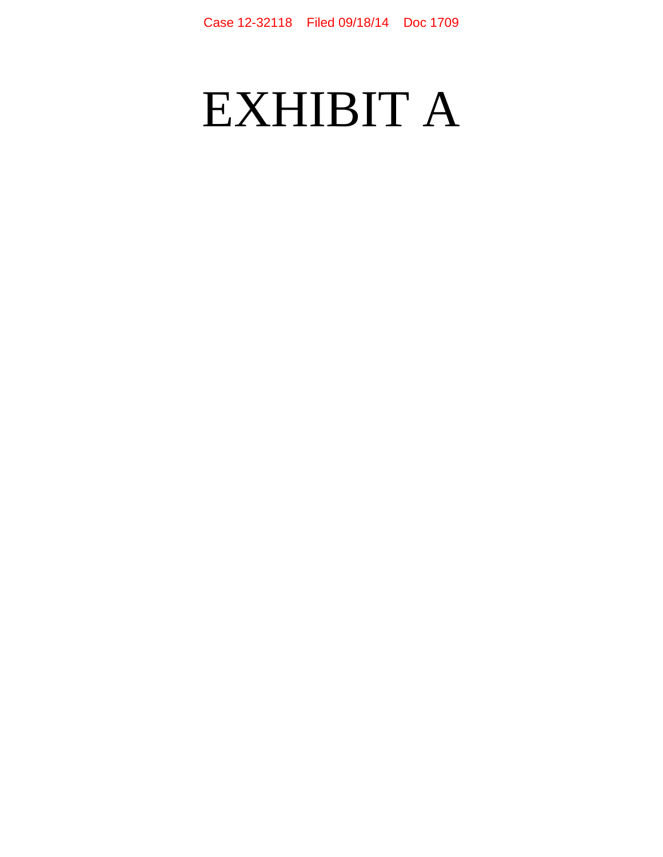# EXHIBIT A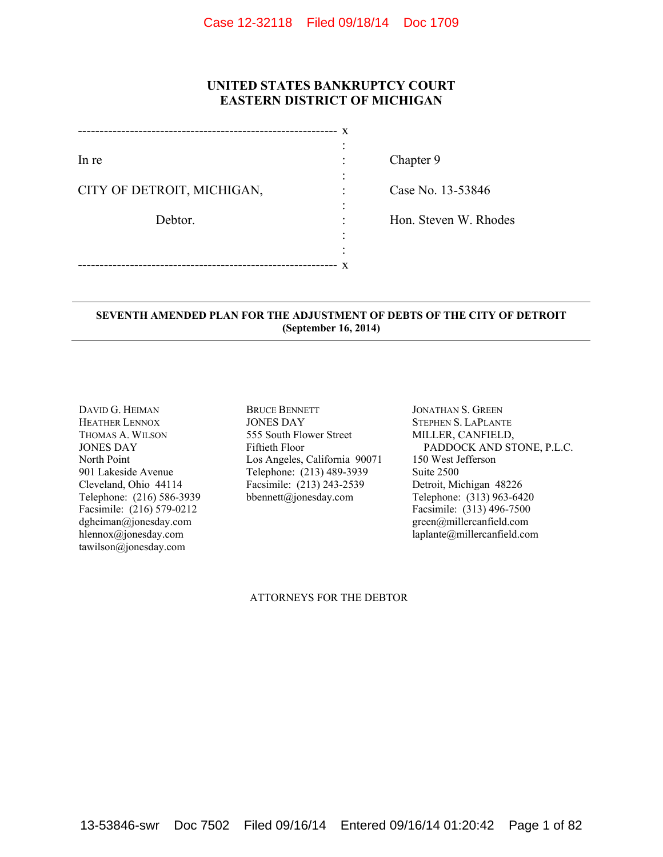# **UNITED STATES BANKRUPTCY COURT EASTERN DISTRICT OF MICHIGAN**

|                            | x |
|----------------------------|---|
|                            |   |
| In re                      |   |
|                            |   |
| CITY OF DETROIT, MICHIGAN, |   |
|                            |   |
| Debtor.                    |   |
|                            |   |
|                            |   |
|                            | X |

Chapter 9

Case No. 13-53846

Hon. Steven W. Rhodes

## **SEVENTH AMENDED PLAN FOR THE ADJUSTMENT OF DEBTS OF THE CITY OF DETROIT (September 16, 2014)**

DAVID G. HEIMAN HEATHER LENNOX THOMAS A. WILSON JONES DAY North Point 901 Lakeside Avenue Cleveland, Ohio 44114 Telephone: (216) 586-3939 Facsimile: (216) 579-0212 dgheiman@jonesday.com hlennox@jonesday.com tawilson@jonesday.com

BRUCE BENNETT JONES DAY 555 South Flower Street Fiftieth Floor Los Angeles, California 90071 Telephone: (213) 489-3939 Facsimile: (213) 243-2539 bbennett@jonesday.com

JONATHAN S. GREEN STEPHEN S. LAPLANTE MILLER, CANFIELD, PADDOCK AND STONE, P.L.C. 150 West Jefferson Suite 2500 Detroit, Michigan 48226 Telephone: (313) 963-6420 Facsimile: (313) 496-7500 green@millercanfield.com laplante@millercanfield.com

#### ATTORNEYS FOR THE DEBTOR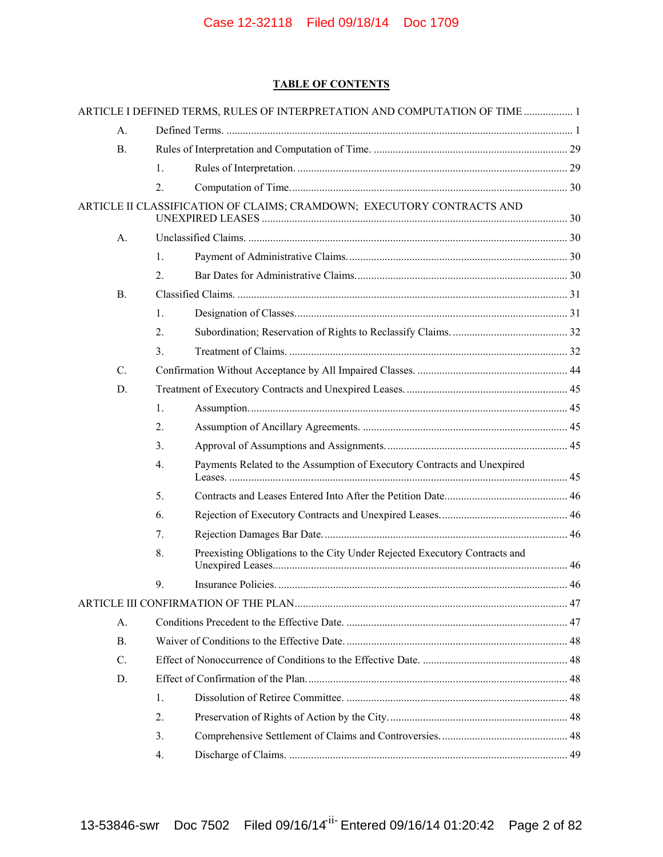# **TABLE OF CONTENTS**

|                |                | ARTICLE I DEFINED TERMS, RULES OF INTERPRETATION AND COMPUTATION OF TIME  1 |  |
|----------------|----------------|-----------------------------------------------------------------------------|--|
| А.             |                |                                                                             |  |
| <b>B.</b>      |                |                                                                             |  |
|                | $\mathbf{1}$ . |                                                                             |  |
|                | 2.             |                                                                             |  |
|                |                | ARTICLE II CLASSIFICATION OF CLAIMS; CRAMDOWN; EXECUTORY CONTRACTS AND      |  |
| A <sub>1</sub> |                |                                                                             |  |
|                | 1.             |                                                                             |  |
|                | 2.             |                                                                             |  |
| B <sub>1</sub> |                |                                                                             |  |
|                | 1.             |                                                                             |  |
|                | 2.             |                                                                             |  |
|                | 3.             |                                                                             |  |
| C.             |                |                                                                             |  |
| D.             |                |                                                                             |  |
|                | 1.             |                                                                             |  |
|                | 2.             |                                                                             |  |
|                | 3.             |                                                                             |  |
|                | 4.             | Payments Related to the Assumption of Executory Contracts and Unexpired     |  |
|                | 5.             |                                                                             |  |
|                | 6.             |                                                                             |  |
|                | 7.             |                                                                             |  |
|                | 8.             | Preexisting Obligations to the City Under Rejected Executory Contracts and  |  |
|                | 9.             |                                                                             |  |
|                |                |                                                                             |  |
| $A_{\cdot}$    |                |                                                                             |  |
| $\mathbf{B}$ . |                |                                                                             |  |
| C.             |                |                                                                             |  |
| D.             |                |                                                                             |  |
|                | 1.             |                                                                             |  |
|                | 2.             |                                                                             |  |
|                | 3.             |                                                                             |  |
|                | 4.             |                                                                             |  |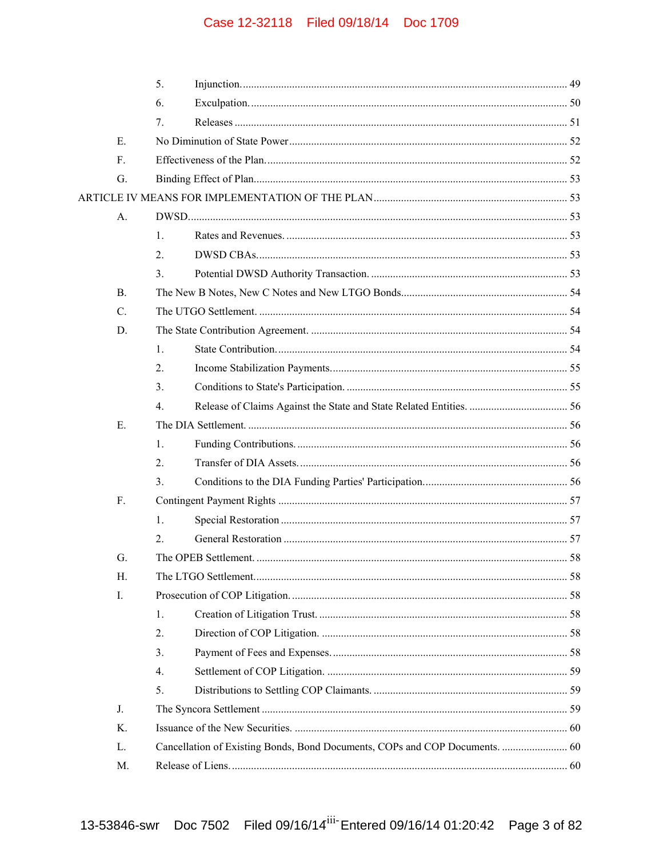|                 | 5.               |                                                                             |     |  |
|-----------------|------------------|-----------------------------------------------------------------------------|-----|--|
|                 | 6.               |                                                                             |     |  |
|                 | 7.               |                                                                             |     |  |
| Е.              |                  |                                                                             |     |  |
| $F_{\cdot}$     |                  |                                                                             |     |  |
| G.              |                  |                                                                             |     |  |
|                 |                  |                                                                             |     |  |
| A.              |                  |                                                                             |     |  |
|                 | 1.               |                                                                             |     |  |
|                 | 2.               |                                                                             |     |  |
|                 | $\mathfrak{Z}$ . |                                                                             |     |  |
| <b>B.</b>       |                  |                                                                             |     |  |
| $\mathcal{C}$ . |                  |                                                                             |     |  |
| D.              |                  |                                                                             |     |  |
|                 | 1.               |                                                                             |     |  |
|                 | 2.               |                                                                             |     |  |
|                 | 3.               |                                                                             |     |  |
|                 | $4_{\cdot}$      |                                                                             |     |  |
| Е.              |                  |                                                                             |     |  |
|                 | $\mathbf{1}$ .   |                                                                             |     |  |
|                 | 2.               |                                                                             |     |  |
|                 | 3.               |                                                                             |     |  |
| F.              |                  |                                                                             |     |  |
|                 | 1.               |                                                                             |     |  |
|                 | 2.               |                                                                             |     |  |
| G               |                  | The OPEB Settlement                                                         | .58 |  |
| H.              |                  |                                                                             |     |  |
| Ι.              |                  |                                                                             |     |  |
|                 | 1.               |                                                                             |     |  |
|                 | 2.               |                                                                             |     |  |
|                 | 3.               |                                                                             |     |  |
|                 | 4.               |                                                                             |     |  |
|                 | 5.               |                                                                             |     |  |
| J.              |                  |                                                                             |     |  |
| K.              |                  |                                                                             |     |  |
| L.              |                  | Cancellation of Existing Bonds, Bond Documents, COPs and COP Documents.  60 |     |  |
| M.              |                  |                                                                             |     |  |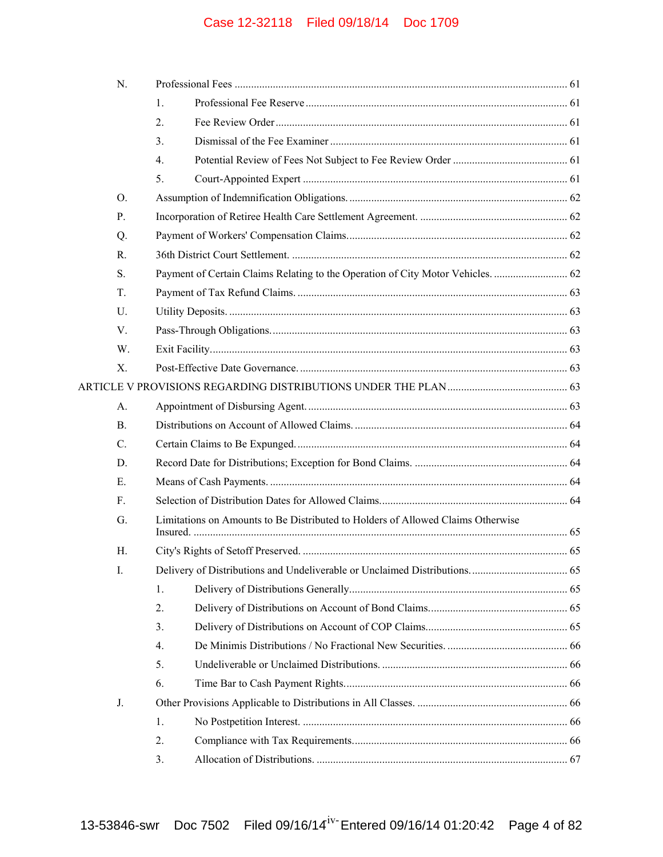| N.        |                                                                                 |  |  |
|-----------|---------------------------------------------------------------------------------|--|--|
|           | 1.                                                                              |  |  |
|           | 2.                                                                              |  |  |
|           | 3 <sub>1</sub>                                                                  |  |  |
|           | $\overline{4}$ .                                                                |  |  |
|           | 5.                                                                              |  |  |
| O.        |                                                                                 |  |  |
| P.        |                                                                                 |  |  |
| Q.        |                                                                                 |  |  |
| R.        |                                                                                 |  |  |
| S.        |                                                                                 |  |  |
| T.        |                                                                                 |  |  |
| U.        |                                                                                 |  |  |
| V.        |                                                                                 |  |  |
| W.        |                                                                                 |  |  |
| Χ.        |                                                                                 |  |  |
|           |                                                                                 |  |  |
| A.        |                                                                                 |  |  |
| <b>B.</b> |                                                                                 |  |  |
| C.        |                                                                                 |  |  |
| D.        |                                                                                 |  |  |
| Е.        |                                                                                 |  |  |
| F.        |                                                                                 |  |  |
| G.        | Limitations on Amounts to Be Distributed to Holders of Allowed Claims Otherwise |  |  |
| Н.        |                                                                                 |  |  |
| I.        |                                                                                 |  |  |
|           | 1.                                                                              |  |  |
|           | 2.                                                                              |  |  |
|           | 3.                                                                              |  |  |
|           | $\overline{4}$ .                                                                |  |  |
|           | 5.                                                                              |  |  |
|           | 6.                                                                              |  |  |
| J.        |                                                                                 |  |  |
|           | 1.                                                                              |  |  |
|           | 2.                                                                              |  |  |
|           | 3.                                                                              |  |  |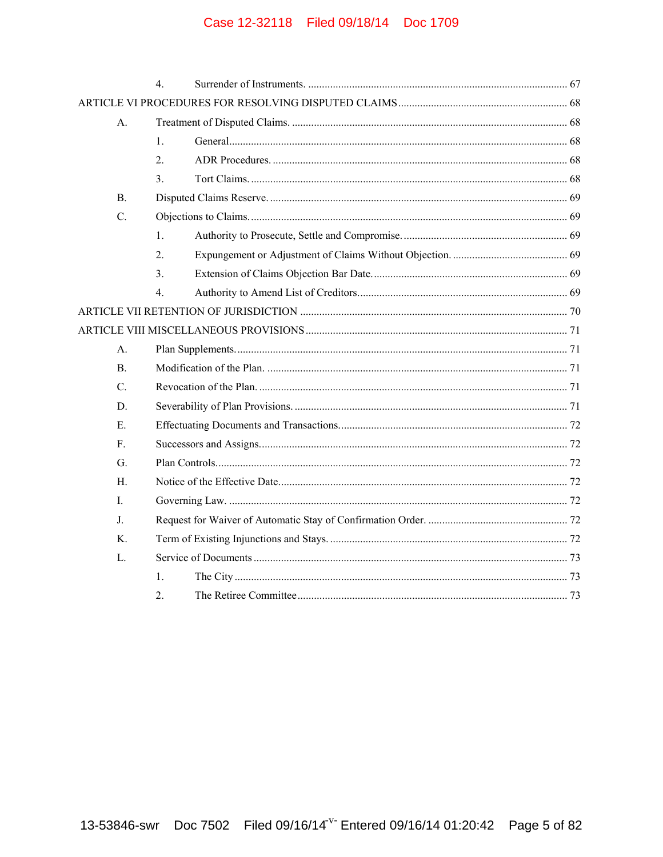|                | $\overline{4}$   |  |
|----------------|------------------|--|
|                |                  |  |
| A.             |                  |  |
|                | 1.               |  |
|                | 2.               |  |
|                | 3.               |  |
| $\mathbf{B}$ . |                  |  |
| $C_{\cdot}$    |                  |  |
|                | $1_{\cdot}$      |  |
|                | 2.               |  |
|                | 3.               |  |
|                | $\overline{4}$ . |  |
|                |                  |  |
|                |                  |  |
| A.             |                  |  |
| <sub>B</sub>   |                  |  |
| $C_{\cdot}$    |                  |  |
| D.             |                  |  |
| Е.             |                  |  |
| $F_{\cdot}$    |                  |  |
| G.             |                  |  |
| H.             |                  |  |
| L              |                  |  |
| J.             |                  |  |
| K.             |                  |  |
| L.             |                  |  |
|                | $\mathbf{1}$ .   |  |
|                | 2.               |  |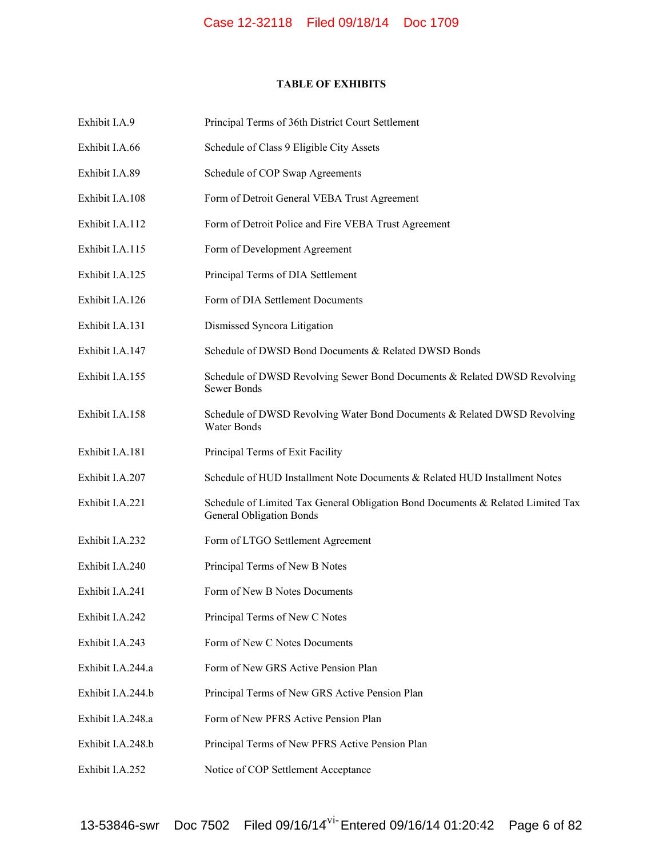# **TABLE OF EXHIBITS**

| Exhibit I.A.9     | Principal Terms of 36th District Court Settlement                                                                  |
|-------------------|--------------------------------------------------------------------------------------------------------------------|
| Exhibit I.A.66    | Schedule of Class 9 Eligible City Assets                                                                           |
| Exhibit I.A.89    | Schedule of COP Swap Agreements                                                                                    |
| Exhibit I.A.108   | Form of Detroit General VEBA Trust Agreement                                                                       |
| Exhibit I.A.112   | Form of Detroit Police and Fire VEBA Trust Agreement                                                               |
| Exhibit I.A.115   | Form of Development Agreement                                                                                      |
| Exhibit I.A.125   | Principal Terms of DIA Settlement                                                                                  |
| Exhibit I.A.126   | Form of DIA Settlement Documents                                                                                   |
| Exhibit I.A.131   | Dismissed Syncora Litigation                                                                                       |
| Exhibit I.A.147   | Schedule of DWSD Bond Documents & Related DWSD Bonds                                                               |
| Exhibit I.A.155   | Schedule of DWSD Revolving Sewer Bond Documents & Related DWSD Revolving<br><b>Sewer Bonds</b>                     |
| Exhibit I.A.158   | Schedule of DWSD Revolving Water Bond Documents & Related DWSD Revolving<br>Water Bonds                            |
| Exhibit I.A.181   | Principal Terms of Exit Facility                                                                                   |
| Exhibit I.A.207   | Schedule of HUD Installment Note Documents & Related HUD Installment Notes                                         |
| Exhibit I.A.221   | Schedule of Limited Tax General Obligation Bond Documents & Related Limited Tax<br><b>General Obligation Bonds</b> |
| Exhibit I.A.232   | Form of LTGO Settlement Agreement                                                                                  |
| Exhibit I.A.240   | Principal Terms of New B Notes                                                                                     |
| Exhibit I.A.241   | Form of New B Notes Documents                                                                                      |
| Exhibit I.A.242   | Principal Terms of New C Notes                                                                                     |
| Exhibit I.A.243   | Form of New C Notes Documents                                                                                      |
| Exhibit I.A.244.a | Form of New GRS Active Pension Plan                                                                                |
| Exhibit I.A.244.b | Principal Terms of New GRS Active Pension Plan                                                                     |
| Exhibit I.A.248.a | Form of New PFRS Active Pension Plan                                                                               |
| Exhibit I.A.248.b | Principal Terms of New PFRS Active Pension Plan                                                                    |
| Exhibit I.A.252   | Notice of COP Settlement Acceptance                                                                                |
|                   |                                                                                                                    |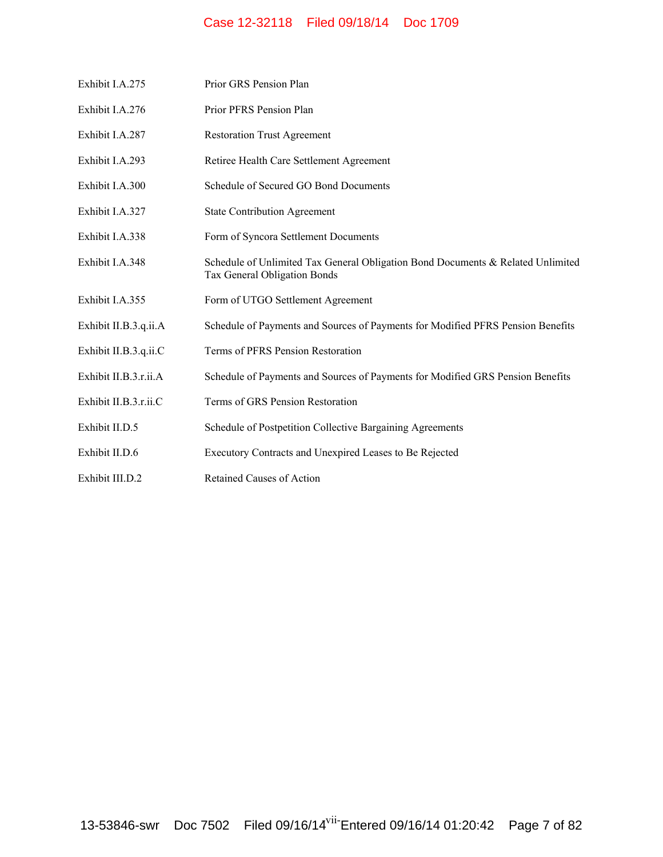| Exhibit I.A.275       | Prior GRS Pension Plan                                                                                          |
|-----------------------|-----------------------------------------------------------------------------------------------------------------|
| Exhibit I.A.276       | Prior PFRS Pension Plan                                                                                         |
| Exhibit I.A.287       | <b>Restoration Trust Agreement</b>                                                                              |
| Exhibit I.A.293       | Retiree Health Care Settlement Agreement                                                                        |
| Exhibit I.A.300       | Schedule of Secured GO Bond Documents                                                                           |
| Exhibit I.A.327       | <b>State Contribution Agreement</b>                                                                             |
| Exhibit I.A.338       | Form of Syncora Settlement Documents                                                                            |
| Exhibit I.A.348       | Schedule of Unlimited Tax General Obligation Bond Documents & Related Unlimited<br>Tax General Obligation Bonds |
| Exhibit I.A.355       | Form of UTGO Settlement Agreement                                                                               |
| Exhibit II.B.3.q.ii.A | Schedule of Payments and Sources of Payments for Modified PFRS Pension Benefits                                 |
| Exhibit II.B.3.q.ii.C | Terms of PFRS Pension Restoration                                                                               |
| Exhibit II.B.3.r.ii.A | Schedule of Payments and Sources of Payments for Modified GRS Pension Benefits                                  |
| Exhibit II.B.3.r.ii.C | Terms of GRS Pension Restoration                                                                                |
| Exhibit II.D.5        | Schedule of Postpetition Collective Bargaining Agreements                                                       |
| Exhibit II.D.6        | Executory Contracts and Unexpired Leases to Be Rejected                                                         |
| Exhibit III.D.2       | Retained Causes of Action                                                                                       |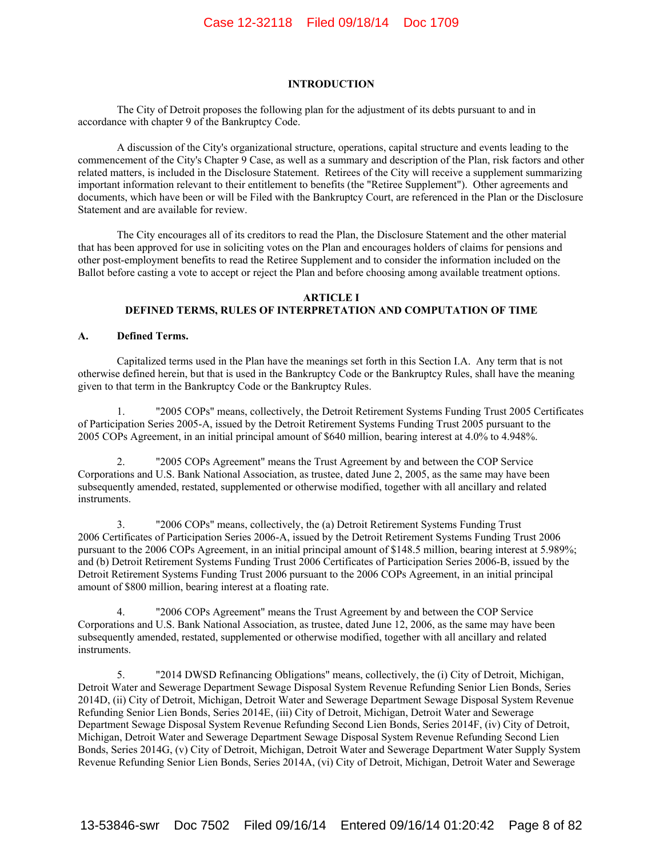#### **INTRODUCTION**

The City of Detroit proposes the following plan for the adjustment of its debts pursuant to and in accordance with chapter 9 of the Bankruptcy Code.

A discussion of the City's organizational structure, operations, capital structure and events leading to the commencement of the City's Chapter 9 Case, as well as a summary and description of the Plan, risk factors and other related matters, is included in the Disclosure Statement. Retirees of the City will receive a supplement summarizing important information relevant to their entitlement to benefits (the "Retiree Supplement"). Other agreements and documents, which have been or will be Filed with the Bankruptcy Court, are referenced in the Plan or the Disclosure Statement and are available for review.

The City encourages all of its creditors to read the Plan, the Disclosure Statement and the other material that has been approved for use in soliciting votes on the Plan and encourages holders of claims for pensions and other post-employment benefits to read the Retiree Supplement and to consider the information included on the Ballot before casting a vote to accept or reject the Plan and before choosing among available treatment options.

#### **ARTICLE I DEFINED TERMS, RULES OF INTERPRETATION AND COMPUTATION OF TIME**

#### **A. Defined Terms.**

Capitalized terms used in the Plan have the meanings set forth in this Section I.A. Any term that is not otherwise defined herein, but that is used in the Bankruptcy Code or the Bankruptcy Rules, shall have the meaning given to that term in the Bankruptcy Code or the Bankruptcy Rules.

1. "2005 COPs" means, collectively, the Detroit Retirement Systems Funding Trust 2005 Certificates of Participation Series 2005-A, issued by the Detroit Retirement Systems Funding Trust 2005 pursuant to the 2005 COPs Agreement, in an initial principal amount of \$640 million, bearing interest at 4.0% to 4.948%.

2. "2005 COPs Agreement" means the Trust Agreement by and between the COP Service Corporations and U.S. Bank National Association, as trustee, dated June 2, 2005, as the same may have been subsequently amended, restated, supplemented or otherwise modified, together with all ancillary and related instruments.

3. "2006 COPs" means, collectively, the (a) Detroit Retirement Systems Funding Trust 2006 Certificates of Participation Series 2006-A, issued by the Detroit Retirement Systems Funding Trust 2006 pursuant to the 2006 COPs Agreement, in an initial principal amount of \$148.5 million, bearing interest at 5.989%; and (b) Detroit Retirement Systems Funding Trust 2006 Certificates of Participation Series 2006-B, issued by the Detroit Retirement Systems Funding Trust 2006 pursuant to the 2006 COPs Agreement, in an initial principal amount of \$800 million, bearing interest at a floating rate.

4. "2006 COPs Agreement" means the Trust Agreement by and between the COP Service Corporations and U.S. Bank National Association, as trustee, dated June 12, 2006, as the same may have been subsequently amended, restated, supplemented or otherwise modified, together with all ancillary and related instruments.

5. "2014 DWSD Refinancing Obligations" means, collectively, the (i) City of Detroit, Michigan, Detroit Water and Sewerage Department Sewage Disposal System Revenue Refunding Senior Lien Bonds, Series 2014D, (ii) City of Detroit, Michigan, Detroit Water and Sewerage Department Sewage Disposal System Revenue Refunding Senior Lien Bonds, Series 2014E, (iii) City of Detroit, Michigan, Detroit Water and Sewerage Department Sewage Disposal System Revenue Refunding Second Lien Bonds, Series 2014F, (iv) City of Detroit, Michigan, Detroit Water and Sewerage Department Sewage Disposal System Revenue Refunding Second Lien Bonds, Series 2014G, (v) City of Detroit, Michigan, Detroit Water and Sewerage Department Water Supply System Revenue Refunding Senior Lien Bonds, Series 2014A, (vi) City of Detroit, Michigan, Detroit Water and Sewerage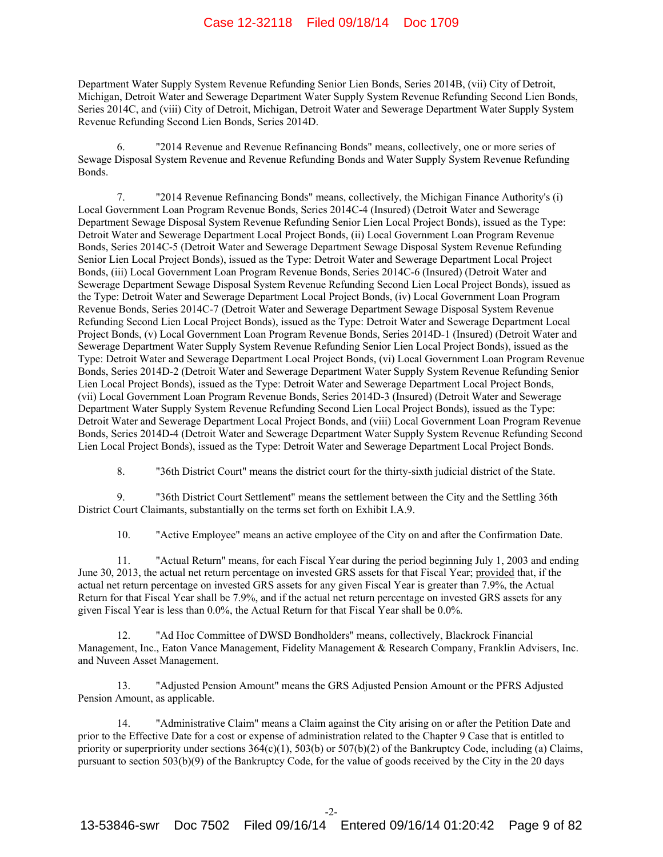Department Water Supply System Revenue Refunding Senior Lien Bonds, Series 2014B, (vii) City of Detroit, Michigan, Detroit Water and Sewerage Department Water Supply System Revenue Refunding Second Lien Bonds, Series 2014C, and (viii) City of Detroit, Michigan, Detroit Water and Sewerage Department Water Supply System Revenue Refunding Second Lien Bonds, Series 2014D.

6. "2014 Revenue and Revenue Refinancing Bonds" means, collectively, one or more series of Sewage Disposal System Revenue and Revenue Refunding Bonds and Water Supply System Revenue Refunding Bonds.

7. "2014 Revenue Refinancing Bonds" means, collectively, the Michigan Finance Authority's (i) Local Government Loan Program Revenue Bonds, Series 2014C-4 (Insured) (Detroit Water and Sewerage Department Sewage Disposal System Revenue Refunding Senior Lien Local Project Bonds), issued as the Type: Detroit Water and Sewerage Department Local Project Bonds, (ii) Local Government Loan Program Revenue Bonds, Series 2014C-5 (Detroit Water and Sewerage Department Sewage Disposal System Revenue Refunding Senior Lien Local Project Bonds), issued as the Type: Detroit Water and Sewerage Department Local Project Bonds, (iii) Local Government Loan Program Revenue Bonds, Series 2014C-6 (Insured) (Detroit Water and Sewerage Department Sewage Disposal System Revenue Refunding Second Lien Local Project Bonds), issued as the Type: Detroit Water and Sewerage Department Local Project Bonds, (iv) Local Government Loan Program Revenue Bonds, Series 2014C-7 (Detroit Water and Sewerage Department Sewage Disposal System Revenue Refunding Second Lien Local Project Bonds), issued as the Type: Detroit Water and Sewerage Department Local Project Bonds, (v) Local Government Loan Program Revenue Bonds, Series 2014D-1 (Insured) (Detroit Water and Sewerage Department Water Supply System Revenue Refunding Senior Lien Local Project Bonds), issued as the Type: Detroit Water and Sewerage Department Local Project Bonds, (vi) Local Government Loan Program Revenue Bonds, Series 2014D-2 (Detroit Water and Sewerage Department Water Supply System Revenue Refunding Senior Lien Local Project Bonds), issued as the Type: Detroit Water and Sewerage Department Local Project Bonds, (vii) Local Government Loan Program Revenue Bonds, Series 2014D-3 (Insured) (Detroit Water and Sewerage Department Water Supply System Revenue Refunding Second Lien Local Project Bonds), issued as the Type: Detroit Water and Sewerage Department Local Project Bonds, and (viii) Local Government Loan Program Revenue Bonds, Series 2014D-4 (Detroit Water and Sewerage Department Water Supply System Revenue Refunding Second Lien Local Project Bonds), issued as the Type: Detroit Water and Sewerage Department Local Project Bonds.

8. "36th District Court" means the district court for the thirty-sixth judicial district of the State.

9. "36th District Court Settlement" means the settlement between the City and the Settling 36th District Court Claimants, substantially on the terms set forth on Exhibit I.A.9.

10. "Active Employee" means an active employee of the City on and after the Confirmation Date.

11. "Actual Return" means, for each Fiscal Year during the period beginning July 1, 2003 and ending June 30, 2013, the actual net return percentage on invested GRS assets for that Fiscal Year; provided that, if the actual net return percentage on invested GRS assets for any given Fiscal Year is greater than 7.9%, the Actual Return for that Fiscal Year shall be 7.9%, and if the actual net return percentage on invested GRS assets for any given Fiscal Year is less than 0.0%, the Actual Return for that Fiscal Year shall be 0.0%.

12. "Ad Hoc Committee of DWSD Bondholders" means, collectively, Blackrock Financial Management, Inc., Eaton Vance Management, Fidelity Management & Research Company, Franklin Advisers, Inc. and Nuveen Asset Management.

13. "Adjusted Pension Amount" means the GRS Adjusted Pension Amount or the PFRS Adjusted Pension Amount, as applicable.

14. "Administrative Claim" means a Claim against the City arising on or after the Petition Date and prior to the Effective Date for a cost or expense of administration related to the Chapter 9 Case that is entitled to priority or superpriority under sections  $364(c)(1)$ ,  $503(b)$  or  $507(b)(2)$  of the Bankruptcy Code, including (a) Claims, pursuant to section 503(b)(9) of the Bankruptcy Code, for the value of goods received by the City in the 20 days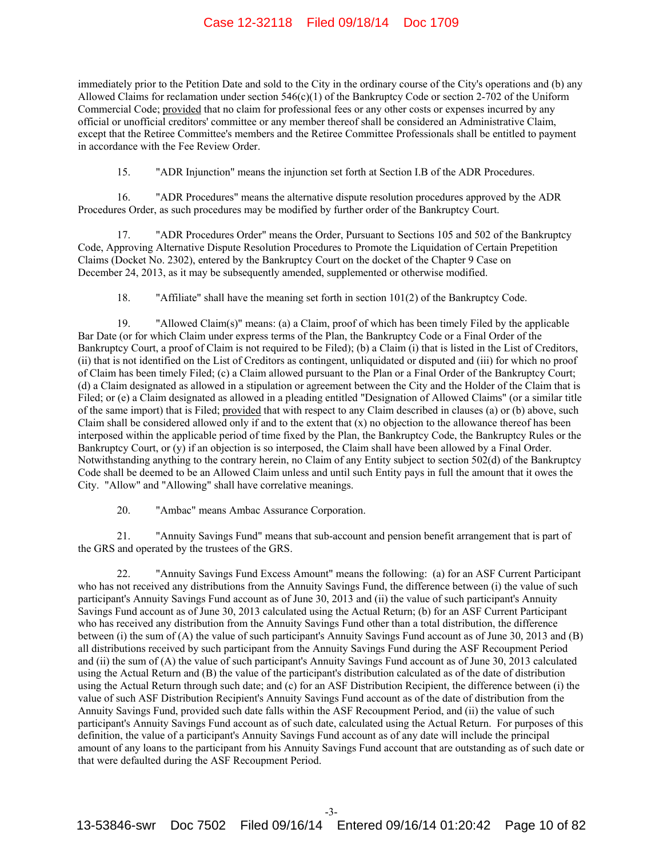immediately prior to the Petition Date and sold to the City in the ordinary course of the City's operations and (b) any Allowed Claims for reclamation under section 546(c)(1) of the Bankruptcy Code or section 2-702 of the Uniform Commercial Code; provided that no claim for professional fees or any other costs or expenses incurred by any official or unofficial creditors' committee or any member thereof shall be considered an Administrative Claim, except that the Retiree Committee's members and the Retiree Committee Professionals shall be entitled to payment in accordance with the Fee Review Order.

15. "ADR Injunction" means the injunction set forth at Section I.B of the ADR Procedures.

16. "ADR Procedures" means the alternative dispute resolution procedures approved by the ADR Procedures Order, as such procedures may be modified by further order of the Bankruptcy Court.

17. "ADR Procedures Order" means the Order, Pursuant to Sections 105 and 502 of the Bankruptcy Code, Approving Alternative Dispute Resolution Procedures to Promote the Liquidation of Certain Prepetition Claims (Docket No. 2302), entered by the Bankruptcy Court on the docket of the Chapter 9 Case on December 24, 2013, as it may be subsequently amended, supplemented or otherwise modified.

18. "Affiliate" shall have the meaning set forth in section 101(2) of the Bankruptcy Code.

19. "Allowed Claim(s)" means: (a) a Claim, proof of which has been timely Filed by the applicable Bar Date (or for which Claim under express terms of the Plan, the Bankruptcy Code or a Final Order of the Bankruptcy Court, a proof of Claim is not required to be Filed); (b) a Claim (i) that is listed in the List of Creditors, (ii) that is not identified on the List of Creditors as contingent, unliquidated or disputed and (iii) for which no proof of Claim has been timely Filed; (c) a Claim allowed pursuant to the Plan or a Final Order of the Bankruptcy Court; (d) a Claim designated as allowed in a stipulation or agreement between the City and the Holder of the Claim that is Filed; or (e) a Claim designated as allowed in a pleading entitled "Designation of Allowed Claims" (or a similar title of the same import) that is Filed; provided that with respect to any Claim described in clauses (a) or (b) above, such Claim shall be considered allowed only if and to the extent that  $(x)$  no objection to the allowance thereof has been interposed within the applicable period of time fixed by the Plan, the Bankruptcy Code, the Bankruptcy Rules or the Bankruptcy Court, or (y) if an objection is so interposed, the Claim shall have been allowed by a Final Order. Notwithstanding anything to the contrary herein, no Claim of any Entity subject to section 502(d) of the Bankruptcy Code shall be deemed to be an Allowed Claim unless and until such Entity pays in full the amount that it owes the City. "Allow" and "Allowing" shall have correlative meanings.

20. "Ambac" means Ambac Assurance Corporation.

21. "Annuity Savings Fund" means that sub-account and pension benefit arrangement that is part of the GRS and operated by the trustees of the GRS.

22. "Annuity Savings Fund Excess Amount" means the following: (a) for an ASF Current Participant who has not received any distributions from the Annuity Savings Fund, the difference between (i) the value of such participant's Annuity Savings Fund account as of June 30, 2013 and (ii) the value of such participant's Annuity Savings Fund account as of June 30, 2013 calculated using the Actual Return; (b) for an ASF Current Participant who has received any distribution from the Annuity Savings Fund other than a total distribution, the difference between (i) the sum of (A) the value of such participant's Annuity Savings Fund account as of June 30, 2013 and (B) all distributions received by such participant from the Annuity Savings Fund during the ASF Recoupment Period and (ii) the sum of (A) the value of such participant's Annuity Savings Fund account as of June 30, 2013 calculated using the Actual Return and (B) the value of the participant's distribution calculated as of the date of distribution using the Actual Return through such date; and (c) for an ASF Distribution Recipient, the difference between (i) the value of such ASF Distribution Recipient's Annuity Savings Fund account as of the date of distribution from the Annuity Savings Fund, provided such date falls within the ASF Recoupment Period, and (ii) the value of such participant's Annuity Savings Fund account as of such date, calculated using the Actual Return. For purposes of this definition, the value of a participant's Annuity Savings Fund account as of any date will include the principal amount of any loans to the participant from his Annuity Savings Fund account that are outstanding as of such date or that were defaulted during the ASF Recoupment Period.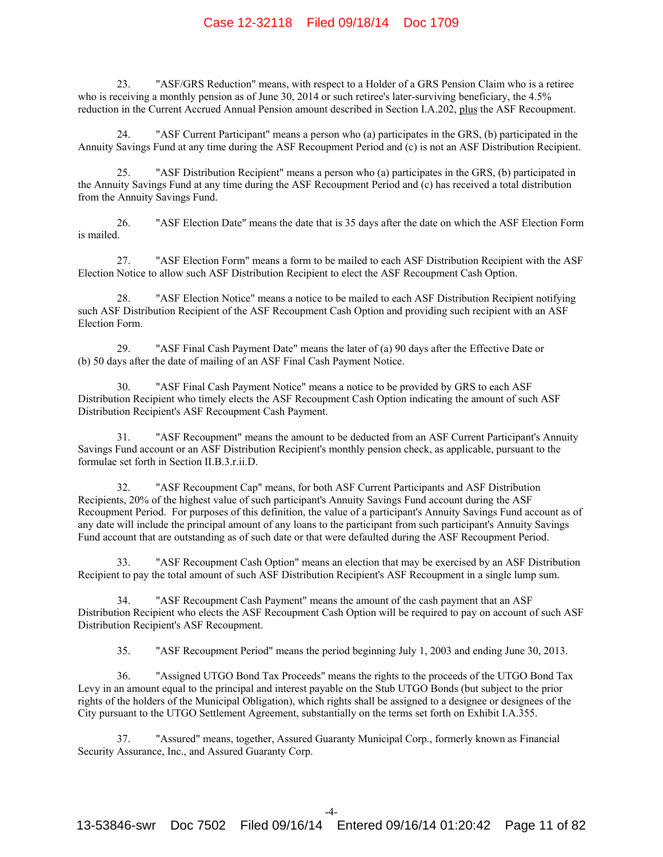23. "ASF/GRS Reduction" means, with respect to a Holder of a GRS Pension Claim who is a retiree who is receiving a monthly pension as of June 30, 2014 or such retiree's later-surviving beneficiary, the 4.5% reduction in the Current Accrued Annual Pension amount described in Section I.A.202, plus the ASF Recoupment.

24. "ASF Current Participant" means a person who (a) participates in the GRS, (b) participated in the Annuity Savings Fund at any time during the ASF Recoupment Period and (c) is not an ASF Distribution Recipient.

25. "ASF Distribution Recipient" means a person who (a) participates in the GRS, (b) participated in the Annuity Savings Fund at any time during the ASF Recoupment Period and (c) has received a total distribution from the Annuity Savings Fund.

26. "ASF Election Date" means the date that is 35 days after the date on which the ASF Election Form is mailed.

27. "ASF Election Form" means a form to be mailed to each ASF Distribution Recipient with the ASF Election Notice to allow such ASF Distribution Recipient to elect the ASF Recoupment Cash Option.

28. "ASF Election Notice" means a notice to be mailed to each ASF Distribution Recipient notifying such ASF Distribution Recipient of the ASF Recoupment Cash Option and providing such recipient with an ASF Election Form.

29. "ASF Final Cash Payment Date" means the later of (a) 90 days after the Effective Date or (b) 50 days after the date of mailing of an ASF Final Cash Payment Notice.

"ASF Final Cash Payment Notice" means a notice to be provided by GRS to each ASF Distribution Recipient who timely elects the ASF Recoupment Cash Option indicating the amount of such ASF Distribution Recipient's ASF Recoupment Cash Payment.

31. "ASF Recoupment" means the amount to be deducted from an ASF Current Participant's Annuity Savings Fund account or an ASF Distribution Recipient's monthly pension check, as applicable, pursuant to the formulae set forth in Section II.B.3.r.ii.D.

32. "ASF Recoupment Cap" means, for both ASF Current Participants and ASF Distribution Recipients, 20% of the highest value of such participant's Annuity Savings Fund account during the ASF Recoupment Period. For purposes of this definition, the value of a participant's Annuity Savings Fund account as of any date will include the principal amount of any loans to the participant from such participant's Annuity Savings Fund account that are outstanding as of such date or that were defaulted during the ASF Recoupment Period.

33. "ASF Recoupment Cash Option" means an election that may be exercised by an ASF Distribution Recipient to pay the total amount of such ASF Distribution Recipient's ASF Recoupment in a single lump sum.

34. "ASF Recoupment Cash Payment" means the amount of the cash payment that an ASF Distribution Recipient who elects the ASF Recoupment Cash Option will be required to pay on account of such ASF Distribution Recipient's ASF Recoupment.

35. "ASF Recoupment Period" means the period beginning July 1, 2003 and ending June 30, 2013.

36. "Assigned UTGO Bond Tax Proceeds" means the rights to the proceeds of the UTGO Bond Tax Levy in an amount equal to the principal and interest payable on the Stub UTGO Bonds (but subject to the prior rights of the holders of the Municipal Obligation), which rights shall be assigned to a designee or designees of the City pursuant to the UTGO Settlement Agreement, substantially on the terms set forth on Exhibit I.A.355.

37. "Assured" means, together, Assured Guaranty Municipal Corp., formerly known as Financial Security Assurance, Inc., and Assured Guaranty Corp.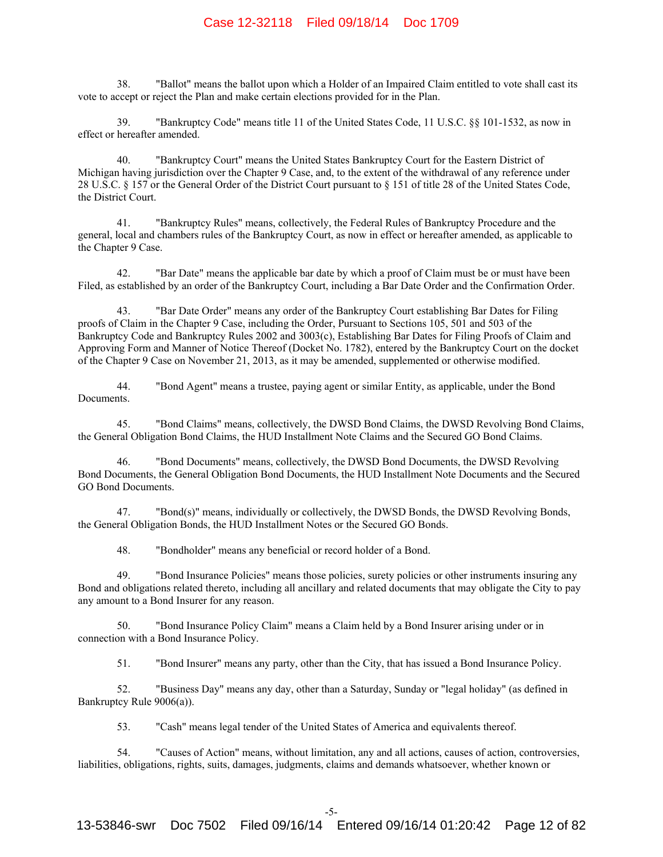38. "Ballot" means the ballot upon which a Holder of an Impaired Claim entitled to vote shall cast its vote to accept or reject the Plan and make certain elections provided for in the Plan.

39. "Bankruptcy Code" means title 11 of the United States Code, 11 U.S.C. §§ 101-1532, as now in effect or hereafter amended.

40. "Bankruptcy Court" means the United States Bankruptcy Court for the Eastern District of Michigan having jurisdiction over the Chapter 9 Case, and, to the extent of the withdrawal of any reference under 28 U.S.C. § 157 or the General Order of the District Court pursuant to § 151 of title 28 of the United States Code, the District Court.

41. "Bankruptcy Rules" means, collectively, the Federal Rules of Bankruptcy Procedure and the general, local and chambers rules of the Bankruptcy Court, as now in effect or hereafter amended, as applicable to the Chapter 9 Case.

42. "Bar Date" means the applicable bar date by which a proof of Claim must be or must have been Filed, as established by an order of the Bankruptcy Court, including a Bar Date Order and the Confirmation Order.

43. "Bar Date Order" means any order of the Bankruptcy Court establishing Bar Dates for Filing proofs of Claim in the Chapter 9 Case, including the Order, Pursuant to Sections 105, 501 and 503 of the Bankruptcy Code and Bankruptcy Rules 2002 and 3003(c), Establishing Bar Dates for Filing Proofs of Claim and Approving Form and Manner of Notice Thereof (Docket No. 1782), entered by the Bankruptcy Court on the docket of the Chapter 9 Case on November 21, 2013, as it may be amended, supplemented or otherwise modified.

44. "Bond Agent" means a trustee, paying agent or similar Entity, as applicable, under the Bond Documents.

45. "Bond Claims" means, collectively, the DWSD Bond Claims, the DWSD Revolving Bond Claims, the General Obligation Bond Claims, the HUD Installment Note Claims and the Secured GO Bond Claims.

46. "Bond Documents" means, collectively, the DWSD Bond Documents, the DWSD Revolving Bond Documents, the General Obligation Bond Documents, the HUD Installment Note Documents and the Secured GO Bond Documents.

47. "Bond(s)" means, individually or collectively, the DWSD Bonds, the DWSD Revolving Bonds, the General Obligation Bonds, the HUD Installment Notes or the Secured GO Bonds.

48. "Bondholder" means any beneficial or record holder of a Bond.

49. "Bond Insurance Policies" means those policies, surety policies or other instruments insuring any Bond and obligations related thereto, including all ancillary and related documents that may obligate the City to pay any amount to a Bond Insurer for any reason.

50. "Bond Insurance Policy Claim" means a Claim held by a Bond Insurer arising under or in connection with a Bond Insurance Policy.

51. "Bond Insurer" means any party, other than the City, that has issued a Bond Insurance Policy.

52. "Business Day" means any day, other than a Saturday, Sunday or "legal holiday" (as defined in Bankruptcy Rule 9006(a)).

53. "Cash" means legal tender of the United States of America and equivalents thereof.

54. "Causes of Action" means, without limitation, any and all actions, causes of action, controversies, liabilities, obligations, rights, suits, damages, judgments, claims and demands whatsoever, whether known or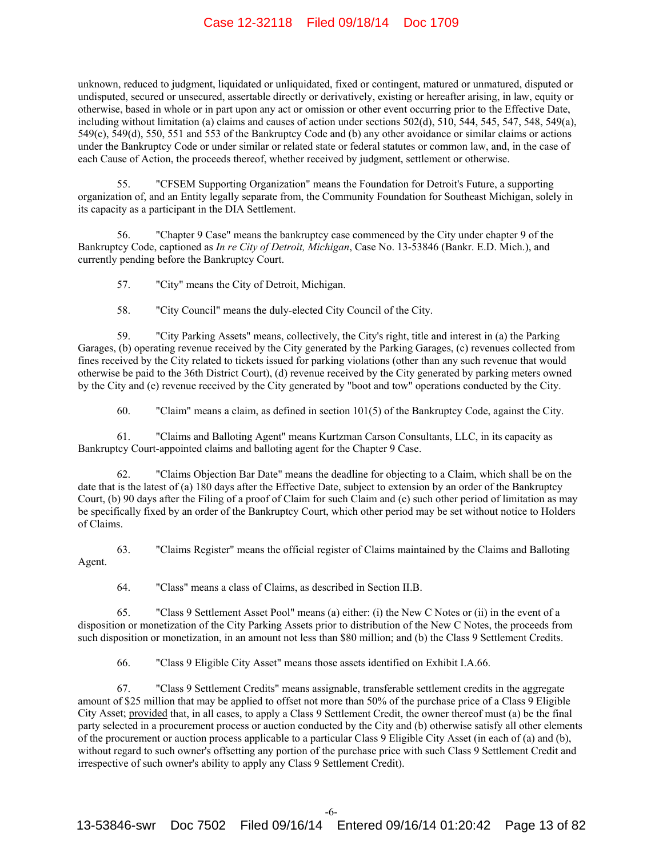unknown, reduced to judgment, liquidated or unliquidated, fixed or contingent, matured or unmatured, disputed or undisputed, secured or unsecured, assertable directly or derivatively, existing or hereafter arising, in law, equity or otherwise, based in whole or in part upon any act or omission or other event occurring prior to the Effective Date, including without limitation (a) claims and causes of action under sections 502(d), 510, 544, 545, 547, 548, 549(a), 549(c), 549(d), 550, 551 and 553 of the Bankruptcy Code and (b) any other avoidance or similar claims or actions under the Bankruptcy Code or under similar or related state or federal statutes or common law, and, in the case of each Cause of Action, the proceeds thereof, whether received by judgment, settlement or otherwise.

55. "CFSEM Supporting Organization" means the Foundation for Detroit's Future, a supporting organization of, and an Entity legally separate from, the Community Foundation for Southeast Michigan, solely in its capacity as a participant in the DIA Settlement.

56. "Chapter 9 Case" means the bankruptcy case commenced by the City under chapter 9 of the Bankruptcy Code, captioned as *In re City of Detroit, Michigan*, Case No. 13-53846 (Bankr. E.D. Mich.), and currently pending before the Bankruptcy Court.

57. "City" means the City of Detroit, Michigan.

58. "City Council" means the duly-elected City Council of the City.

59. "City Parking Assets" means, collectively, the City's right, title and interest in (a) the Parking Garages, (b) operating revenue received by the City generated by the Parking Garages, (c) revenues collected from fines received by the City related to tickets issued for parking violations (other than any such revenue that would otherwise be paid to the 36th District Court), (d) revenue received by the City generated by parking meters owned by the City and (e) revenue received by the City generated by "boot and tow" operations conducted by the City.

60. "Claim" means a claim, as defined in section 101(5) of the Bankruptcy Code, against the City.

61. "Claims and Balloting Agent" means Kurtzman Carson Consultants, LLC, in its capacity as Bankruptcy Court-appointed claims and balloting agent for the Chapter 9 Case.

62. "Claims Objection Bar Date" means the deadline for objecting to a Claim, which shall be on the date that is the latest of (a) 180 days after the Effective Date, subject to extension by an order of the Bankruptcy Court, (b) 90 days after the Filing of a proof of Claim for such Claim and (c) such other period of limitation as may be specifically fixed by an order of the Bankruptcy Court, which other period may be set without notice to Holders of Claims.

63. "Claims Register" means the official register of Claims maintained by the Claims and Balloting Agent.

64. "Class" means a class of Claims, as described in Section II.B.

65. "Class 9 Settlement Asset Pool" means (a) either: (i) the New C Notes or (ii) in the event of a disposition or monetization of the City Parking Assets prior to distribution of the New C Notes, the proceeds from such disposition or monetization, in an amount not less than \$80 million; and (b) the Class 9 Settlement Credits.

66. "Class 9 Eligible City Asset" means those assets identified on Exhibit I.A.66.

67. "Class 9 Settlement Credits" means assignable, transferable settlement credits in the aggregate amount of \$25 million that may be applied to offset not more than 50% of the purchase price of a Class 9 Eligible City Asset; provided that, in all cases, to apply a Class 9 Settlement Credit, the owner thereof must (a) be the final party selected in a procurement process or auction conducted by the City and (b) otherwise satisfy all other elements of the procurement or auction process applicable to a particular Class 9 Eligible City Asset (in each of (a) and (b), without regard to such owner's offsetting any portion of the purchase price with such Class 9 Settlement Credit and irrespective of such owner's ability to apply any Class 9 Settlement Credit).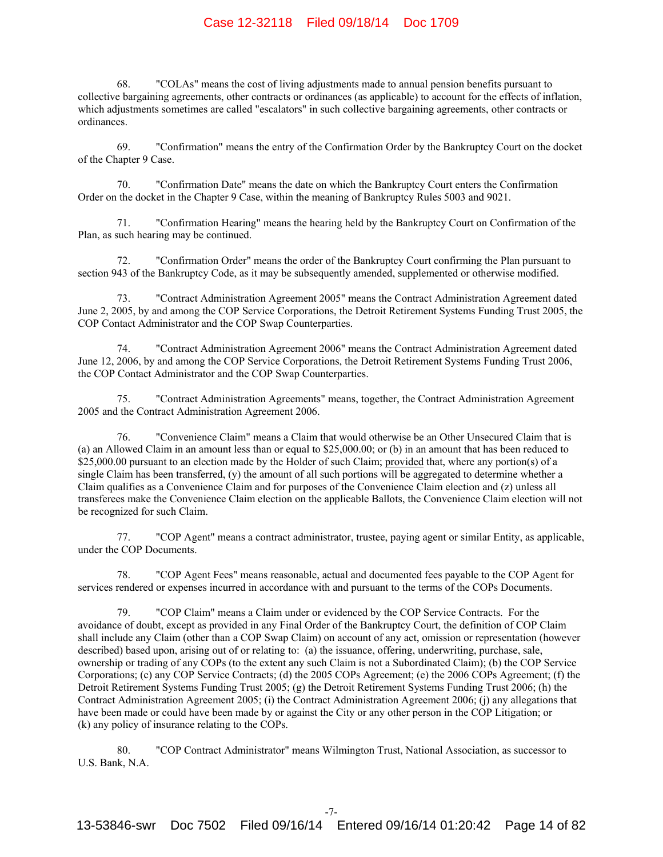68. "COLAs" means the cost of living adjustments made to annual pension benefits pursuant to collective bargaining agreements, other contracts or ordinances (as applicable) to account for the effects of inflation, which adjustments sometimes are called "escalators" in such collective bargaining agreements, other contracts or ordinances.

69. "Confirmation" means the entry of the Confirmation Order by the Bankruptcy Court on the docket of the Chapter 9 Case.

70. "Confirmation Date" means the date on which the Bankruptcy Court enters the Confirmation Order on the docket in the Chapter 9 Case, within the meaning of Bankruptcy Rules 5003 and 9021.

71. "Confirmation Hearing" means the hearing held by the Bankruptcy Court on Confirmation of the Plan, as such hearing may be continued.

72. "Confirmation Order" means the order of the Bankruptcy Court confirming the Plan pursuant to section 943 of the Bankruptcy Code, as it may be subsequently amended, supplemented or otherwise modified.

73. "Contract Administration Agreement 2005" means the Contract Administration Agreement dated June 2, 2005, by and among the COP Service Corporations, the Detroit Retirement Systems Funding Trust 2005, the COP Contact Administrator and the COP Swap Counterparties.

74. "Contract Administration Agreement 2006" means the Contract Administration Agreement dated June 12, 2006, by and among the COP Service Corporations, the Detroit Retirement Systems Funding Trust 2006, the COP Contact Administrator and the COP Swap Counterparties.

75. "Contract Administration Agreements" means, together, the Contract Administration Agreement 2005 and the Contract Administration Agreement 2006.

76. "Convenience Claim" means a Claim that would otherwise be an Other Unsecured Claim that is (a) an Allowed Claim in an amount less than or equal to \$25,000.00; or (b) in an amount that has been reduced to \$25,000.00 pursuant to an election made by the Holder of such Claim; provided that, where any portion(s) of a single Claim has been transferred, (y) the amount of all such portions will be aggregated to determine whether a Claim qualifies as a Convenience Claim and for purposes of the Convenience Claim election and (z) unless all transferees make the Convenience Claim election on the applicable Ballots, the Convenience Claim election will not be recognized for such Claim.

77. "COP Agent" means a contract administrator, trustee, paying agent or similar Entity, as applicable, under the COP Documents.

78. "COP Agent Fees" means reasonable, actual and documented fees payable to the COP Agent for services rendered or expenses incurred in accordance with and pursuant to the terms of the COPs Documents.

79. "COP Claim" means a Claim under or evidenced by the COP Service Contracts. For the avoidance of doubt, except as provided in any Final Order of the Bankruptcy Court, the definition of COP Claim shall include any Claim (other than a COP Swap Claim) on account of any act, omission or representation (however described) based upon, arising out of or relating to: (a) the issuance, offering, underwriting, purchase, sale, ownership or trading of any COPs (to the extent any such Claim is not a Subordinated Claim); (b) the COP Service Corporations; (c) any COP Service Contracts; (d) the 2005 COPs Agreement; (e) the 2006 COPs Agreement; (f) the Detroit Retirement Systems Funding Trust 2005; (g) the Detroit Retirement Systems Funding Trust 2006; (h) the Contract Administration Agreement 2005; (i) the Contract Administration Agreement 2006; (j) any allegations that have been made or could have been made by or against the City or any other person in the COP Litigation; or (k) any policy of insurance relating to the COPs.

80. "COP Contract Administrator" means Wilmington Trust, National Association, as successor to U.S. Bank, N.A.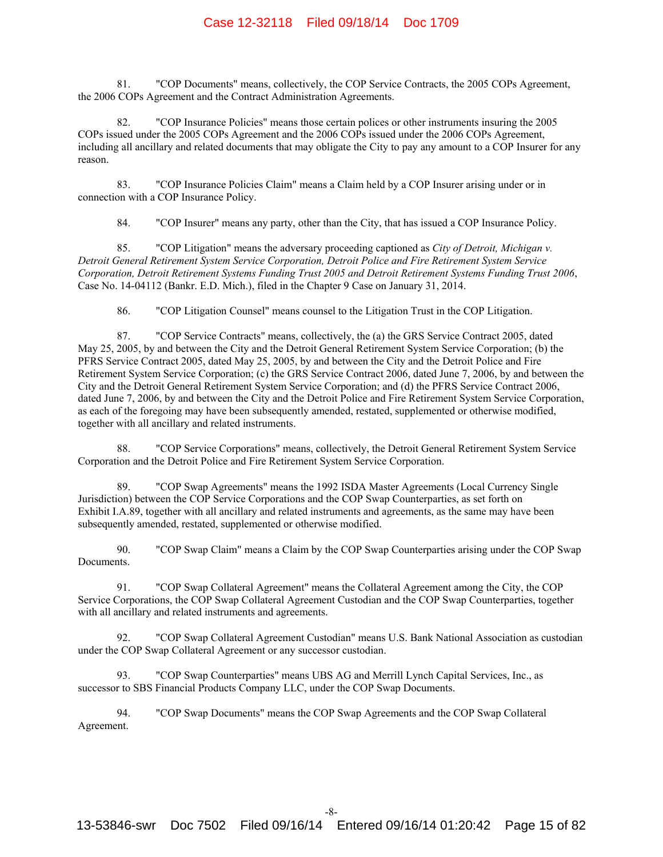81. "COP Documents" means, collectively, the COP Service Contracts, the 2005 COPs Agreement, the 2006 COPs Agreement and the Contract Administration Agreements.

82. "COP Insurance Policies" means those certain polices or other instruments insuring the 2005 COPs issued under the 2005 COPs Agreement and the 2006 COPs issued under the 2006 COPs Agreement, including all ancillary and related documents that may obligate the City to pay any amount to a COP Insurer for any reason.

83. "COP Insurance Policies Claim" means a Claim held by a COP Insurer arising under or in connection with a COP Insurance Policy.

84. "COP Insurer" means any party, other than the City, that has issued a COP Insurance Policy.

85. "COP Litigation" means the adversary proceeding captioned as *City of Detroit, Michigan v. Detroit General Retirement System Service Corporation, Detroit Police and Fire Retirement System Service Corporation, Detroit Retirement Systems Funding Trust 2005 and Detroit Retirement Systems Funding Trust 2006*, Case No. 14-04112 (Bankr. E.D. Mich.), filed in the Chapter 9 Case on January 31, 2014.

86. "COP Litigation Counsel" means counsel to the Litigation Trust in the COP Litigation.

87. "COP Service Contracts" means, collectively, the (a) the GRS Service Contract 2005, dated May 25, 2005, by and between the City and the Detroit General Retirement System Service Corporation; (b) the PFRS Service Contract 2005, dated May 25, 2005, by and between the City and the Detroit Police and Fire Retirement System Service Corporation; (c) the GRS Service Contract 2006, dated June 7, 2006, by and between the City and the Detroit General Retirement System Service Corporation; and (d) the PFRS Service Contract 2006, dated June 7, 2006, by and between the City and the Detroit Police and Fire Retirement System Service Corporation, as each of the foregoing may have been subsequently amended, restated, supplemented or otherwise modified, together with all ancillary and related instruments.

88. "COP Service Corporations" means, collectively, the Detroit General Retirement System Service Corporation and the Detroit Police and Fire Retirement System Service Corporation.

89. "COP Swap Agreements" means the 1992 ISDA Master Agreements (Local Currency Single Jurisdiction) between the COP Service Corporations and the COP Swap Counterparties, as set forth on Exhibit I.A.89, together with all ancillary and related instruments and agreements, as the same may have been subsequently amended, restated, supplemented or otherwise modified.

90. "COP Swap Claim" means a Claim by the COP Swap Counterparties arising under the COP Swap Documents.

91. "COP Swap Collateral Agreement" means the Collateral Agreement among the City, the COP Service Corporations, the COP Swap Collateral Agreement Custodian and the COP Swap Counterparties, together with all ancillary and related instruments and agreements.

92. "COP Swap Collateral Agreement Custodian" means U.S. Bank National Association as custodian under the COP Swap Collateral Agreement or any successor custodian.

93. "COP Swap Counterparties" means UBS AG and Merrill Lynch Capital Services, Inc., as successor to SBS Financial Products Company LLC, under the COP Swap Documents.

94. "COP Swap Documents" means the COP Swap Agreements and the COP Swap Collateral Agreement.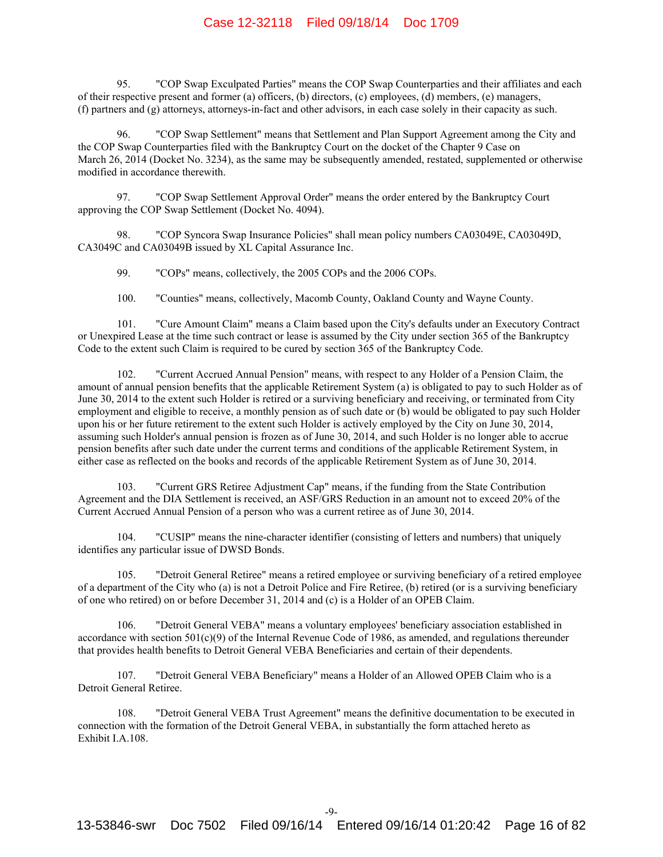95. "COP Swap Exculpated Parties" means the COP Swap Counterparties and their affiliates and each of their respective present and former (a) officers, (b) directors, (c) employees, (d) members, (e) managers, (f) partners and (g) attorneys, attorneys-in-fact and other advisors, in each case solely in their capacity as such.

96. "COP Swap Settlement" means that Settlement and Plan Support Agreement among the City and the COP Swap Counterparties filed with the Bankruptcy Court on the docket of the Chapter 9 Case on March 26, 2014 (Docket No. 3234), as the same may be subsequently amended, restated, supplemented or otherwise modified in accordance therewith.

97. "COP Swap Settlement Approval Order" means the order entered by the Bankruptcy Court approving the COP Swap Settlement (Docket No. 4094).

98. "COP Syncora Swap Insurance Policies" shall mean policy numbers CA03049E, CA03049D, CA3049C and CA03049B issued by XL Capital Assurance Inc.

99. "COPs" means, collectively, the 2005 COPs and the 2006 COPs.

100. "Counties" means, collectively, Macomb County, Oakland County and Wayne County.

101. "Cure Amount Claim" means a Claim based upon the City's defaults under an Executory Contract or Unexpired Lease at the time such contract or lease is assumed by the City under section 365 of the Bankruptcy Code to the extent such Claim is required to be cured by section 365 of the Bankruptcy Code.

102. "Current Accrued Annual Pension" means, with respect to any Holder of a Pension Claim, the amount of annual pension benefits that the applicable Retirement System (a) is obligated to pay to such Holder as of June 30, 2014 to the extent such Holder is retired or a surviving beneficiary and receiving, or terminated from City employment and eligible to receive, a monthly pension as of such date or (b) would be obligated to pay such Holder upon his or her future retirement to the extent such Holder is actively employed by the City on June 30, 2014, assuming such Holder's annual pension is frozen as of June 30, 2014, and such Holder is no longer able to accrue pension benefits after such date under the current terms and conditions of the applicable Retirement System, in either case as reflected on the books and records of the applicable Retirement System as of June 30, 2014.

103. "Current GRS Retiree Adjustment Cap" means, if the funding from the State Contribution Agreement and the DIA Settlement is received, an ASF/GRS Reduction in an amount not to exceed 20% of the Current Accrued Annual Pension of a person who was a current retiree as of June 30, 2014.

104. "CUSIP" means the nine-character identifier (consisting of letters and numbers) that uniquely identifies any particular issue of DWSD Bonds.

105. "Detroit General Retiree" means a retired employee or surviving beneficiary of a retired employee of a department of the City who (a) is not a Detroit Police and Fire Retiree, (b) retired (or is a surviving beneficiary of one who retired) on or before December 31, 2014 and (c) is a Holder of an OPEB Claim.

106. "Detroit General VEBA" means a voluntary employees' beneficiary association established in accordance with section 501(c)(9) of the Internal Revenue Code of 1986, as amended, and regulations thereunder that provides health benefits to Detroit General VEBA Beneficiaries and certain of their dependents.

107. "Detroit General VEBA Beneficiary" means a Holder of an Allowed OPEB Claim who is a Detroit General Retiree.

108. "Detroit General VEBA Trust Agreement" means the definitive documentation to be executed in connection with the formation of the Detroit General VEBA, in substantially the form attached hereto as Exhibit I.A.108.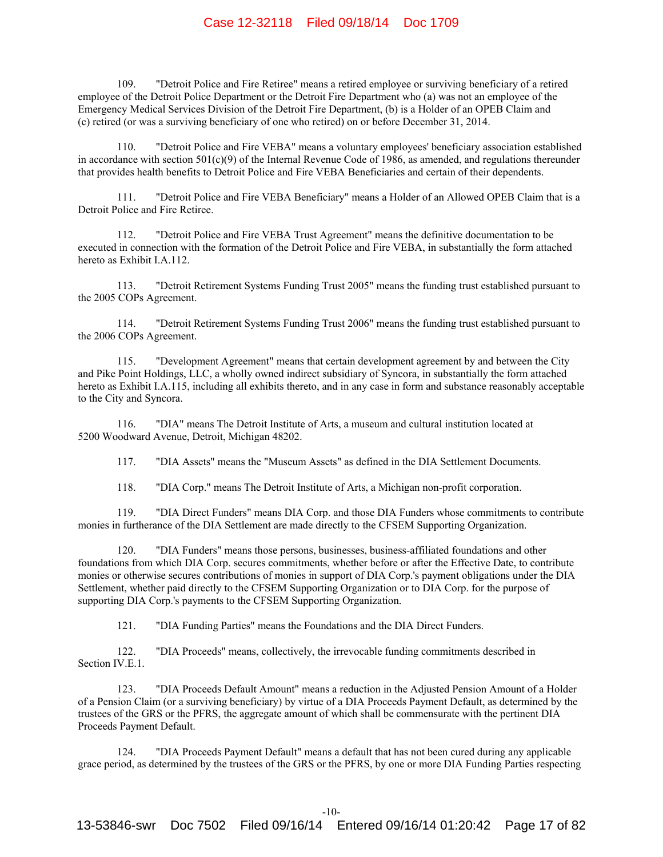109. "Detroit Police and Fire Retiree" means a retired employee or surviving beneficiary of a retired employee of the Detroit Police Department or the Detroit Fire Department who (a) was not an employee of the Emergency Medical Services Division of the Detroit Fire Department, (b) is a Holder of an OPEB Claim and (c) retired (or was a surviving beneficiary of one who retired) on or before December 31, 2014.

110. "Detroit Police and Fire VEBA" means a voluntary employees' beneficiary association established in accordance with section  $501(c)(9)$  of the Internal Revenue Code of 1986, as amended, and regulations thereunder that provides health benefits to Detroit Police and Fire VEBA Beneficiaries and certain of their dependents.

111. "Detroit Police and Fire VEBA Beneficiary" means a Holder of an Allowed OPEB Claim that is a Detroit Police and Fire Retiree.

112. "Detroit Police and Fire VEBA Trust Agreement" means the definitive documentation to be executed in connection with the formation of the Detroit Police and Fire VEBA, in substantially the form attached hereto as Exhibit I.A.112.

113. "Detroit Retirement Systems Funding Trust 2005" means the funding trust established pursuant to the 2005 COPs Agreement.

114. "Detroit Retirement Systems Funding Trust 2006" means the funding trust established pursuant to the 2006 COPs Agreement.

115. "Development Agreement" means that certain development agreement by and between the City and Pike Point Holdings, LLC, a wholly owned indirect subsidiary of Syncora, in substantially the form attached hereto as Exhibit I.A.115, including all exhibits thereto, and in any case in form and substance reasonably acceptable to the City and Syncora.

116. "DIA" means The Detroit Institute of Arts, a museum and cultural institution located at 5200 Woodward Avenue, Detroit, Michigan 48202.

117. "DIA Assets" means the "Museum Assets" as defined in the DIA Settlement Documents.

118. "DIA Corp." means The Detroit Institute of Arts, a Michigan non-profit corporation.

119. "DIA Direct Funders" means DIA Corp. and those DIA Funders whose commitments to contribute monies in furtherance of the DIA Settlement are made directly to the CFSEM Supporting Organization.

120. "DIA Funders" means those persons, businesses, business-affiliated foundations and other foundations from which DIA Corp. secures commitments, whether before or after the Effective Date, to contribute monies or otherwise secures contributions of monies in support of DIA Corp.'s payment obligations under the DIA Settlement, whether paid directly to the CFSEM Supporting Organization or to DIA Corp. for the purpose of supporting DIA Corp.'s payments to the CFSEM Supporting Organization.

121. "DIA Funding Parties" means the Foundations and the DIA Direct Funders.

122. "DIA Proceeds" means, collectively, the irrevocable funding commitments described in Section IV<sub>E</sub>1

123. "DIA Proceeds Default Amount" means a reduction in the Adjusted Pension Amount of a Holder of a Pension Claim (or a surviving beneficiary) by virtue of a DIA Proceeds Payment Default, as determined by the trustees of the GRS or the PFRS, the aggregate amount of which shall be commensurate with the pertinent DIA Proceeds Payment Default.

124. "DIA Proceeds Payment Default" means a default that has not been cured during any applicable grace period, as determined by the trustees of the GRS or the PFRS, by one or more DIA Funding Parties respecting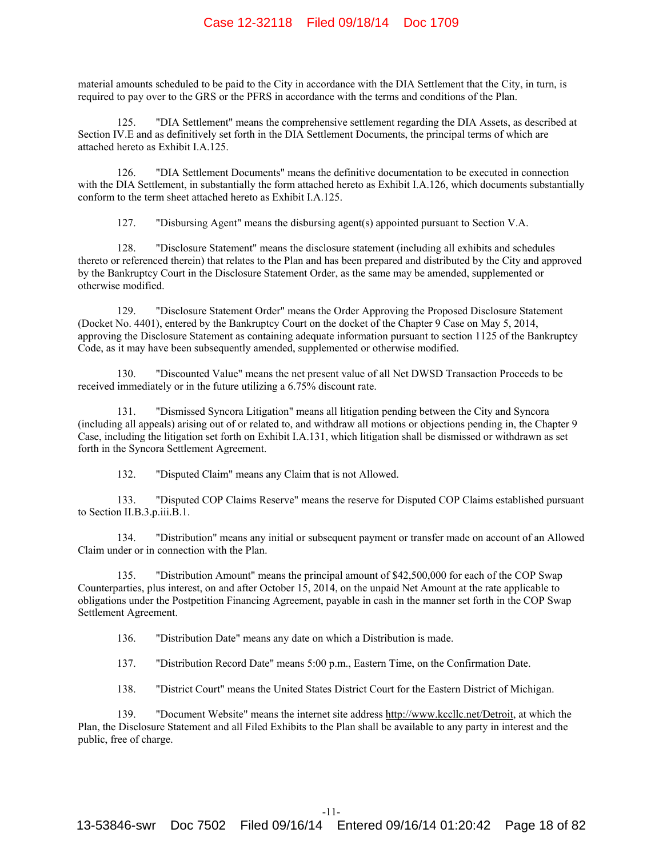material amounts scheduled to be paid to the City in accordance with the DIA Settlement that the City, in turn, is required to pay over to the GRS or the PFRS in accordance with the terms and conditions of the Plan.

125. "DIA Settlement" means the comprehensive settlement regarding the DIA Assets, as described at Section IV.E and as definitively set forth in the DIA Settlement Documents, the principal terms of which are attached hereto as Exhibit I.A.125.

126. "DIA Settlement Documents" means the definitive documentation to be executed in connection with the DIA Settlement, in substantially the form attached hereto as Exhibit I.A.126, which documents substantially conform to the term sheet attached hereto as Exhibit I.A.125.

127. "Disbursing Agent" means the disbursing agent(s) appointed pursuant to Section V.A.

128. "Disclosure Statement" means the disclosure statement (including all exhibits and schedules thereto or referenced therein) that relates to the Plan and has been prepared and distributed by the City and approved by the Bankruptcy Court in the Disclosure Statement Order, as the same may be amended, supplemented or otherwise modified.

129. "Disclosure Statement Order" means the Order Approving the Proposed Disclosure Statement (Docket No. 4401), entered by the Bankruptcy Court on the docket of the Chapter 9 Case on May 5, 2014, approving the Disclosure Statement as containing adequate information pursuant to section 1125 of the Bankruptcy Code, as it may have been subsequently amended, supplemented or otherwise modified.

130. "Discounted Value" means the net present value of all Net DWSD Transaction Proceeds to be received immediately or in the future utilizing a 6.75% discount rate.

131. "Dismissed Syncora Litigation" means all litigation pending between the City and Syncora (including all appeals) arising out of or related to, and withdraw all motions or objections pending in, the Chapter 9 Case, including the litigation set forth on Exhibit I.A.131, which litigation shall be dismissed or withdrawn as set forth in the Syncora Settlement Agreement.

132. "Disputed Claim" means any Claim that is not Allowed.

133. "Disputed COP Claims Reserve" means the reserve for Disputed COP Claims established pursuant to Section II.B.3.p.iii.B.1.

134. "Distribution" means any initial or subsequent payment or transfer made on account of an Allowed Claim under or in connection with the Plan.

135. "Distribution Amount" means the principal amount of \$42,500,000 for each of the COP Swap Counterparties, plus interest, on and after October 15, 2014, on the unpaid Net Amount at the rate applicable to obligations under the Postpetition Financing Agreement, payable in cash in the manner set forth in the COP Swap Settlement Agreement.

136. "Distribution Date" means any date on which a Distribution is made.

137. "Distribution Record Date" means 5:00 p.m., Eastern Time, on the Confirmation Date.

138. "District Court" means the United States District Court for the Eastern District of Michigan.

139. "Document Website" means the internet site address http://www.kccllc.net/Detroit, at which the Plan, the Disclosure Statement and all Filed Exhibits to the Plan shall be available to any party in interest and the public, free of charge.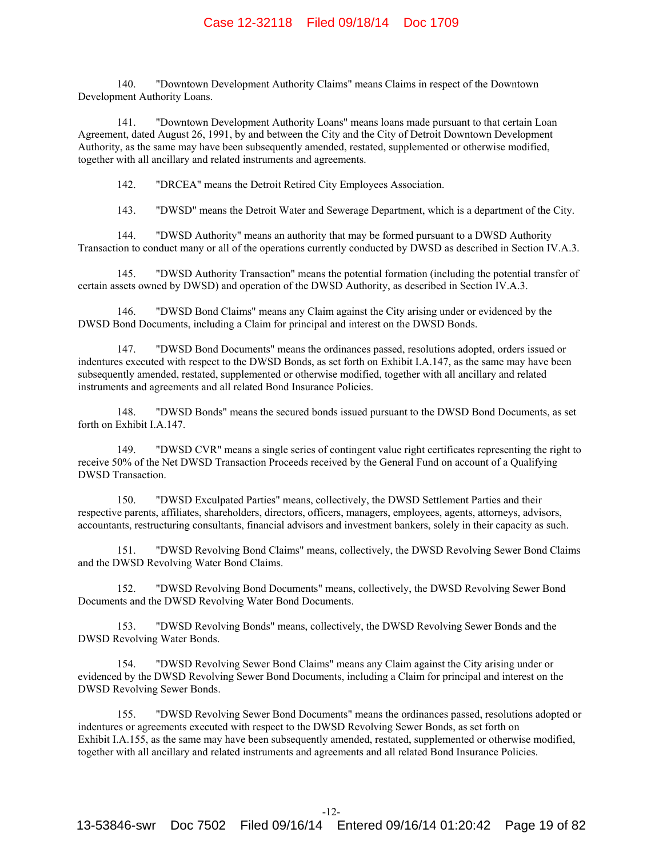140. "Downtown Development Authority Claims" means Claims in respect of the Downtown Development Authority Loans.

141. "Downtown Development Authority Loans" means loans made pursuant to that certain Loan Agreement, dated August 26, 1991, by and between the City and the City of Detroit Downtown Development Authority, as the same may have been subsequently amended, restated, supplemented or otherwise modified, together with all ancillary and related instruments and agreements.

142. "DRCEA" means the Detroit Retired City Employees Association.

143. "DWSD" means the Detroit Water and Sewerage Department, which is a department of the City.

144. "DWSD Authority" means an authority that may be formed pursuant to a DWSD Authority Transaction to conduct many or all of the operations currently conducted by DWSD as described in Section IV.A.3.

145. "DWSD Authority Transaction" means the potential formation (including the potential transfer of certain assets owned by DWSD) and operation of the DWSD Authority, as described in Section IV.A.3.

146. "DWSD Bond Claims" means any Claim against the City arising under or evidenced by the DWSD Bond Documents, including a Claim for principal and interest on the DWSD Bonds.

147. "DWSD Bond Documents" means the ordinances passed, resolutions adopted, orders issued or indentures executed with respect to the DWSD Bonds, as set forth on Exhibit I.A.147, as the same may have been subsequently amended, restated, supplemented or otherwise modified, together with all ancillary and related instruments and agreements and all related Bond Insurance Policies.

148. "DWSD Bonds" means the secured bonds issued pursuant to the DWSD Bond Documents, as set forth on Exhibit I.A.147.

149. "DWSD CVR" means a single series of contingent value right certificates representing the right to receive 50% of the Net DWSD Transaction Proceeds received by the General Fund on account of a Qualifying DWSD Transaction.

150. "DWSD Exculpated Parties" means, collectively, the DWSD Settlement Parties and their respective parents, affiliates, shareholders, directors, officers, managers, employees, agents, attorneys, advisors, accountants, restructuring consultants, financial advisors and investment bankers, solely in their capacity as such.

151. "DWSD Revolving Bond Claims" means, collectively, the DWSD Revolving Sewer Bond Claims and the DWSD Revolving Water Bond Claims.

152. "DWSD Revolving Bond Documents" means, collectively, the DWSD Revolving Sewer Bond Documents and the DWSD Revolving Water Bond Documents.

153. "DWSD Revolving Bonds" means, collectively, the DWSD Revolving Sewer Bonds and the DWSD Revolving Water Bonds.

154. "DWSD Revolving Sewer Bond Claims" means any Claim against the City arising under or evidenced by the DWSD Revolving Sewer Bond Documents, including a Claim for principal and interest on the DWSD Revolving Sewer Bonds.

155. "DWSD Revolving Sewer Bond Documents" means the ordinances passed, resolutions adopted or indentures or agreements executed with respect to the DWSD Revolving Sewer Bonds, as set forth on Exhibit I.A.155, as the same may have been subsequently amended, restated, supplemented or otherwise modified, together with all ancillary and related instruments and agreements and all related Bond Insurance Policies.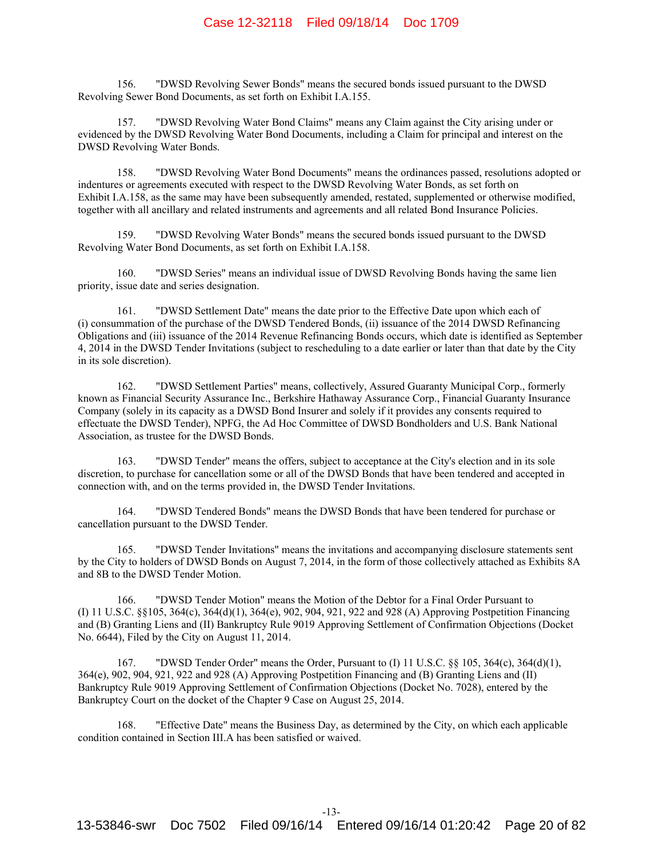156. "DWSD Revolving Sewer Bonds" means the secured bonds issued pursuant to the DWSD Revolving Sewer Bond Documents, as set forth on Exhibit I.A.155.

157. "DWSD Revolving Water Bond Claims" means any Claim against the City arising under or evidenced by the DWSD Revolving Water Bond Documents, including a Claim for principal and interest on the DWSD Revolving Water Bonds.

158. "DWSD Revolving Water Bond Documents" means the ordinances passed, resolutions adopted or indentures or agreements executed with respect to the DWSD Revolving Water Bonds, as set forth on Exhibit I.A.158, as the same may have been subsequently amended, restated, supplemented or otherwise modified, together with all ancillary and related instruments and agreements and all related Bond Insurance Policies.

159. "DWSD Revolving Water Bonds" means the secured bonds issued pursuant to the DWSD Revolving Water Bond Documents, as set forth on Exhibit I.A.158.

160. "DWSD Series" means an individual issue of DWSD Revolving Bonds having the same lien priority, issue date and series designation.

161. "DWSD Settlement Date" means the date prior to the Effective Date upon which each of (i) consummation of the purchase of the DWSD Tendered Bonds, (ii) issuance of the 2014 DWSD Refinancing Obligations and (iii) issuance of the 2014 Revenue Refinancing Bonds occurs, which date is identified as September 4, 2014 in the DWSD Tender Invitations (subject to rescheduling to a date earlier or later than that date by the City in its sole discretion).

162. "DWSD Settlement Parties" means, collectively, Assured Guaranty Municipal Corp., formerly known as Financial Security Assurance Inc., Berkshire Hathaway Assurance Corp., Financial Guaranty Insurance Company (solely in its capacity as a DWSD Bond Insurer and solely if it provides any consents required to effectuate the DWSD Tender), NPFG, the Ad Hoc Committee of DWSD Bondholders and U.S. Bank National Association, as trustee for the DWSD Bonds.

163. "DWSD Tender" means the offers, subject to acceptance at the City's election and in its sole discretion, to purchase for cancellation some or all of the DWSD Bonds that have been tendered and accepted in connection with, and on the terms provided in, the DWSD Tender Invitations.

164. "DWSD Tendered Bonds" means the DWSD Bonds that have been tendered for purchase or cancellation pursuant to the DWSD Tender.

165. "DWSD Tender Invitations" means the invitations and accompanying disclosure statements sent by the City to holders of DWSD Bonds on August 7, 2014, in the form of those collectively attached as Exhibits 8A and 8B to the DWSD Tender Motion.

166. "DWSD Tender Motion" means the Motion of the Debtor for a Final Order Pursuant to (I) 11 U.S.C. §§105, 364(c), 364(d)(1), 364(e), 902, 904, 921, 922 and 928 (A) Approving Postpetition Financing and (B) Granting Liens and (II) Bankruptcy Rule 9019 Approving Settlement of Confirmation Objections (Docket No. 6644), Filed by the City on August 11, 2014.

167. "DWSD Tender Order" means the Order, Pursuant to (I) 11 U.S.C. §§ 105, 364(c), 364(d)(1), 364(e), 902, 904, 921, 922 and 928 (A) Approving Postpetition Financing and (B) Granting Liens and (II) Bankruptcy Rule 9019 Approving Settlement of Confirmation Objections (Docket No. 7028), entered by the Bankruptcy Court on the docket of the Chapter 9 Case on August 25, 2014.

168. "Effective Date" means the Business Day, as determined by the City, on which each applicable condition contained in Section III.A has been satisfied or waived.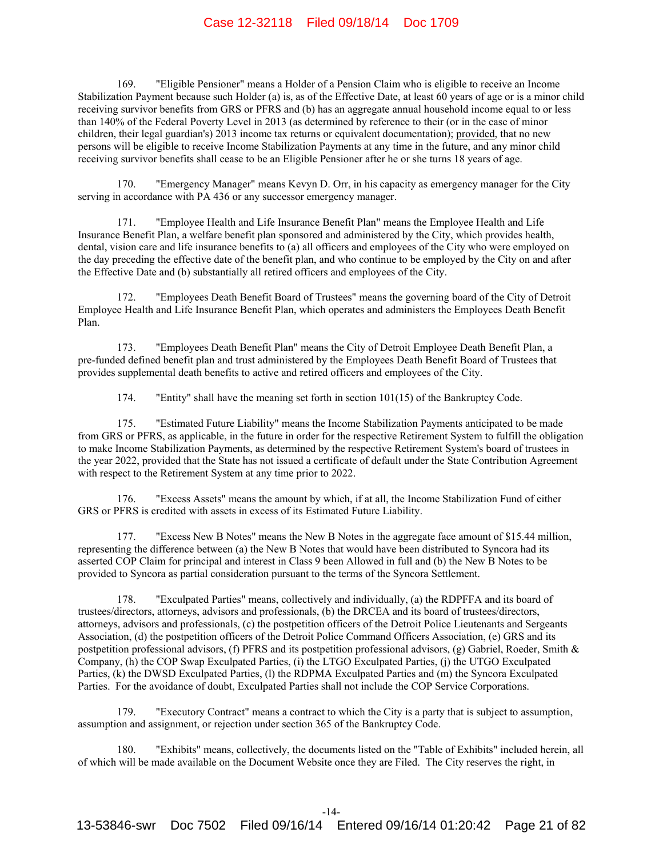169. "Eligible Pensioner" means a Holder of a Pension Claim who is eligible to receive an Income Stabilization Payment because such Holder (a) is, as of the Effective Date, at least 60 years of age or is a minor child receiving survivor benefits from GRS or PFRS and (b) has an aggregate annual household income equal to or less than 140% of the Federal Poverty Level in 2013 (as determined by reference to their (or in the case of minor children, their legal guardian's) 2013 income tax returns or equivalent documentation); provided, that no new persons will be eligible to receive Income Stabilization Payments at any time in the future, and any minor child receiving survivor benefits shall cease to be an Eligible Pensioner after he or she turns 18 years of age.

170. "Emergency Manager" means Kevyn D. Orr, in his capacity as emergency manager for the City serving in accordance with PA 436 or any successor emergency manager.

171. "Employee Health and Life Insurance Benefit Plan" means the Employee Health and Life Insurance Benefit Plan, a welfare benefit plan sponsored and administered by the City, which provides health, dental, vision care and life insurance benefits to (a) all officers and employees of the City who were employed on the day preceding the effective date of the benefit plan, and who continue to be employed by the City on and after the Effective Date and (b) substantially all retired officers and employees of the City.

172. "Employees Death Benefit Board of Trustees" means the governing board of the City of Detroit Employee Health and Life Insurance Benefit Plan, which operates and administers the Employees Death Benefit Plan.

173. "Employees Death Benefit Plan" means the City of Detroit Employee Death Benefit Plan, a pre-funded defined benefit plan and trust administered by the Employees Death Benefit Board of Trustees that provides supplemental death benefits to active and retired officers and employees of the City.

174. "Entity" shall have the meaning set forth in section 101(15) of the Bankruptcy Code.

175. "Estimated Future Liability" means the Income Stabilization Payments anticipated to be made from GRS or PFRS, as applicable, in the future in order for the respective Retirement System to fulfill the obligation to make Income Stabilization Payments, as determined by the respective Retirement System's board of trustees in the year 2022, provided that the State has not issued a certificate of default under the State Contribution Agreement with respect to the Retirement System at any time prior to 2022.

176. "Excess Assets" means the amount by which, if at all, the Income Stabilization Fund of either GRS or PFRS is credited with assets in excess of its Estimated Future Liability.

177. "Excess New B Notes" means the New B Notes in the aggregate face amount of \$15.44 million, representing the difference between (a) the New B Notes that would have been distributed to Syncora had its asserted COP Claim for principal and interest in Class 9 been Allowed in full and (b) the New B Notes to be provided to Syncora as partial consideration pursuant to the terms of the Syncora Settlement.

178. "Exculpated Parties" means, collectively and individually, (a) the RDPFFA and its board of trustees/directors, attorneys, advisors and professionals, (b) the DRCEA and its board of trustees/directors, attorneys, advisors and professionals, (c) the postpetition officers of the Detroit Police Lieutenants and Sergeants Association, (d) the postpetition officers of the Detroit Police Command Officers Association, (e) GRS and its postpetition professional advisors, (f) PFRS and its postpetition professional advisors, (g) Gabriel, Roeder, Smith & Company, (h) the COP Swap Exculpated Parties, (i) the LTGO Exculpated Parties, (j) the UTGO Exculpated Parties, (k) the DWSD Exculpated Parties, (l) the RDPMA Exculpated Parties and (m) the Syncora Exculpated Parties. For the avoidance of doubt, Exculpated Parties shall not include the COP Service Corporations.

179. "Executory Contract" means a contract to which the City is a party that is subject to assumption, assumption and assignment, or rejection under section 365 of the Bankruptcy Code.

180. "Exhibits" means, collectively, the documents listed on the "Table of Exhibits" included herein, all of which will be made available on the Document Website once they are Filed. The City reserves the right, in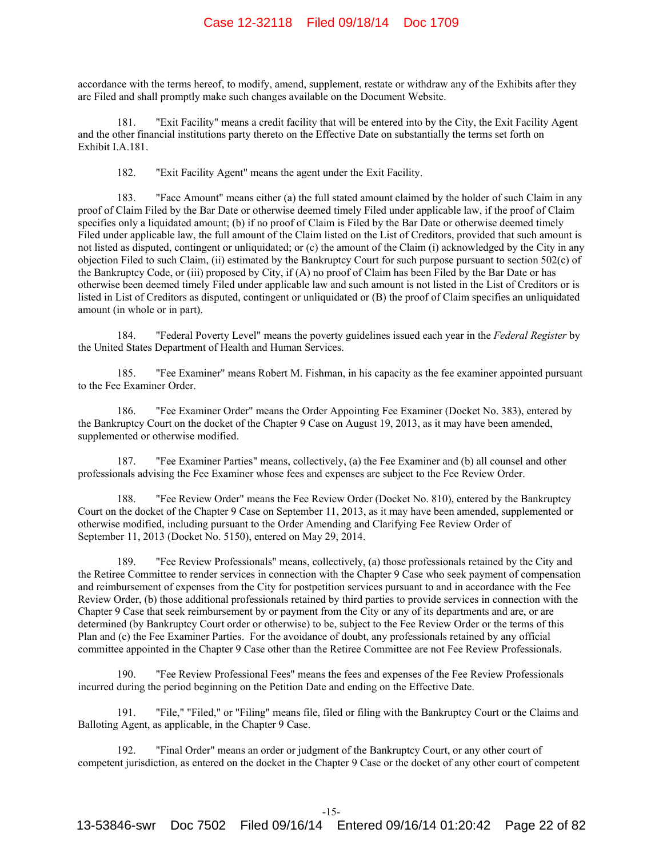accordance with the terms hereof, to modify, amend, supplement, restate or withdraw any of the Exhibits after they are Filed and shall promptly make such changes available on the Document Website.

181. "Exit Facility" means a credit facility that will be entered into by the City, the Exit Facility Agent and the other financial institutions party thereto on the Effective Date on substantially the terms set forth on Exhibit I.A.181.

182. "Exit Facility Agent" means the agent under the Exit Facility.

183. "Face Amount" means either (a) the full stated amount claimed by the holder of such Claim in any proof of Claim Filed by the Bar Date or otherwise deemed timely Filed under applicable law, if the proof of Claim specifies only a liquidated amount; (b) if no proof of Claim is Filed by the Bar Date or otherwise deemed timely Filed under applicable law, the full amount of the Claim listed on the List of Creditors, provided that such amount is not listed as disputed, contingent or unliquidated; or (c) the amount of the Claim (i) acknowledged by the City in any objection Filed to such Claim, (ii) estimated by the Bankruptcy Court for such purpose pursuant to section 502(c) of the Bankruptcy Code, or (iii) proposed by City, if (A) no proof of Claim has been Filed by the Bar Date or has otherwise been deemed timely Filed under applicable law and such amount is not listed in the List of Creditors or is listed in List of Creditors as disputed, contingent or unliquidated or (B) the proof of Claim specifies an unliquidated amount (in whole or in part).

184. "Federal Poverty Level" means the poverty guidelines issued each year in the *Federal Register* by the United States Department of Health and Human Services.

185. "Fee Examiner" means Robert M. Fishman, in his capacity as the fee examiner appointed pursuant to the Fee Examiner Order.

186. "Fee Examiner Order" means the Order Appointing Fee Examiner (Docket No. 383), entered by the Bankruptcy Court on the docket of the Chapter 9 Case on August 19, 2013, as it may have been amended, supplemented or otherwise modified.

187. "Fee Examiner Parties" means, collectively, (a) the Fee Examiner and (b) all counsel and other professionals advising the Fee Examiner whose fees and expenses are subject to the Fee Review Order.

188. "Fee Review Order" means the Fee Review Order (Docket No. 810), entered by the Bankruptcy Court on the docket of the Chapter 9 Case on September 11, 2013, as it may have been amended, supplemented or otherwise modified, including pursuant to the Order Amending and Clarifying Fee Review Order of September 11, 2013 (Docket No. 5150), entered on May 29, 2014.

189. "Fee Review Professionals" means, collectively, (a) those professionals retained by the City and the Retiree Committee to render services in connection with the Chapter 9 Case who seek payment of compensation and reimbursement of expenses from the City for postpetition services pursuant to and in accordance with the Fee Review Order, (b) those additional professionals retained by third parties to provide services in connection with the Chapter 9 Case that seek reimbursement by or payment from the City or any of its departments and are, or are determined (by Bankruptcy Court order or otherwise) to be, subject to the Fee Review Order or the terms of this Plan and (c) the Fee Examiner Parties. For the avoidance of doubt, any professionals retained by any official committee appointed in the Chapter 9 Case other than the Retiree Committee are not Fee Review Professionals.

190. "Fee Review Professional Fees" means the fees and expenses of the Fee Review Professionals incurred during the period beginning on the Petition Date and ending on the Effective Date.

191. "File," "Filed," or "Filing" means file, filed or filing with the Bankruptcy Court or the Claims and Balloting Agent, as applicable, in the Chapter 9 Case.

192. "Final Order" means an order or judgment of the Bankruptcy Court, or any other court of competent jurisdiction, as entered on the docket in the Chapter 9 Case or the docket of any other court of competent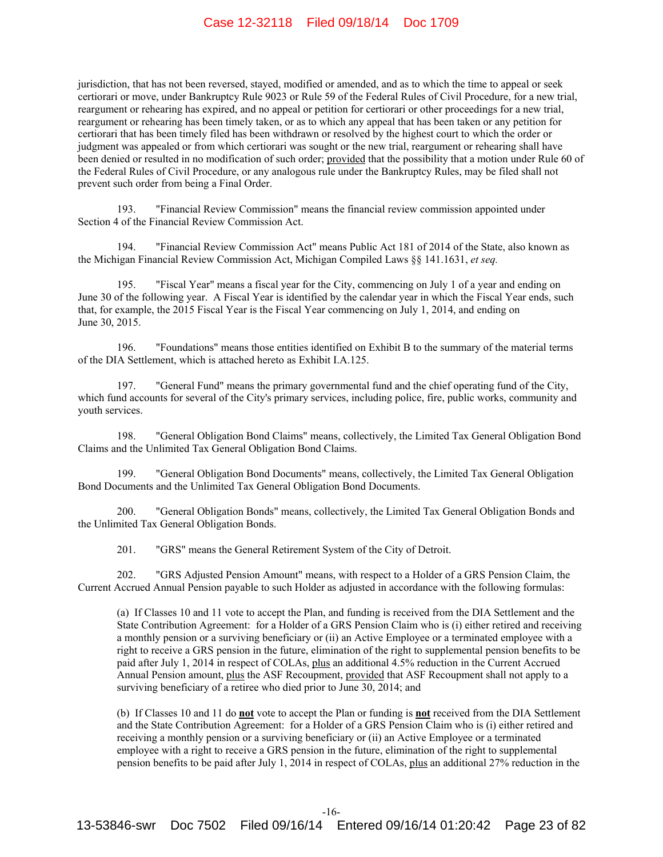jurisdiction, that has not been reversed, stayed, modified or amended, and as to which the time to appeal or seek certiorari or move, under Bankruptcy Rule 9023 or Rule 59 of the Federal Rules of Civil Procedure, for a new trial, reargument or rehearing has expired, and no appeal or petition for certiorari or other proceedings for a new trial, reargument or rehearing has been timely taken, or as to which any appeal that has been taken or any petition for certiorari that has been timely filed has been withdrawn or resolved by the highest court to which the order or judgment was appealed or from which certiorari was sought or the new trial, reargument or rehearing shall have been denied or resulted in no modification of such order; provided that the possibility that a motion under Rule 60 of the Federal Rules of Civil Procedure, or any analogous rule under the Bankruptcy Rules, may be filed shall not prevent such order from being a Final Order.

193. "Financial Review Commission" means the financial review commission appointed under Section 4 of the Financial Review Commission Act.

194. "Financial Review Commission Act" means Public Act 181 of 2014 of the State, also known as the Michigan Financial Review Commission Act, Michigan Compiled Laws §§ 141.1631, *et seq.*

195. "Fiscal Year" means a fiscal year for the City, commencing on July 1 of a year and ending on June 30 of the following year. A Fiscal Year is identified by the calendar year in which the Fiscal Year ends, such that, for example, the 2015 Fiscal Year is the Fiscal Year commencing on July 1, 2014, and ending on June 30, 2015.

196. "Foundations" means those entities identified on Exhibit B to the summary of the material terms of the DIA Settlement, which is attached hereto as Exhibit I.A.125.

197. "General Fund" means the primary governmental fund and the chief operating fund of the City, which fund accounts for several of the City's primary services, including police, fire, public works, community and youth services.

198. "General Obligation Bond Claims" means, collectively, the Limited Tax General Obligation Bond Claims and the Unlimited Tax General Obligation Bond Claims.

199. "General Obligation Bond Documents" means, collectively, the Limited Tax General Obligation Bond Documents and the Unlimited Tax General Obligation Bond Documents.

200. "General Obligation Bonds" means, collectively, the Limited Tax General Obligation Bonds and the Unlimited Tax General Obligation Bonds.

201. "GRS" means the General Retirement System of the City of Detroit.

202. "GRS Adjusted Pension Amount" means, with respect to a Holder of a GRS Pension Claim, the Current Accrued Annual Pension payable to such Holder as adjusted in accordance with the following formulas:

(a) If Classes 10 and 11 vote to accept the Plan, and funding is received from the DIA Settlement and the State Contribution Agreement: for a Holder of a GRS Pension Claim who is (i) either retired and receiving a monthly pension or a surviving beneficiary or (ii) an Active Employee or a terminated employee with a right to receive a GRS pension in the future, elimination of the right to supplemental pension benefits to be paid after July 1, 2014 in respect of COLAs, plus an additional 4.5% reduction in the Current Accrued Annual Pension amount, plus the ASF Recoupment, provided that ASF Recoupment shall not apply to a surviving beneficiary of a retiree who died prior to June 30, 2014; and

(b) If Classes 10 and 11 do **not** vote to accept the Plan or funding is **not** received from the DIA Settlement and the State Contribution Agreement: for a Holder of a GRS Pension Claim who is (i) either retired and receiving a monthly pension or a surviving beneficiary or (ii) an Active Employee or a terminated employee with a right to receive a GRS pension in the future, elimination of the right to supplemental pension benefits to be paid after July 1, 2014 in respect of COLAs, plus an additional 27% reduction in the

-16-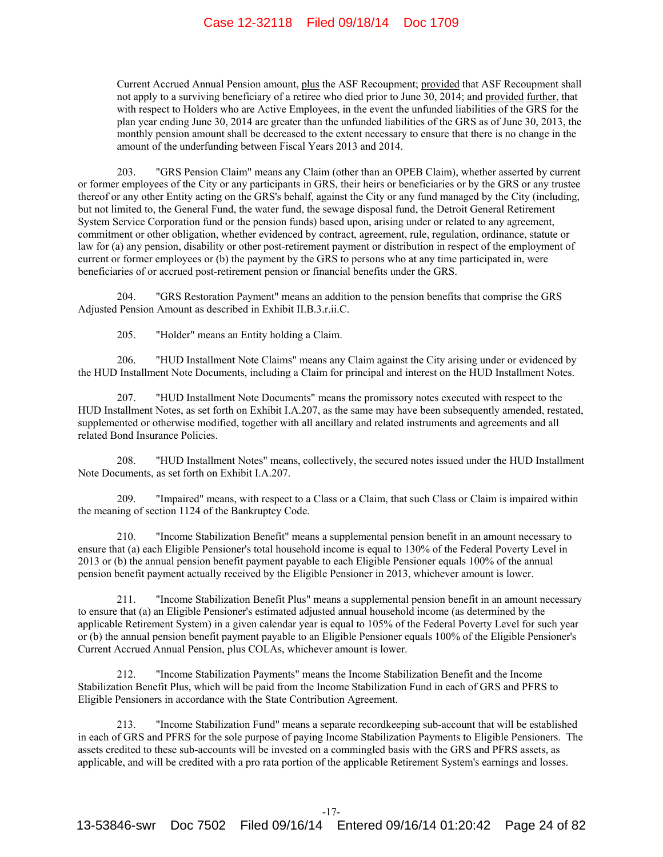Current Accrued Annual Pension amount, plus the ASF Recoupment; provided that ASF Recoupment shall not apply to a surviving beneficiary of a retiree who died prior to June 30, 2014; and provided further, that with respect to Holders who are Active Employees, in the event the unfunded liabilities of the GRS for the plan year ending June 30, 2014 are greater than the unfunded liabilities of the GRS as of June 30, 2013, the monthly pension amount shall be decreased to the extent necessary to ensure that there is no change in the amount of the underfunding between Fiscal Years 2013 and 2014.

203. "GRS Pension Claim" means any Claim (other than an OPEB Claim), whether asserted by current or former employees of the City or any participants in GRS, their heirs or beneficiaries or by the GRS or any trustee thereof or any other Entity acting on the GRS's behalf, against the City or any fund managed by the City (including, but not limited to, the General Fund, the water fund, the sewage disposal fund, the Detroit General Retirement System Service Corporation fund or the pension funds) based upon, arising under or related to any agreement, commitment or other obligation, whether evidenced by contract, agreement, rule, regulation, ordinance, statute or law for (a) any pension, disability or other post-retirement payment or distribution in respect of the employment of current or former employees or (b) the payment by the GRS to persons who at any time participated in, were beneficiaries of or accrued post-retirement pension or financial benefits under the GRS.

204. "GRS Restoration Payment" means an addition to the pension benefits that comprise the GRS Adjusted Pension Amount as described in Exhibit II.B.3.r.ii.C.

205. "Holder" means an Entity holding a Claim.

206. "HUD Installment Note Claims" means any Claim against the City arising under or evidenced by the HUD Installment Note Documents, including a Claim for principal and interest on the HUD Installment Notes.

207. "HUD Installment Note Documents" means the promissory notes executed with respect to the HUD Installment Notes, as set forth on Exhibit I.A.207, as the same may have been subsequently amended, restated, supplemented or otherwise modified, together with all ancillary and related instruments and agreements and all related Bond Insurance Policies.

208. "HUD Installment Notes" means, collectively, the secured notes issued under the HUD Installment Note Documents, as set forth on Exhibit I.A.207.

209. "Impaired" means, with respect to a Class or a Claim, that such Class or Claim is impaired within the meaning of section 1124 of the Bankruptcy Code.

210. "Income Stabilization Benefit" means a supplemental pension benefit in an amount necessary to ensure that (a) each Eligible Pensioner's total household income is equal to 130% of the Federal Poverty Level in 2013 or (b) the annual pension benefit payment payable to each Eligible Pensioner equals 100% of the annual pension benefit payment actually received by the Eligible Pensioner in 2013, whichever amount is lower.

211. "Income Stabilization Benefit Plus" means a supplemental pension benefit in an amount necessary to ensure that (a) an Eligible Pensioner's estimated adjusted annual household income (as determined by the applicable Retirement System) in a given calendar year is equal to 105% of the Federal Poverty Level for such year or (b) the annual pension benefit payment payable to an Eligible Pensioner equals 100% of the Eligible Pensioner's Current Accrued Annual Pension, plus COLAs, whichever amount is lower.

212. "Income Stabilization Payments" means the Income Stabilization Benefit and the Income Stabilization Benefit Plus, which will be paid from the Income Stabilization Fund in each of GRS and PFRS to Eligible Pensioners in accordance with the State Contribution Agreement.

213. "Income Stabilization Fund" means a separate recordkeeping sub-account that will be established in each of GRS and PFRS for the sole purpose of paying Income Stabilization Payments to Eligible Pensioners. The assets credited to these sub-accounts will be invested on a commingled basis with the GRS and PFRS assets, as applicable, and will be credited with a pro rata portion of the applicable Retirement System's earnings and losses.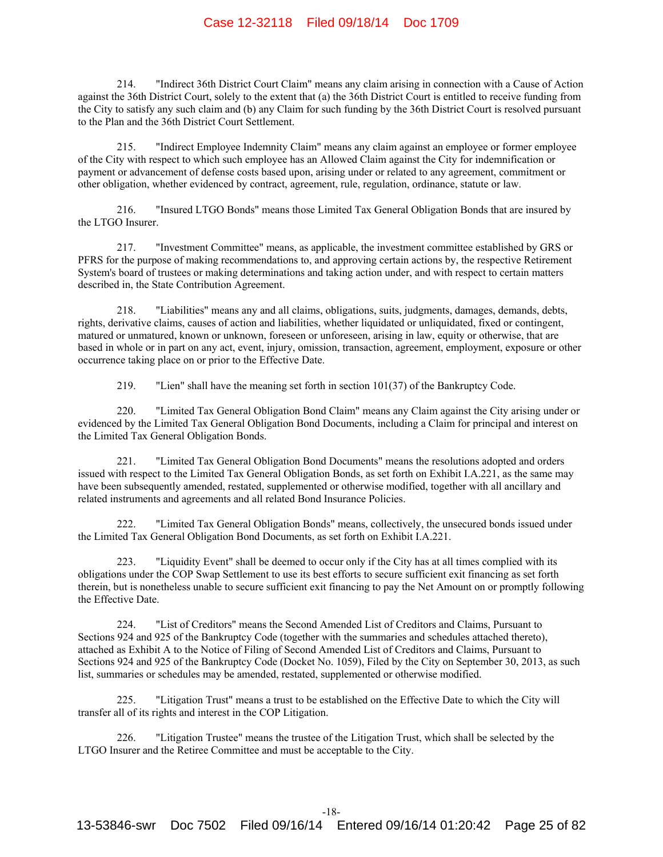214. "Indirect 36th District Court Claim" means any claim arising in connection with a Cause of Action against the 36th District Court, solely to the extent that (a) the 36th District Court is entitled to receive funding from the City to satisfy any such claim and (b) any Claim for such funding by the 36th District Court is resolved pursuant to the Plan and the 36th District Court Settlement.

215. "Indirect Employee Indemnity Claim" means any claim against an employee or former employee of the City with respect to which such employee has an Allowed Claim against the City for indemnification or payment or advancement of defense costs based upon, arising under or related to any agreement, commitment or other obligation, whether evidenced by contract, agreement, rule, regulation, ordinance, statute or law.

216. "Insured LTGO Bonds" means those Limited Tax General Obligation Bonds that are insured by the LTGO Insurer.

217. "Investment Committee" means, as applicable, the investment committee established by GRS or PFRS for the purpose of making recommendations to, and approving certain actions by, the respective Retirement System's board of trustees or making determinations and taking action under, and with respect to certain matters described in, the State Contribution Agreement.

218. "Liabilities" means any and all claims, obligations, suits, judgments, damages, demands, debts, rights, derivative claims, causes of action and liabilities, whether liquidated or unliquidated, fixed or contingent, matured or unmatured, known or unknown, foreseen or unforeseen, arising in law, equity or otherwise, that are based in whole or in part on any act, event, injury, omission, transaction, agreement, employment, exposure or other occurrence taking place on or prior to the Effective Date.

219. "Lien" shall have the meaning set forth in section 101(37) of the Bankruptcy Code.

220. "Limited Tax General Obligation Bond Claim" means any Claim against the City arising under or evidenced by the Limited Tax General Obligation Bond Documents, including a Claim for principal and interest on the Limited Tax General Obligation Bonds.

221. "Limited Tax General Obligation Bond Documents" means the resolutions adopted and orders issued with respect to the Limited Tax General Obligation Bonds, as set forth on Exhibit I.A.221, as the same may have been subsequently amended, restated, supplemented or otherwise modified, together with all ancillary and related instruments and agreements and all related Bond Insurance Policies.

222. "Limited Tax General Obligation Bonds" means, collectively, the unsecured bonds issued under the Limited Tax General Obligation Bond Documents, as set forth on Exhibit I.A.221.

223. "Liquidity Event" shall be deemed to occur only if the City has at all times complied with its obligations under the COP Swap Settlement to use its best efforts to secure sufficient exit financing as set forth therein, but is nonetheless unable to secure sufficient exit financing to pay the Net Amount on or promptly following the Effective Date.

224. "List of Creditors" means the Second Amended List of Creditors and Claims, Pursuant to Sections 924 and 925 of the Bankruptcy Code (together with the summaries and schedules attached thereto), attached as Exhibit A to the Notice of Filing of Second Amended List of Creditors and Claims, Pursuant to Sections 924 and 925 of the Bankruptcy Code (Docket No. 1059), Filed by the City on September 30, 2013, as such list, summaries or schedules may be amended, restated, supplemented or otherwise modified.

225. "Litigation Trust" means a trust to be established on the Effective Date to which the City will transfer all of its rights and interest in the COP Litigation.

226. "Litigation Trustee" means the trustee of the Litigation Trust, which shall be selected by the LTGO Insurer and the Retiree Committee and must be acceptable to the City.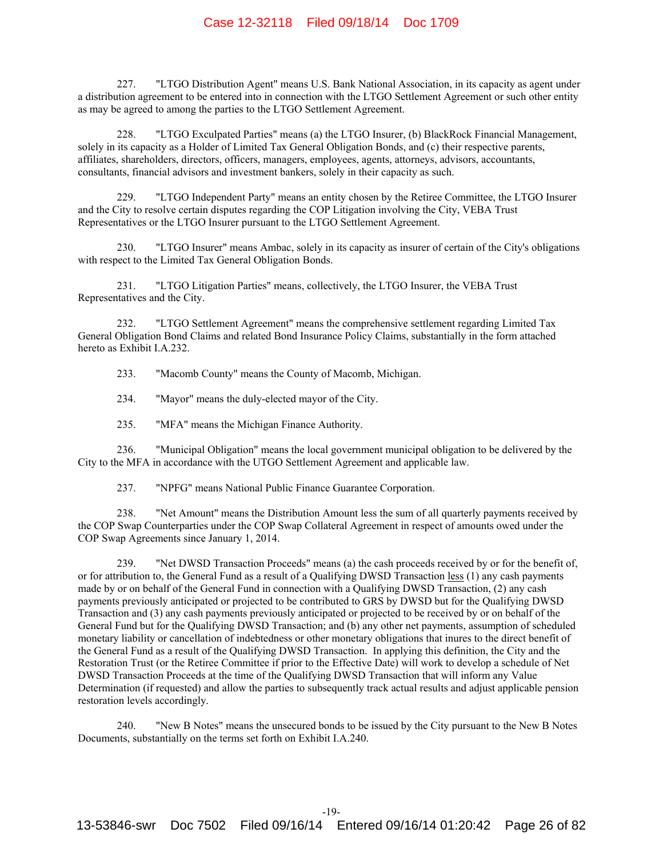227. "LTGO Distribution Agent" means U.S. Bank National Association, in its capacity as agent under a distribution agreement to be entered into in connection with the LTGO Settlement Agreement or such other entity as may be agreed to among the parties to the LTGO Settlement Agreement.

228. "LTGO Exculpated Parties" means (a) the LTGO Insurer, (b) BlackRock Financial Management, solely in its capacity as a Holder of Limited Tax General Obligation Bonds, and (c) their respective parents, affiliates, shareholders, directors, officers, managers, employees, agents, attorneys, advisors, accountants, consultants, financial advisors and investment bankers, solely in their capacity as such.

229. "LTGO Independent Party" means an entity chosen by the Retiree Committee, the LTGO Insurer and the City to resolve certain disputes regarding the COP Litigation involving the City, VEBA Trust Representatives or the LTGO Insurer pursuant to the LTGO Settlement Agreement.

230. "LTGO Insurer" means Ambac, solely in its capacity as insurer of certain of the City's obligations with respect to the Limited Tax General Obligation Bonds.

231. "LTGO Litigation Parties" means, collectively, the LTGO Insurer, the VEBA Trust Representatives and the City.

232. "LTGO Settlement Agreement" means the comprehensive settlement regarding Limited Tax General Obligation Bond Claims and related Bond Insurance Policy Claims, substantially in the form attached hereto as Exhibit I.A.232.

233. "Macomb County" means the County of Macomb, Michigan.

234. "Mayor" means the duly-elected mayor of the City.

235. "MFA" means the Michigan Finance Authority.

236. "Municipal Obligation" means the local government municipal obligation to be delivered by the City to the MFA in accordance with the UTGO Settlement Agreement and applicable law.

237. "NPFG" means National Public Finance Guarantee Corporation.

238. "Net Amount" means the Distribution Amount less the sum of all quarterly payments received by the COP Swap Counterparties under the COP Swap Collateral Agreement in respect of amounts owed under the COP Swap Agreements since January 1, 2014.

239. "Net DWSD Transaction Proceeds" means (a) the cash proceeds received by or for the benefit of, or for attribution to, the General Fund as a result of a Qualifying DWSD Transaction less (1) any cash payments made by or on behalf of the General Fund in connection with a Qualifying DWSD Transaction, (2) any cash payments previously anticipated or projected to be contributed to GRS by DWSD but for the Qualifying DWSD Transaction and (3) any cash payments previously anticipated or projected to be received by or on behalf of the General Fund but for the Qualifying DWSD Transaction; and (b) any other net payments, assumption of scheduled monetary liability or cancellation of indebtedness or other monetary obligations that inures to the direct benefit of the General Fund as a result of the Qualifying DWSD Transaction. In applying this definition, the City and the Restoration Trust (or the Retiree Committee if prior to the Effective Date) will work to develop a schedule of Net DWSD Transaction Proceeds at the time of the Qualifying DWSD Transaction that will inform any Value Determination (if requested) and allow the parties to subsequently track actual results and adjust applicable pension restoration levels accordingly.

240. "New B Notes" means the unsecured bonds to be issued by the City pursuant to the New B Notes Documents, substantially on the terms set forth on Exhibit I.A.240.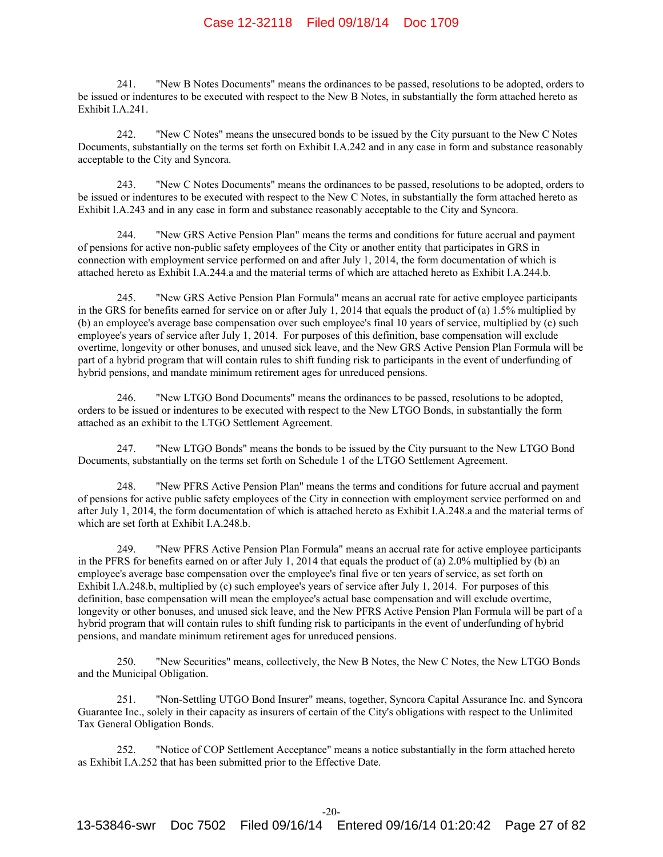241. "New B Notes Documents" means the ordinances to be passed, resolutions to be adopted, orders to be issued or indentures to be executed with respect to the New B Notes, in substantially the form attached hereto as Exhibit I.A.241.

242. "New C Notes" means the unsecured bonds to be issued by the City pursuant to the New C Notes Documents, substantially on the terms set forth on Exhibit I.A.242 and in any case in form and substance reasonably acceptable to the City and Syncora.

243. "New C Notes Documents" means the ordinances to be passed, resolutions to be adopted, orders to be issued or indentures to be executed with respect to the New C Notes, in substantially the form attached hereto as Exhibit I.A.243 and in any case in form and substance reasonably acceptable to the City and Syncora.

244. "New GRS Active Pension Plan" means the terms and conditions for future accrual and payment of pensions for active non-public safety employees of the City or another entity that participates in GRS in connection with employment service performed on and after July 1, 2014, the form documentation of which is attached hereto as Exhibit I.A.244.a and the material terms of which are attached hereto as Exhibit I.A.244.b.

245. "New GRS Active Pension Plan Formula" means an accrual rate for active employee participants in the GRS for benefits earned for service on or after July 1, 2014 that equals the product of (a) 1.5% multiplied by (b) an employee's average base compensation over such employee's final 10 years of service, multiplied by (c) such employee's years of service after July 1, 2014. For purposes of this definition, base compensation will exclude overtime, longevity or other bonuses, and unused sick leave, and the New GRS Active Pension Plan Formula will be part of a hybrid program that will contain rules to shift funding risk to participants in the event of underfunding of hybrid pensions, and mandate minimum retirement ages for unreduced pensions.

246. "New LTGO Bond Documents" means the ordinances to be passed, resolutions to be adopted, orders to be issued or indentures to be executed with respect to the New LTGO Bonds, in substantially the form attached as an exhibit to the LTGO Settlement Agreement.

247. "New LTGO Bonds" means the bonds to be issued by the City pursuant to the New LTGO Bond Documents, substantially on the terms set forth on Schedule 1 of the LTGO Settlement Agreement.

248. "New PFRS Active Pension Plan" means the terms and conditions for future accrual and payment of pensions for active public safety employees of the City in connection with employment service performed on and after July 1, 2014, the form documentation of which is attached hereto as Exhibit I.A.248.a and the material terms of which are set forth at Exhibit I.A.248.b.

249. "New PFRS Active Pension Plan Formula" means an accrual rate for active employee participants in the PFRS for benefits earned on or after July 1, 2014 that equals the product of (a) 2.0% multiplied by (b) an employee's average base compensation over the employee's final five or ten years of service, as set forth on Exhibit I.A.248.b, multiplied by (c) such employee's years of service after July 1, 2014. For purposes of this definition, base compensation will mean the employee's actual base compensation and will exclude overtime, longevity or other bonuses, and unused sick leave, and the New PFRS Active Pension Plan Formula will be part of a hybrid program that will contain rules to shift funding risk to participants in the event of underfunding of hybrid pensions, and mandate minimum retirement ages for unreduced pensions.

250. "New Securities" means, collectively, the New B Notes, the New C Notes, the New LTGO Bonds and the Municipal Obligation.

251. "Non-Settling UTGO Bond Insurer" means, together, Syncora Capital Assurance Inc. and Syncora Guarantee Inc., solely in their capacity as insurers of certain of the City's obligations with respect to the Unlimited Tax General Obligation Bonds.

252. "Notice of COP Settlement Acceptance" means a notice substantially in the form attached hereto as Exhibit I.A.252 that has been submitted prior to the Effective Date.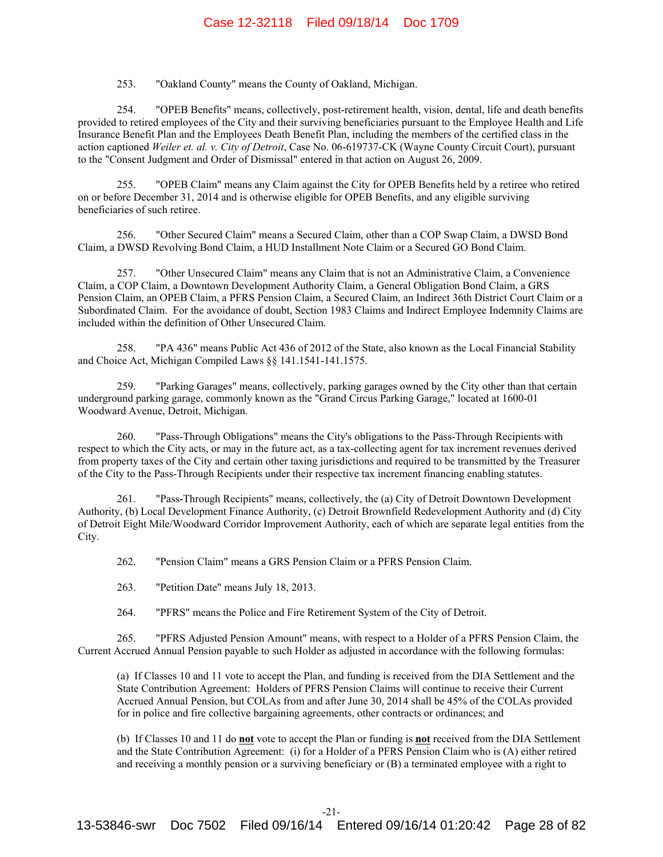253. "Oakland County" means the County of Oakland, Michigan.

254. "OPEB Benefits" means, collectively, post-retirement health, vision, dental, life and death benefits provided to retired employees of the City and their surviving beneficiaries pursuant to the Employee Health and Life Insurance Benefit Plan and the Employees Death Benefit Plan, including the members of the certified class in the action captioned *Weiler et. al. v. City of Detroit*, Case No. 06-619737-CK (Wayne County Circuit Court), pursuant to the "Consent Judgment and Order of Dismissal" entered in that action on August 26, 2009.

255. "OPEB Claim" means any Claim against the City for OPEB Benefits held by a retiree who retired on or before December 31, 2014 and is otherwise eligible for OPEB Benefits, and any eligible surviving beneficiaries of such retiree.

256. "Other Secured Claim" means a Secured Claim, other than a COP Swap Claim, a DWSD Bond Claim, a DWSD Revolving Bond Claim, a HUD Installment Note Claim or a Secured GO Bond Claim.

257. "Other Unsecured Claim" means any Claim that is not an Administrative Claim, a Convenience Claim, a COP Claim, a Downtown Development Authority Claim, a General Obligation Bond Claim, a GRS Pension Claim, an OPEB Claim, a PFRS Pension Claim, a Secured Claim, an Indirect 36th District Court Claim or a Subordinated Claim. For the avoidance of doubt, Section 1983 Claims and Indirect Employee Indemnity Claims are included within the definition of Other Unsecured Claim.

258. "PA 436" means Public Act 436 of 2012 of the State, also known as the Local Financial Stability and Choice Act, Michigan Compiled Laws §§ 141.1541-141.1575.

259. "Parking Garages" means, collectively, parking garages owned by the City other than that certain underground parking garage, commonly known as the "Grand Circus Parking Garage," located at 1600-01 Woodward Avenue, Detroit, Michigan.

260. "Pass-Through Obligations" means the City's obligations to the Pass-Through Recipients with respect to which the City acts, or may in the future act, as a tax-collecting agent for tax increment revenues derived from property taxes of the City and certain other taxing jurisdictions and required to be transmitted by the Treasurer of the City to the Pass-Through Recipients under their respective tax increment financing enabling statutes.

261. "Pass-Through Recipients" means, collectively, the (a) City of Detroit Downtown Development Authority, (b) Local Development Finance Authority, (c) Detroit Brownfield Redevelopment Authority and (d) City of Detroit Eight Mile/Woodward Corridor Improvement Authority, each of which are separate legal entities from the City.

262. "Pension Claim" means a GRS Pension Claim or a PFRS Pension Claim.

263. "Petition Date" means July 18, 2013.

264. "PFRS" means the Police and Fire Retirement System of the City of Detroit.

265. "PFRS Adjusted Pension Amount" means, with respect to a Holder of a PFRS Pension Claim, the Current Accrued Annual Pension payable to such Holder as adjusted in accordance with the following formulas:

(a) If Classes 10 and 11 vote to accept the Plan, and funding is received from the DIA Settlement and the State Contribution Agreement: Holders of PFRS Pension Claims will continue to receive their Current Accrued Annual Pension, but COLAs from and after June 30, 2014 shall be 45% of the COLAs provided for in police and fire collective bargaining agreements, other contracts or ordinances; and

(b) If Classes 10 and 11 do **not** vote to accept the Plan or funding is **not** received from the DIA Settlement and the State Contribution Agreement: (i) for a Holder of a PFRS Pension Claim who is (A) either retired and receiving a monthly pension or a surviving beneficiary or (B) a terminated employee with a right to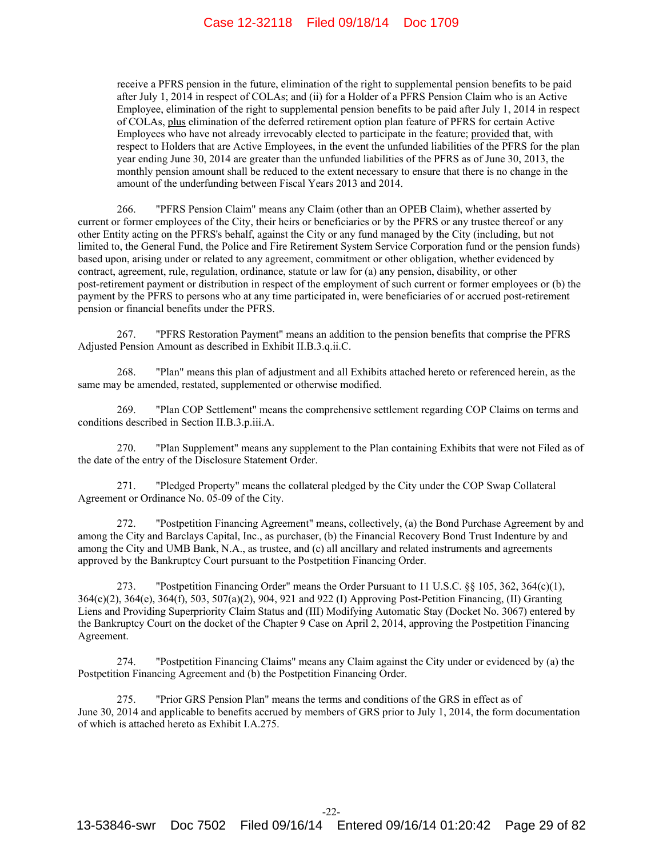receive a PFRS pension in the future, elimination of the right to supplemental pension benefits to be paid after July 1, 2014 in respect of COLAs; and (ii) for a Holder of a PFRS Pension Claim who is an Active Employee, elimination of the right to supplemental pension benefits to be paid after July 1, 2014 in respect of COLAs, plus elimination of the deferred retirement option plan feature of PFRS for certain Active Employees who have not already irrevocably elected to participate in the feature; provided that, with respect to Holders that are Active Employees, in the event the unfunded liabilities of the PFRS for the plan year ending June 30, 2014 are greater than the unfunded liabilities of the PFRS as of June 30, 2013, the monthly pension amount shall be reduced to the extent necessary to ensure that there is no change in the amount of the underfunding between Fiscal Years 2013 and 2014.

266. "PFRS Pension Claim" means any Claim (other than an OPEB Claim), whether asserted by current or former employees of the City, their heirs or beneficiaries or by the PFRS or any trustee thereof or any other Entity acting on the PFRS's behalf, against the City or any fund managed by the City (including, but not limited to, the General Fund, the Police and Fire Retirement System Service Corporation fund or the pension funds) based upon, arising under or related to any agreement, commitment or other obligation, whether evidenced by contract, agreement, rule, regulation, ordinance, statute or law for (a) any pension, disability, or other post-retirement payment or distribution in respect of the employment of such current or former employees or (b) the payment by the PFRS to persons who at any time participated in, were beneficiaries of or accrued post-retirement pension or financial benefits under the PFRS.

267. "PFRS Restoration Payment" means an addition to the pension benefits that comprise the PFRS Adjusted Pension Amount as described in Exhibit II.B.3.q.ii.C.

268. "Plan" means this plan of adjustment and all Exhibits attached hereto or referenced herein, as the same may be amended, restated, supplemented or otherwise modified.

269. "Plan COP Settlement" means the comprehensive settlement regarding COP Claims on terms and conditions described in Section II.B.3.p.iii.A.

270. "Plan Supplement" means any supplement to the Plan containing Exhibits that were not Filed as of the date of the entry of the Disclosure Statement Order.

271. "Pledged Property" means the collateral pledged by the City under the COP Swap Collateral Agreement or Ordinance No. 05-09 of the City.

272. "Postpetition Financing Agreement" means, collectively, (a) the Bond Purchase Agreement by and among the City and Barclays Capital, Inc., as purchaser, (b) the Financial Recovery Bond Trust Indenture by and among the City and UMB Bank, N.A., as trustee, and (c) all ancillary and related instruments and agreements approved by the Bankruptcy Court pursuant to the Postpetition Financing Order.

273. "Postpetition Financing Order" means the Order Pursuant to 11 U.S.C. §§ 105, 362, 364(c)(1), 364(c)(2), 364(e), 364(f), 503, 507(a)(2), 904, 921 and 922 (I) Approving Post-Petition Financing, (II) Granting Liens and Providing Superpriority Claim Status and (III) Modifying Automatic Stay (Docket No. 3067) entered by the Bankruptcy Court on the docket of the Chapter 9 Case on April 2, 2014, approving the Postpetition Financing Agreement.

274. "Postpetition Financing Claims" means any Claim against the City under or evidenced by (a) the Postpetition Financing Agreement and (b) the Postpetition Financing Order.

275. "Prior GRS Pension Plan" means the terms and conditions of the GRS in effect as of June 30, 2014 and applicable to benefits accrued by members of GRS prior to July 1, 2014, the form documentation of which is attached hereto as Exhibit I.A.275.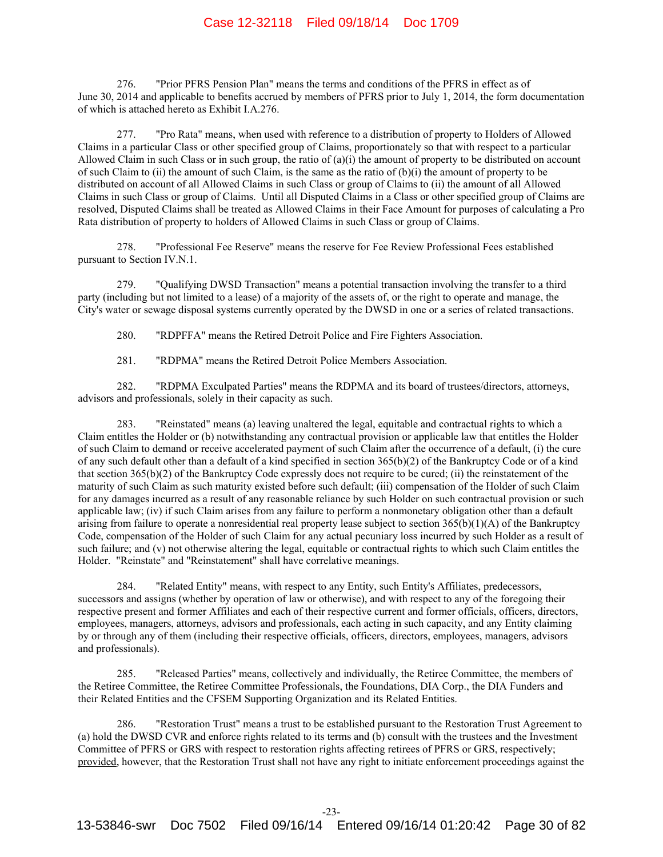276. "Prior PFRS Pension Plan" means the terms and conditions of the PFRS in effect as of June 30, 2014 and applicable to benefits accrued by members of PFRS prior to July 1, 2014, the form documentation of which is attached hereto as Exhibit I.A.276.

277. "Pro Rata" means, when used with reference to a distribution of property to Holders of Allowed Claims in a particular Class or other specified group of Claims, proportionately so that with respect to a particular Allowed Claim in such Class or in such group, the ratio of  $(a)(i)$  the amount of property to be distributed on account of such Claim to (ii) the amount of such Claim, is the same as the ratio of (b)(i) the amount of property to be distributed on account of all Allowed Claims in such Class or group of Claims to (ii) the amount of all Allowed Claims in such Class or group of Claims. Until all Disputed Claims in a Class or other specified group of Claims are resolved, Disputed Claims shall be treated as Allowed Claims in their Face Amount for purposes of calculating a Pro Rata distribution of property to holders of Allowed Claims in such Class or group of Claims.

278. "Professional Fee Reserve" means the reserve for Fee Review Professional Fees established pursuant to Section IV.N.1.

279. "Qualifying DWSD Transaction" means a potential transaction involving the transfer to a third party (including but not limited to a lease) of a majority of the assets of, or the right to operate and manage, the City's water or sewage disposal systems currently operated by the DWSD in one or a series of related transactions.

280. "RDPFFA" means the Retired Detroit Police and Fire Fighters Association.

281. "RDPMA" means the Retired Detroit Police Members Association.

282. "RDPMA Exculpated Parties" means the RDPMA and its board of trustees/directors, attorneys, advisors and professionals, solely in their capacity as such.

283. "Reinstated" means (a) leaving unaltered the legal, equitable and contractual rights to which a Claim entitles the Holder or (b) notwithstanding any contractual provision or applicable law that entitles the Holder of such Claim to demand or receive accelerated payment of such Claim after the occurrence of a default, (i) the cure of any such default other than a default of a kind specified in section 365(b)(2) of the Bankruptcy Code or of a kind that section 365(b)(2) of the Bankruptcy Code expressly does not require to be cured; (ii) the reinstatement of the maturity of such Claim as such maturity existed before such default; (iii) compensation of the Holder of such Claim for any damages incurred as a result of any reasonable reliance by such Holder on such contractual provision or such applicable law; (iv) if such Claim arises from any failure to perform a nonmonetary obligation other than a default arising from failure to operate a nonresidential real property lease subject to section 365(b)(1)(A) of the Bankruptcy Code, compensation of the Holder of such Claim for any actual pecuniary loss incurred by such Holder as a result of such failure; and (v) not otherwise altering the legal, equitable or contractual rights to which such Claim entitles the Holder. "Reinstate" and "Reinstatement" shall have correlative meanings.

284. "Related Entity" means, with respect to any Entity, such Entity's Affiliates, predecessors, successors and assigns (whether by operation of law or otherwise), and with respect to any of the foregoing their respective present and former Affiliates and each of their respective current and former officials, officers, directors, employees, managers, attorneys, advisors and professionals, each acting in such capacity, and any Entity claiming by or through any of them (including their respective officials, officers, directors, employees, managers, advisors and professionals).

285. "Released Parties" means, collectively and individually, the Retiree Committee, the members of the Retiree Committee, the Retiree Committee Professionals, the Foundations, DIA Corp., the DIA Funders and their Related Entities and the CFSEM Supporting Organization and its Related Entities.

286. "Restoration Trust" means a trust to be established pursuant to the Restoration Trust Agreement to (a) hold the DWSD CVR and enforce rights related to its terms and (b) consult with the trustees and the Investment Committee of PFRS or GRS with respect to restoration rights affecting retirees of PFRS or GRS, respectively; provided, however, that the Restoration Trust shall not have any right to initiate enforcement proceedings against the

-23-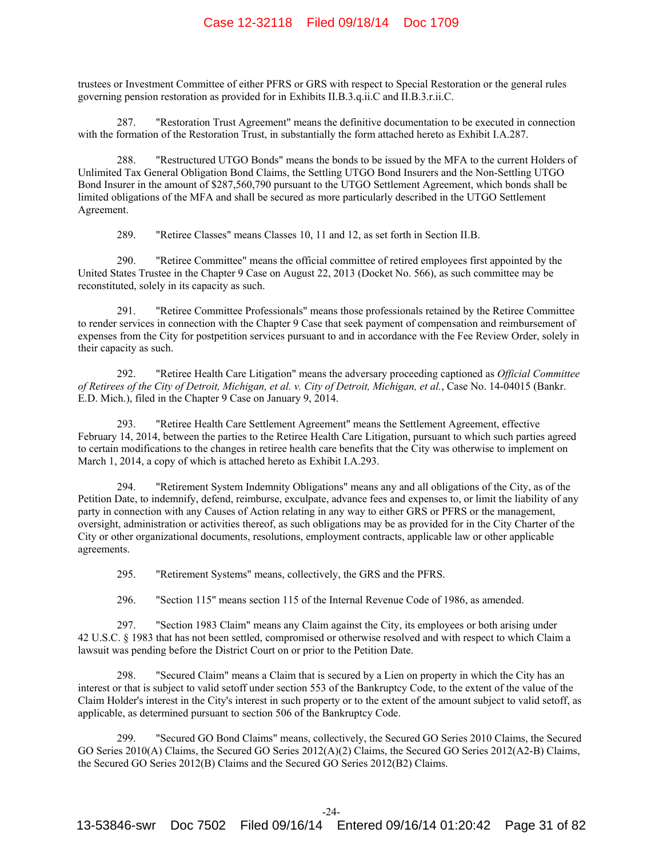trustees or Investment Committee of either PFRS or GRS with respect to Special Restoration or the general rules governing pension restoration as provided for in Exhibits II.B.3.q.ii.C and II.B.3.r.ii.C.

287. "Restoration Trust Agreement" means the definitive documentation to be executed in connection with the formation of the Restoration Trust, in substantially the form attached hereto as Exhibit I.A.287.

288. "Restructured UTGO Bonds" means the bonds to be issued by the MFA to the current Holders of Unlimited Tax General Obligation Bond Claims, the Settling UTGO Bond Insurers and the Non-Settling UTGO Bond Insurer in the amount of \$287,560,790 pursuant to the UTGO Settlement Agreement, which bonds shall be limited obligations of the MFA and shall be secured as more particularly described in the UTGO Settlement Agreement.

289. "Retiree Classes" means Classes 10, 11 and 12, as set forth in Section II.B.

290. "Retiree Committee" means the official committee of retired employees first appointed by the United States Trustee in the Chapter 9 Case on August 22, 2013 (Docket No. 566), as such committee may be reconstituted, solely in its capacity as such.

291. "Retiree Committee Professionals" means those professionals retained by the Retiree Committee to render services in connection with the Chapter 9 Case that seek payment of compensation and reimbursement of expenses from the City for postpetition services pursuant to and in accordance with the Fee Review Order, solely in their capacity as such.

292. "Retiree Health Care Litigation" means the adversary proceeding captioned as *Official Committee of Retirees of the City of Detroit, Michigan, et al. v. City of Detroit, Michigan, et al.*, Case No. 14-04015 (Bankr. E.D. Mich.), filed in the Chapter 9 Case on January 9, 2014.

293. "Retiree Health Care Settlement Agreement" means the Settlement Agreement, effective February 14, 2014, between the parties to the Retiree Health Care Litigation, pursuant to which such parties agreed to certain modifications to the changes in retiree health care benefits that the City was otherwise to implement on March 1, 2014, a copy of which is attached hereto as Exhibit I.A.293.

294. "Retirement System Indemnity Obligations" means any and all obligations of the City, as of the Petition Date, to indemnify, defend, reimburse, exculpate, advance fees and expenses to, or limit the liability of any party in connection with any Causes of Action relating in any way to either GRS or PFRS or the management, oversight, administration or activities thereof, as such obligations may be as provided for in the City Charter of the City or other organizational documents, resolutions, employment contracts, applicable law or other applicable agreements.

295. "Retirement Systems" means, collectively, the GRS and the PFRS.

296. "Section 115" means section 115 of the Internal Revenue Code of 1986, as amended.

297. "Section 1983 Claim" means any Claim against the City, its employees or both arising under 42 U.S.C. § 1983 that has not been settled, compromised or otherwise resolved and with respect to which Claim a lawsuit was pending before the District Court on or prior to the Petition Date.

298. "Secured Claim" means a Claim that is secured by a Lien on property in which the City has an interest or that is subject to valid setoff under section 553 of the Bankruptcy Code, to the extent of the value of the Claim Holder's interest in the City's interest in such property or to the extent of the amount subject to valid setoff, as applicable, as determined pursuant to section 506 of the Bankruptcy Code.

299. "Secured GO Bond Claims" means, collectively, the Secured GO Series 2010 Claims, the Secured GO Series 2010(A) Claims, the Secured GO Series 2012(A)(2) Claims, the Secured GO Series 2012(A2-B) Claims, the Secured GO Series 2012(B) Claims and the Secured GO Series 2012(B2) Claims.

-24-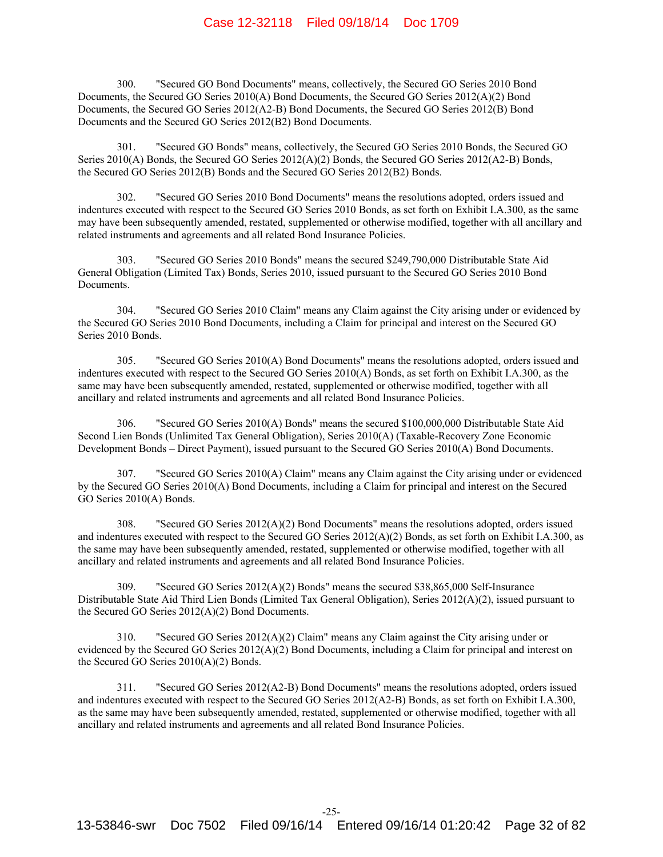300. "Secured GO Bond Documents" means, collectively, the Secured GO Series 2010 Bond Documents, the Secured GO Series 2010(A) Bond Documents, the Secured GO Series 2012(A)(2) Bond Documents, the Secured GO Series 2012(A2-B) Bond Documents, the Secured GO Series 2012(B) Bond Documents and the Secured GO Series 2012(B2) Bond Documents.

301. "Secured GO Bonds" means, collectively, the Secured GO Series 2010 Bonds, the Secured GO Series 2010(A) Bonds, the Secured GO Series 2012(A)(2) Bonds, the Secured GO Series 2012(A2-B) Bonds, the Secured GO Series 2012(B) Bonds and the Secured GO Series 2012(B2) Bonds.

302. "Secured GO Series 2010 Bond Documents" means the resolutions adopted, orders issued and indentures executed with respect to the Secured GO Series 2010 Bonds, as set forth on Exhibit I.A.300, as the same may have been subsequently amended, restated, supplemented or otherwise modified, together with all ancillary and related instruments and agreements and all related Bond Insurance Policies.

303. "Secured GO Series 2010 Bonds" means the secured \$249,790,000 Distributable State Aid General Obligation (Limited Tax) Bonds, Series 2010, issued pursuant to the Secured GO Series 2010 Bond Documents.

304. "Secured GO Series 2010 Claim" means any Claim against the City arising under or evidenced by the Secured GO Series 2010 Bond Documents, including a Claim for principal and interest on the Secured GO Series 2010 Bonds.

305. "Secured GO Series 2010(A) Bond Documents" means the resolutions adopted, orders issued and indentures executed with respect to the Secured GO Series 2010(A) Bonds, as set forth on Exhibit I.A.300, as the same may have been subsequently amended, restated, supplemented or otherwise modified, together with all ancillary and related instruments and agreements and all related Bond Insurance Policies.

306. "Secured GO Series 2010(A) Bonds" means the secured \$100,000,000 Distributable State Aid Second Lien Bonds (Unlimited Tax General Obligation), Series 2010(A) (Taxable-Recovery Zone Economic Development Bonds – Direct Payment), issued pursuant to the Secured GO Series 2010(A) Bond Documents.

307. "Secured GO Series 2010(A) Claim" means any Claim against the City arising under or evidenced by the Secured GO Series 2010(A) Bond Documents, including a Claim for principal and interest on the Secured GO Series 2010(A) Bonds.

308. "Secured GO Series 2012(A)(2) Bond Documents" means the resolutions adopted, orders issued and indentures executed with respect to the Secured GO Series 2012(A)(2) Bonds, as set forth on Exhibit I.A.300, as the same may have been subsequently amended, restated, supplemented or otherwise modified, together with all ancillary and related instruments and agreements and all related Bond Insurance Policies.

309. "Secured GO Series 2012(A)(2) Bonds" means the secured \$38,865,000 Self-Insurance Distributable State Aid Third Lien Bonds (Limited Tax General Obligation), Series 2012(A)(2), issued pursuant to the Secured GO Series 2012(A)(2) Bond Documents.

310. "Secured GO Series 2012(A)(2) Claim" means any Claim against the City arising under or evidenced by the Secured GO Series 2012(A)(2) Bond Documents, including a Claim for principal and interest on the Secured GO Series 2010(A)(2) Bonds.

311. "Secured GO Series 2012(A2-B) Bond Documents" means the resolutions adopted, orders issued and indentures executed with respect to the Secured GO Series 2012(A2-B) Bonds, as set forth on Exhibit I.A.300, as the same may have been subsequently amended, restated, supplemented or otherwise modified, together with all ancillary and related instruments and agreements and all related Bond Insurance Policies.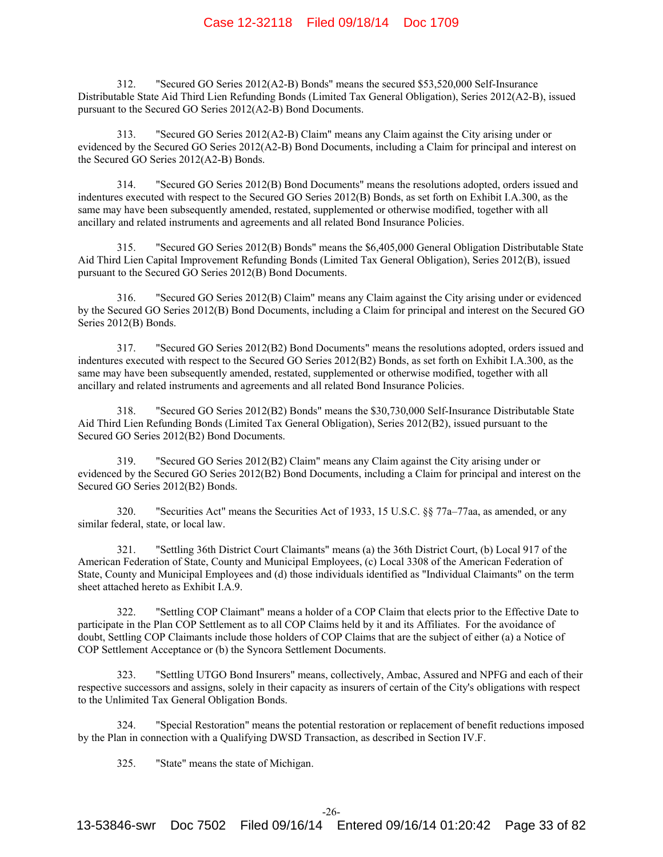312. "Secured GO Series 2012(A2-B) Bonds" means the secured \$53,520,000 Self-Insurance Distributable State Aid Third Lien Refunding Bonds (Limited Tax General Obligation), Series 2012(A2-B), issued pursuant to the Secured GO Series 2012(A2-B) Bond Documents.

313. "Secured GO Series 2012(A2-B) Claim" means any Claim against the City arising under or evidenced by the Secured GO Series 2012(A2-B) Bond Documents, including a Claim for principal and interest on the Secured GO Series 2012(A2-B) Bonds.

314. "Secured GO Series 2012(B) Bond Documents" means the resolutions adopted, orders issued and indentures executed with respect to the Secured GO Series 2012(B) Bonds, as set forth on Exhibit I.A.300, as the same may have been subsequently amended, restated, supplemented or otherwise modified, together with all ancillary and related instruments and agreements and all related Bond Insurance Policies.

315. "Secured GO Series 2012(B) Bonds" means the \$6,405,000 General Obligation Distributable State Aid Third Lien Capital Improvement Refunding Bonds (Limited Tax General Obligation), Series 2012(B), issued pursuant to the Secured GO Series 2012(B) Bond Documents.

316. "Secured GO Series 2012(B) Claim" means any Claim against the City arising under or evidenced by the Secured GO Series 2012(B) Bond Documents, including a Claim for principal and interest on the Secured GO Series 2012(B) Bonds.

317. "Secured GO Series 2012(B2) Bond Documents" means the resolutions adopted, orders issued and indentures executed with respect to the Secured GO Series 2012(B2) Bonds, as set forth on Exhibit I.A.300, as the same may have been subsequently amended, restated, supplemented or otherwise modified, together with all ancillary and related instruments and agreements and all related Bond Insurance Policies.

318. "Secured GO Series 2012(B2) Bonds" means the \$30,730,000 Self-Insurance Distributable State Aid Third Lien Refunding Bonds (Limited Tax General Obligation), Series 2012(B2), issued pursuant to the Secured GO Series 2012(B2) Bond Documents.

319. "Secured GO Series 2012(B2) Claim" means any Claim against the City arising under or evidenced by the Secured GO Series 2012(B2) Bond Documents, including a Claim for principal and interest on the Secured GO Series 2012(B2) Bonds.

320. "Securities Act" means the Securities Act of 1933, 15 U.S.C. §§ 77a–77aa, as amended, or any similar federal, state, or local law.

321. "Settling 36th District Court Claimants" means (a) the 36th District Court, (b) Local 917 of the American Federation of State, County and Municipal Employees, (c) Local 3308 of the American Federation of State, County and Municipal Employees and (d) those individuals identified as "Individual Claimants" on the term sheet attached hereto as Exhibit I.A.9.

322. "Settling COP Claimant" means a holder of a COP Claim that elects prior to the Effective Date to participate in the Plan COP Settlement as to all COP Claims held by it and its Affiliates. For the avoidance of doubt, Settling COP Claimants include those holders of COP Claims that are the subject of either (a) a Notice of COP Settlement Acceptance or (b) the Syncora Settlement Documents.

323. "Settling UTGO Bond Insurers" means, collectively, Ambac, Assured and NPFG and each of their respective successors and assigns, solely in their capacity as insurers of certain of the City's obligations with respect to the Unlimited Tax General Obligation Bonds.

324. "Special Restoration" means the potential restoration or replacement of benefit reductions imposed by the Plan in connection with a Qualifying DWSD Transaction, as described in Section IV.F.

325. "State" means the state of Michigan.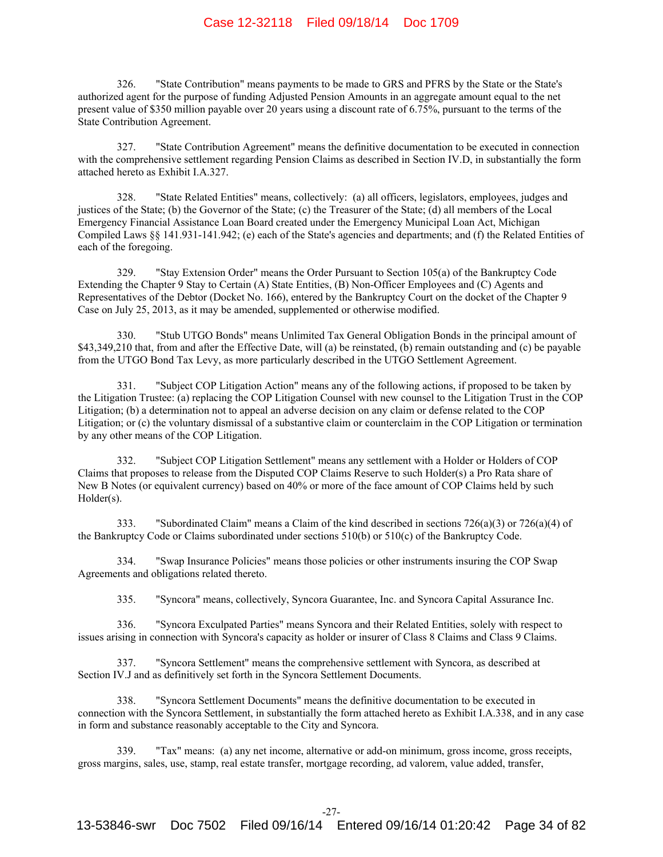326. "State Contribution" means payments to be made to GRS and PFRS by the State or the State's authorized agent for the purpose of funding Adjusted Pension Amounts in an aggregate amount equal to the net present value of \$350 million payable over 20 years using a discount rate of 6.75%, pursuant to the terms of the State Contribution Agreement.

327. "State Contribution Agreement" means the definitive documentation to be executed in connection with the comprehensive settlement regarding Pension Claims as described in Section IV.D, in substantially the form attached hereto as Exhibit I.A.327.

328. "State Related Entities" means, collectively: (a) all officers, legislators, employees, judges and justices of the State; (b) the Governor of the State; (c) the Treasurer of the State; (d) all members of the Local Emergency Financial Assistance Loan Board created under the Emergency Municipal Loan Act, Michigan Compiled Laws §§ 141.931-141.942; (e) each of the State's agencies and departments; and (f) the Related Entities of each of the foregoing.

329. "Stay Extension Order" means the Order Pursuant to Section 105(a) of the Bankruptcy Code Extending the Chapter 9 Stay to Certain (A) State Entities, (B) Non-Officer Employees and (C) Agents and Representatives of the Debtor (Docket No. 166), entered by the Bankruptcy Court on the docket of the Chapter 9 Case on July 25, 2013, as it may be amended, supplemented or otherwise modified.

330. "Stub UTGO Bonds" means Unlimited Tax General Obligation Bonds in the principal amount of \$43,349,210 that, from and after the Effective Date, will (a) be reinstated, (b) remain outstanding and (c) be payable from the UTGO Bond Tax Levy, as more particularly described in the UTGO Settlement Agreement.

331. "Subject COP Litigation Action" means any of the following actions, if proposed to be taken by the Litigation Trustee: (a) replacing the COP Litigation Counsel with new counsel to the Litigation Trust in the COP Litigation; (b) a determination not to appeal an adverse decision on any claim or defense related to the COP Litigation; or (c) the voluntary dismissal of a substantive claim or counterclaim in the COP Litigation or termination by any other means of the COP Litigation.

332. "Subject COP Litigation Settlement" means any settlement with a Holder or Holders of COP Claims that proposes to release from the Disputed COP Claims Reserve to such Holder(s) a Pro Rata share of New B Notes (or equivalent currency) based on 40% or more of the face amount of COP Claims held by such Holder(s).

333. "Subordinated Claim" means a Claim of the kind described in sections 726(a)(3) or 726(a)(4) of the Bankruptcy Code or Claims subordinated under sections 510(b) or 510(c) of the Bankruptcy Code.

334. "Swap Insurance Policies" means those policies or other instruments insuring the COP Swap Agreements and obligations related thereto.

335. "Syncora" means, collectively, Syncora Guarantee, Inc. and Syncora Capital Assurance Inc.

336. "Syncora Exculpated Parties" means Syncora and their Related Entities, solely with respect to issues arising in connection with Syncora's capacity as holder or insurer of Class 8 Claims and Class 9 Claims.

337. "Syncora Settlement" means the comprehensive settlement with Syncora, as described at Section IV.J and as definitively set forth in the Syncora Settlement Documents.

338. "Syncora Settlement Documents" means the definitive documentation to be executed in connection with the Syncora Settlement, in substantially the form attached hereto as Exhibit I.A.338, and in any case in form and substance reasonably acceptable to the City and Syncora.

339. "Tax" means: (a) any net income, alternative or add-on minimum, gross income, gross receipts, gross margins, sales, use, stamp, real estate transfer, mortgage recording, ad valorem, value added, transfer,

-27-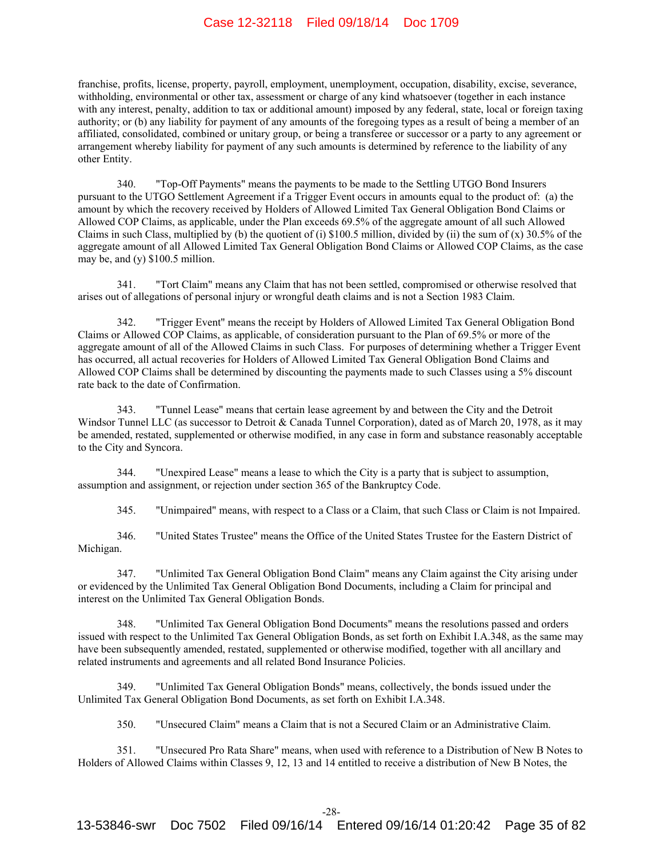franchise, profits, license, property, payroll, employment, unemployment, occupation, disability, excise, severance, withholding, environmental or other tax, assessment or charge of any kind whatsoever (together in each instance with any interest, penalty, addition to tax or additional amount) imposed by any federal, state, local or foreign taxing authority; or (b) any liability for payment of any amounts of the foregoing types as a result of being a member of an affiliated, consolidated, combined or unitary group, or being a transferee or successor or a party to any agreement or arrangement whereby liability for payment of any such amounts is determined by reference to the liability of any other Entity.

340. "Top-Off Payments" means the payments to be made to the Settling UTGO Bond Insurers pursuant to the UTGO Settlement Agreement if a Trigger Event occurs in amounts equal to the product of: (a) the amount by which the recovery received by Holders of Allowed Limited Tax General Obligation Bond Claims or Allowed COP Claims, as applicable, under the Plan exceeds 69.5% of the aggregate amount of all such Allowed Claims in such Class, multiplied by (b) the quotient of (i) \$100.5 million, divided by (ii) the sum of  $(x)$  30.5% of the aggregate amount of all Allowed Limited Tax General Obligation Bond Claims or Allowed COP Claims, as the case may be, and (y) \$100.5 million.

341. "Tort Claim" means any Claim that has not been settled, compromised or otherwise resolved that arises out of allegations of personal injury or wrongful death claims and is not a Section 1983 Claim.

342. "Trigger Event" means the receipt by Holders of Allowed Limited Tax General Obligation Bond Claims or Allowed COP Claims, as applicable, of consideration pursuant to the Plan of 69.5% or more of the aggregate amount of all of the Allowed Claims in such Class. For purposes of determining whether a Trigger Event has occurred, all actual recoveries for Holders of Allowed Limited Tax General Obligation Bond Claims and Allowed COP Claims shall be determined by discounting the payments made to such Classes using a 5% discount rate back to the date of Confirmation.

343. "Tunnel Lease" means that certain lease agreement by and between the City and the Detroit Windsor Tunnel LLC (as successor to Detroit & Canada Tunnel Corporation), dated as of March 20, 1978, as it may be amended, restated, supplemented or otherwise modified, in any case in form and substance reasonably acceptable to the City and Syncora.

344. "Unexpired Lease" means a lease to which the City is a party that is subject to assumption, assumption and assignment, or rejection under section 365 of the Bankruptcy Code.

345. "Unimpaired" means, with respect to a Class or a Claim, that such Class or Claim is not Impaired.

346. "United States Trustee" means the Office of the United States Trustee for the Eastern District of Michigan.

347. "Unlimited Tax General Obligation Bond Claim" means any Claim against the City arising under or evidenced by the Unlimited Tax General Obligation Bond Documents, including a Claim for principal and interest on the Unlimited Tax General Obligation Bonds.

348. "Unlimited Tax General Obligation Bond Documents" means the resolutions passed and orders issued with respect to the Unlimited Tax General Obligation Bonds, as set forth on Exhibit I.A.348, as the same may have been subsequently amended, restated, supplemented or otherwise modified, together with all ancillary and related instruments and agreements and all related Bond Insurance Policies.

349. "Unlimited Tax General Obligation Bonds" means, collectively, the bonds issued under the Unlimited Tax General Obligation Bond Documents, as set forth on Exhibit I.A.348.

350. "Unsecured Claim" means a Claim that is not a Secured Claim or an Administrative Claim.

351. "Unsecured Pro Rata Share" means, when used with reference to a Distribution of New B Notes to Holders of Allowed Claims within Classes 9, 12, 13 and 14 entitled to receive a distribution of New B Notes, the

-28-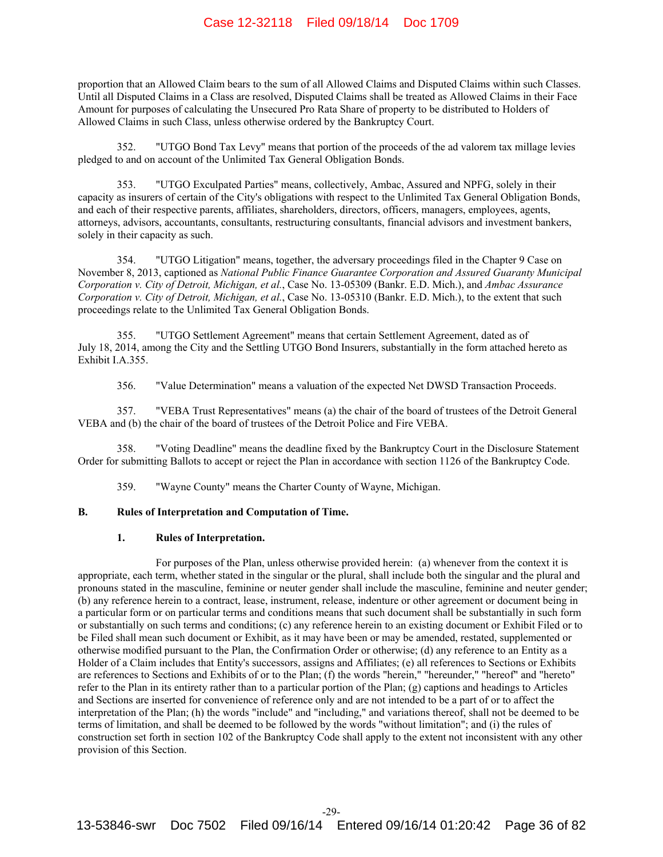proportion that an Allowed Claim bears to the sum of all Allowed Claims and Disputed Claims within such Classes. Until all Disputed Claims in a Class are resolved, Disputed Claims shall be treated as Allowed Claims in their Face Amount for purposes of calculating the Unsecured Pro Rata Share of property to be distributed to Holders of Allowed Claims in such Class, unless otherwise ordered by the Bankruptcy Court.

352. "UTGO Bond Tax Levy" means that portion of the proceeds of the ad valorem tax millage levies pledged to and on account of the Unlimited Tax General Obligation Bonds.

353. "UTGO Exculpated Parties" means, collectively, Ambac, Assured and NPFG, solely in their capacity as insurers of certain of the City's obligations with respect to the Unlimited Tax General Obligation Bonds, and each of their respective parents, affiliates, shareholders, directors, officers, managers, employees, agents, attorneys, advisors, accountants, consultants, restructuring consultants, financial advisors and investment bankers, solely in their capacity as such.

354. "UTGO Litigation" means, together, the adversary proceedings filed in the Chapter 9 Case on November 8, 2013, captioned as *National Public Finance Guarantee Corporation and Assured Guaranty Municipal Corporation v. City of Detroit, Michigan, et al.*, Case No. 13-05309 (Bankr. E.D. Mich.), and *Ambac Assurance Corporation v. City of Detroit, Michigan, et al.*, Case No. 13-05310 (Bankr. E.D. Mich.), to the extent that such proceedings relate to the Unlimited Tax General Obligation Bonds.

355. "UTGO Settlement Agreement" means that certain Settlement Agreement, dated as of July 18, 2014, among the City and the Settling UTGO Bond Insurers, substantially in the form attached hereto as Exhibit I.A.355.

356. "Value Determination" means a valuation of the expected Net DWSD Transaction Proceeds.

357. "VEBA Trust Representatives" means (a) the chair of the board of trustees of the Detroit General VEBA and (b) the chair of the board of trustees of the Detroit Police and Fire VEBA.

358. "Voting Deadline" means the deadline fixed by the Bankruptcy Court in the Disclosure Statement Order for submitting Ballots to accept or reject the Plan in accordance with section 1126 of the Bankruptcy Code.

359. "Wayne County" means the Charter County of Wayne, Michigan.

## **B. Rules of Interpretation and Computation of Time.**

#### **1. Rules of Interpretation.**

For purposes of the Plan, unless otherwise provided herein: (a) whenever from the context it is appropriate, each term, whether stated in the singular or the plural, shall include both the singular and the plural and pronouns stated in the masculine, feminine or neuter gender shall include the masculine, feminine and neuter gender; (b) any reference herein to a contract, lease, instrument, release, indenture or other agreement or document being in a particular form or on particular terms and conditions means that such document shall be substantially in such form or substantially on such terms and conditions; (c) any reference herein to an existing document or Exhibit Filed or to be Filed shall mean such document or Exhibit, as it may have been or may be amended, restated, supplemented or otherwise modified pursuant to the Plan, the Confirmation Order or otherwise; (d) any reference to an Entity as a Holder of a Claim includes that Entity's successors, assigns and Affiliates; (e) all references to Sections or Exhibits are references to Sections and Exhibits of or to the Plan; (f) the words "herein," "hereunder," "hereof" and "hereto" refer to the Plan in its entirety rather than to a particular portion of the Plan; (g) captions and headings to Articles and Sections are inserted for convenience of reference only and are not intended to be a part of or to affect the interpretation of the Plan; (h) the words "include" and "including," and variations thereof, shall not be deemed to be terms of limitation, and shall be deemed to be followed by the words "without limitation"; and (i) the rules of construction set forth in section 102 of the Bankruptcy Code shall apply to the extent not inconsistent with any other provision of this Section.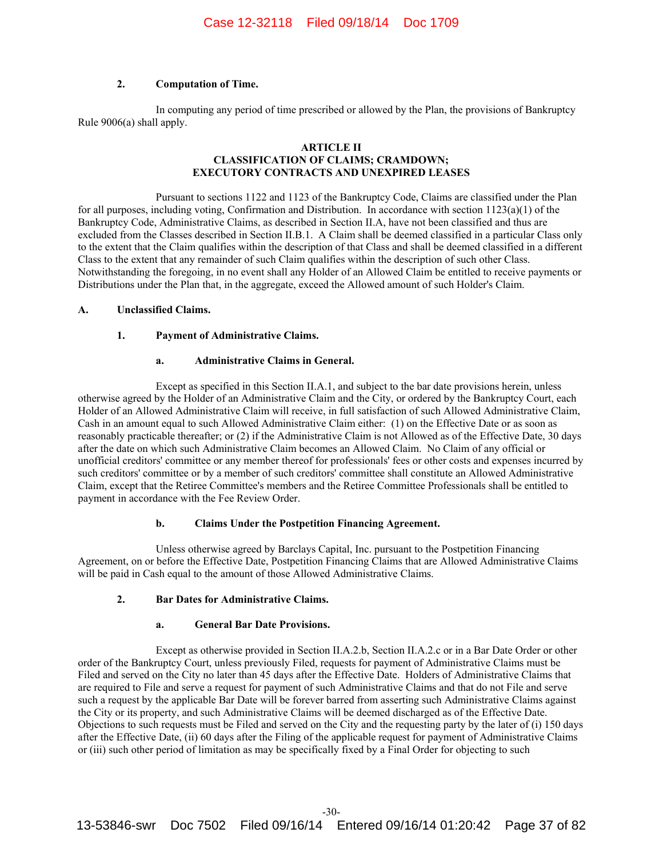## **2. Computation of Time.**

In computing any period of time prescribed or allowed by the Plan, the provisions of Bankruptcy Rule 9006(a) shall apply.

## **ARTICLE II CLASSIFICATION OF CLAIMS; CRAMDOWN; EXECUTORY CONTRACTS AND UNEXPIRED LEASES**

Pursuant to sections 1122 and 1123 of the Bankruptcy Code, Claims are classified under the Plan for all purposes, including voting, Confirmation and Distribution. In accordance with section 1123(a)(1) of the Bankruptcy Code, Administrative Claims, as described in Section II.A, have not been classified and thus are excluded from the Classes described in Section II.B.1. A Claim shall be deemed classified in a particular Class only to the extent that the Claim qualifies within the description of that Class and shall be deemed classified in a different Class to the extent that any remainder of such Claim qualifies within the description of such other Class. Notwithstanding the foregoing, in no event shall any Holder of an Allowed Claim be entitled to receive payments or Distributions under the Plan that, in the aggregate, exceed the Allowed amount of such Holder's Claim.

## **A. Unclassified Claims.**

## **1. Payment of Administrative Claims.**

# **a. Administrative Claims in General.**

Except as specified in this Section II.A.1, and subject to the bar date provisions herein, unless otherwise agreed by the Holder of an Administrative Claim and the City, or ordered by the Bankruptcy Court, each Holder of an Allowed Administrative Claim will receive, in full satisfaction of such Allowed Administrative Claim, Cash in an amount equal to such Allowed Administrative Claim either: (1) on the Effective Date or as soon as reasonably practicable thereafter; or (2) if the Administrative Claim is not Allowed as of the Effective Date, 30 days after the date on which such Administrative Claim becomes an Allowed Claim. No Claim of any official or unofficial creditors' committee or any member thereof for professionals' fees or other costs and expenses incurred by such creditors' committee or by a member of such creditors' committee shall constitute an Allowed Administrative Claim, except that the Retiree Committee's members and the Retiree Committee Professionals shall be entitled to payment in accordance with the Fee Review Order.

# **b. Claims Under the Postpetition Financing Agreement.**

Unless otherwise agreed by Barclays Capital, Inc. pursuant to the Postpetition Financing Agreement, on or before the Effective Date, Postpetition Financing Claims that are Allowed Administrative Claims will be paid in Cash equal to the amount of those Allowed Administrative Claims.

#### **2. Bar Dates for Administrative Claims.**

## **a. General Bar Date Provisions.**

Except as otherwise provided in Section II.A.2.b, Section II.A.2.c or in a Bar Date Order or other order of the Bankruptcy Court, unless previously Filed, requests for payment of Administrative Claims must be Filed and served on the City no later than 45 days after the Effective Date. Holders of Administrative Claims that are required to File and serve a request for payment of such Administrative Claims and that do not File and serve such a request by the applicable Bar Date will be forever barred from asserting such Administrative Claims against the City or its property, and such Administrative Claims will be deemed discharged as of the Effective Date. Objections to such requests must be Filed and served on the City and the requesting party by the later of (i) 150 days after the Effective Date, (ii) 60 days after the Filing of the applicable request for payment of Administrative Claims or (iii) such other period of limitation as may be specifically fixed by a Final Order for objecting to such

13-53846-swr Doc 7502 Filed 09/16/14 Entered 09/16/14 01:20:42 Page 37 of 82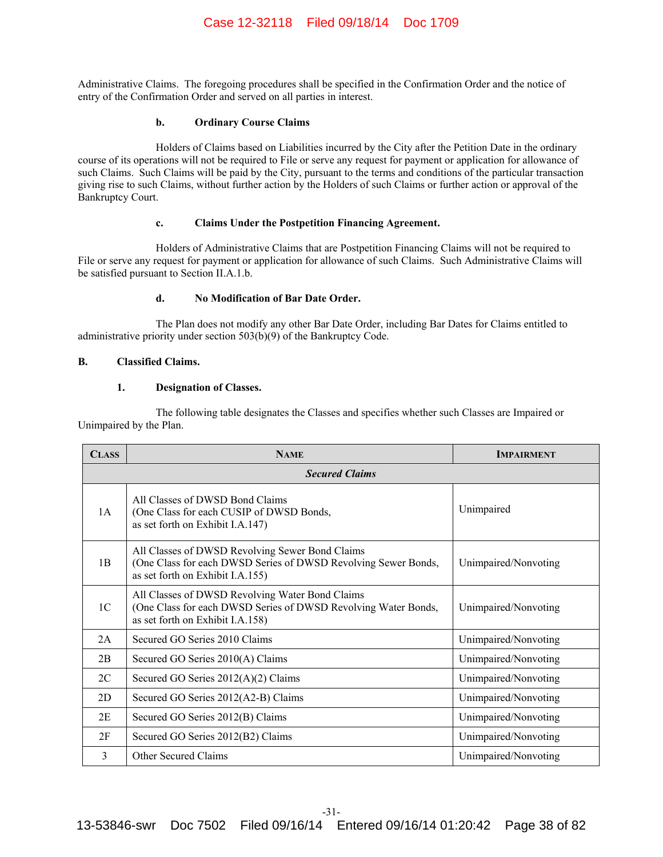Administrative Claims. The foregoing procedures shall be specified in the Confirmation Order and the notice of entry of the Confirmation Order and served on all parties in interest.

# **b. Ordinary Course Claims**

Holders of Claims based on Liabilities incurred by the City after the Petition Date in the ordinary course of its operations will not be required to File or serve any request for payment or application for allowance of such Claims. Such Claims will be paid by the City, pursuant to the terms and conditions of the particular transaction giving rise to such Claims, without further action by the Holders of such Claims or further action or approval of the Bankruptcy Court.

## **c. Claims Under the Postpetition Financing Agreement.**

Holders of Administrative Claims that are Postpetition Financing Claims will not be required to File or serve any request for payment or application for allowance of such Claims. Such Administrative Claims will be satisfied pursuant to Section II.A.1.b.

# **d. No Modification of Bar Date Order.**

The Plan does not modify any other Bar Date Order, including Bar Dates for Claims entitled to administrative priority under section 503(b)(9) of the Bankruptcy Code.

## **B. Classified Claims.**

## **1. Designation of Classes.**

The following table designates the Classes and specifies whether such Classes are Impaired or Unimpaired by the Plan.

| <b>CLASS</b>          | <b>NAME</b>                                                                                                                                           | <b>IMPAIRMENT</b>    |  |
|-----------------------|-------------------------------------------------------------------------------------------------------------------------------------------------------|----------------------|--|
| <b>Secured Claims</b> |                                                                                                                                                       |                      |  |
| 1A                    | All Classes of DWSD Bond Claims<br>(One Class for each CUSIP of DWSD Bonds,<br>as set forth on Exhibit I.A.147)                                       | Unimpaired           |  |
| 1B                    | All Classes of DWSD Revolving Sewer Bond Claims<br>(One Class for each DWSD Series of DWSD Revolving Sewer Bonds,<br>as set forth on Exhibit I.A.155) | Unimpaired/Nonvoting |  |
| 1 <sub>C</sub>        | All Classes of DWSD Revolving Water Bond Claims<br>(One Class for each DWSD Series of DWSD Revolving Water Bonds,<br>as set forth on Exhibit I.A.158) | Unimpaired/Nonvoting |  |
| 2A                    | Secured GO Series 2010 Claims                                                                                                                         | Unimpaired/Nonvoting |  |
| 2B                    | Secured GO Series 2010(A) Claims                                                                                                                      | Unimpaired/Nonvoting |  |
| 2C                    | Secured GO Series 2012(A)(2) Claims                                                                                                                   | Unimpaired/Nonvoting |  |
| 2D                    | Secured GO Series 2012(A2-B) Claims                                                                                                                   | Unimpaired/Nonvoting |  |
| 2E                    | Secured GO Series 2012(B) Claims                                                                                                                      | Unimpaired/Nonvoting |  |
| 2F                    | Secured GO Series 2012(B2) Claims                                                                                                                     | Unimpaired/Nonvoting |  |
| 3                     | <b>Other Secured Claims</b>                                                                                                                           | Unimpaired/Nonvoting |  |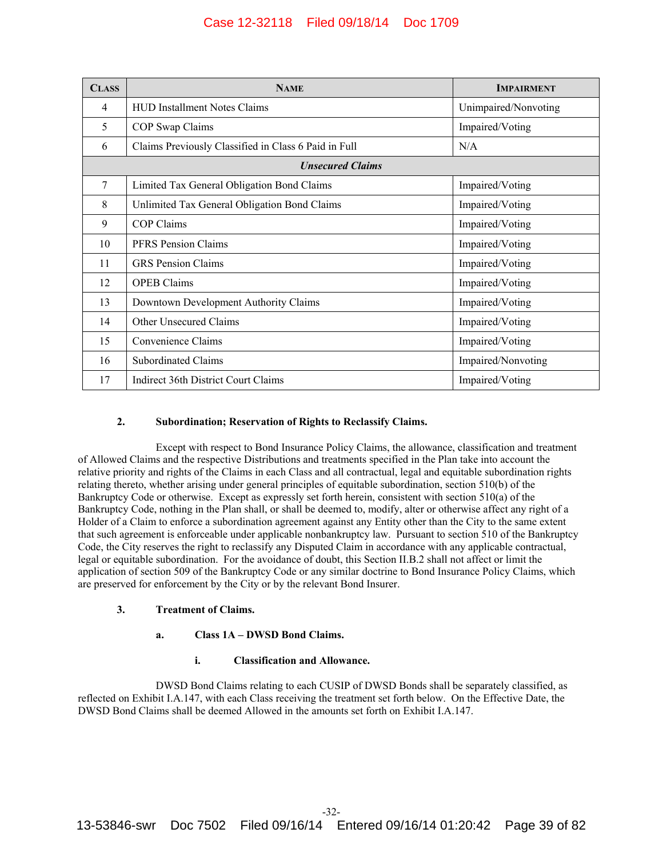| <b>CLASS</b>            | <b>NAME</b>                                          | <b>IMPAIRMENT</b>    |
|-------------------------|------------------------------------------------------|----------------------|
| 4                       | <b>HUD Installment Notes Claims</b>                  | Unimpaired/Nonvoting |
| 5                       | COP Swap Claims                                      | Impaired/Voting      |
| 6                       | Claims Previously Classified in Class 6 Paid in Full | N/A                  |
| <b>Unsecured Claims</b> |                                                      |                      |
| 7                       | Limited Tax General Obligation Bond Claims           | Impaired/Voting      |
| 8                       | Unlimited Tax General Obligation Bond Claims         | Impaired/Voting      |
| 9                       | <b>COP Claims</b>                                    | Impaired/Voting      |
| 10                      | <b>PFRS</b> Pension Claims                           | Impaired/Voting      |
| 11                      | <b>GRS</b> Pension Claims                            | Impaired/Voting      |
| 12                      | <b>OPEB Claims</b>                                   | Impaired/Voting      |
| 13                      | Downtown Development Authority Claims                | Impaired/Voting      |
| 14                      | <b>Other Unsecured Claims</b>                        | Impaired/Voting      |
| 15                      | Convenience Claims                                   | Impaired/Voting      |
| 16                      | <b>Subordinated Claims</b>                           | Impaired/Nonvoting   |
| 17                      | Indirect 36th District Court Claims                  | Impaired/Voting      |

# **2. Subordination; Reservation of Rights to Reclassify Claims.**

Except with respect to Bond Insurance Policy Claims, the allowance, classification and treatment of Allowed Claims and the respective Distributions and treatments specified in the Plan take into account the relative priority and rights of the Claims in each Class and all contractual, legal and equitable subordination rights relating thereto, whether arising under general principles of equitable subordination, section 510(b) of the Bankruptcy Code or otherwise. Except as expressly set forth herein, consistent with section 510(a) of the Bankruptcy Code, nothing in the Plan shall, or shall be deemed to, modify, alter or otherwise affect any right of a Holder of a Claim to enforce a subordination agreement against any Entity other than the City to the same extent that such agreement is enforceable under applicable nonbankruptcy law. Pursuant to section 510 of the Bankruptcy Code, the City reserves the right to reclassify any Disputed Claim in accordance with any applicable contractual, legal or equitable subordination. For the avoidance of doubt, this Section II.B.2 shall not affect or limit the application of section 509 of the Bankruptcy Code or any similar doctrine to Bond Insurance Policy Claims, which are preserved for enforcement by the City or by the relevant Bond Insurer.

# **3. Treatment of Claims.**

# **a. Class 1A – DWSD Bond Claims.**

# **i. Classification and Allowance.**

DWSD Bond Claims relating to each CUSIP of DWSD Bonds shall be separately classified, as reflected on Exhibit I.A.147, with each Class receiving the treatment set forth below. On the Effective Date, the DWSD Bond Claims shall be deemed Allowed in the amounts set forth on Exhibit I.A.147.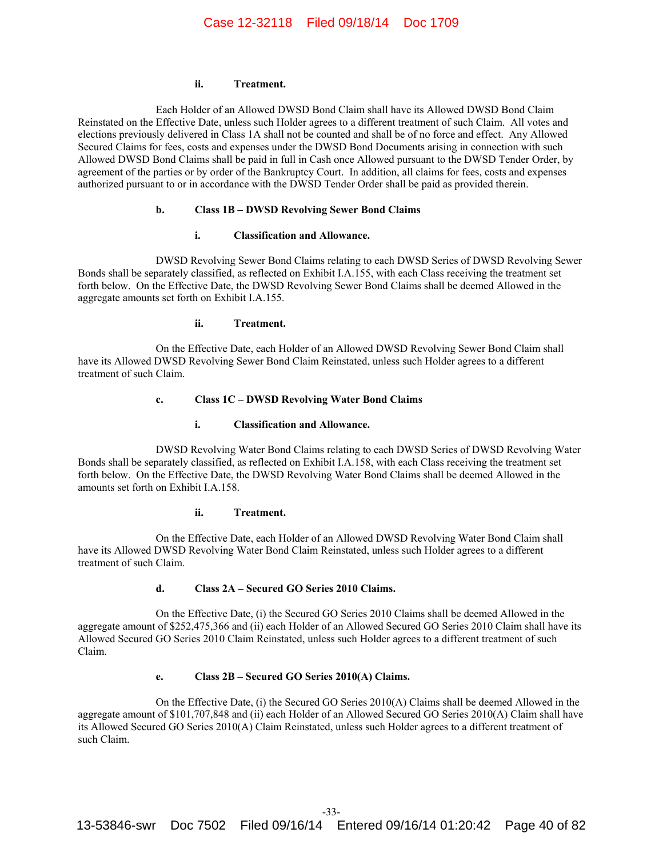#### **ii. Treatment.**

Each Holder of an Allowed DWSD Bond Claim shall have its Allowed DWSD Bond Claim Reinstated on the Effective Date, unless such Holder agrees to a different treatment of such Claim. All votes and elections previously delivered in Class 1A shall not be counted and shall be of no force and effect. Any Allowed Secured Claims for fees, costs and expenses under the DWSD Bond Documents arising in connection with such Allowed DWSD Bond Claims shall be paid in full in Cash once Allowed pursuant to the DWSD Tender Order, by agreement of the parties or by order of the Bankruptcy Court. In addition, all claims for fees, costs and expenses authorized pursuant to or in accordance with the DWSD Tender Order shall be paid as provided therein.

## **b. Class 1B – DWSD Revolving Sewer Bond Claims**

## **i. Classification and Allowance.**

DWSD Revolving Sewer Bond Claims relating to each DWSD Series of DWSD Revolving Sewer Bonds shall be separately classified, as reflected on Exhibit I.A.155, with each Class receiving the treatment set forth below. On the Effective Date, the DWSD Revolving Sewer Bond Claims shall be deemed Allowed in the aggregate amounts set forth on Exhibit I.A.155.

### **ii. Treatment.**

On the Effective Date, each Holder of an Allowed DWSD Revolving Sewer Bond Claim shall have its Allowed DWSD Revolving Sewer Bond Claim Reinstated, unless such Holder agrees to a different treatment of such Claim.

## **c. Class 1C – DWSD Revolving Water Bond Claims**

## **i. Classification and Allowance.**

DWSD Revolving Water Bond Claims relating to each DWSD Series of DWSD Revolving Water Bonds shall be separately classified, as reflected on Exhibit I.A.158, with each Class receiving the treatment set forth below. On the Effective Date, the DWSD Revolving Water Bond Claims shall be deemed Allowed in the amounts set forth on Exhibit I.A.158.

## **ii. Treatment.**

On the Effective Date, each Holder of an Allowed DWSD Revolving Water Bond Claim shall have its Allowed DWSD Revolving Water Bond Claim Reinstated, unless such Holder agrees to a different treatment of such Claim.

# **d. Class 2A – Secured GO Series 2010 Claims.**

On the Effective Date, (i) the Secured GO Series 2010 Claims shall be deemed Allowed in the aggregate amount of \$252,475,366 and (ii) each Holder of an Allowed Secured GO Series 2010 Claim shall have its Allowed Secured GO Series 2010 Claim Reinstated, unless such Holder agrees to a different treatment of such Claim.

# **e. Class 2B – Secured GO Series 2010(A) Claims.**

On the Effective Date, (i) the Secured GO Series 2010(A) Claims shall be deemed Allowed in the aggregate amount of \$101,707,848 and (ii) each Holder of an Allowed Secured GO Series 2010(A) Claim shall have its Allowed Secured GO Series 2010(A) Claim Reinstated, unless such Holder agrees to a different treatment of such Claim.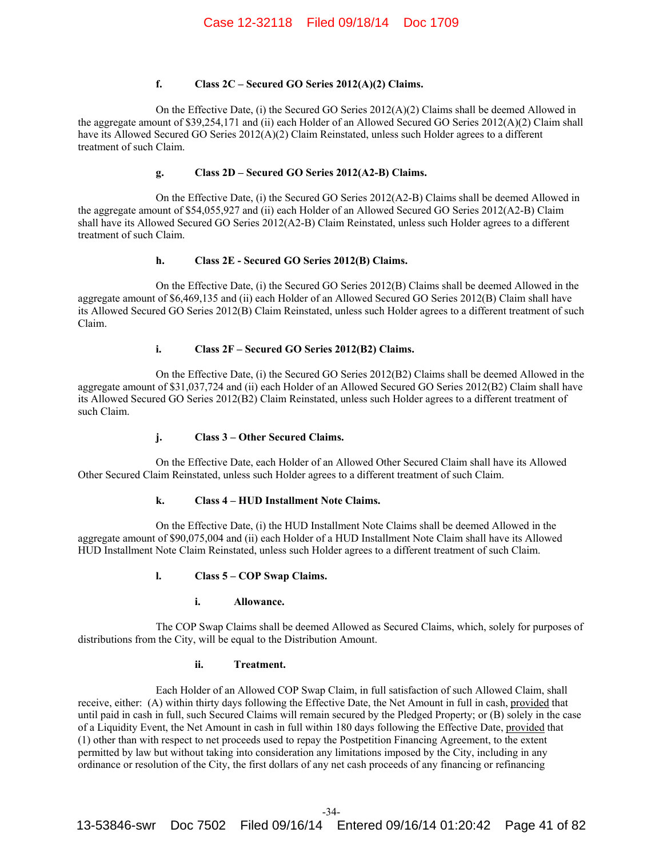# **f. Class 2C – Secured GO Series 2012(A)(2) Claims.**

On the Effective Date, (i) the Secured GO Series  $2012(A)(2)$  Claims shall be deemed Allowed in the aggregate amount of \$39,254,171 and (ii) each Holder of an Allowed Secured GO Series 2012(A)(2) Claim shall have its Allowed Secured GO Series 2012(A)(2) Claim Reinstated, unless such Holder agrees to a different treatment of such Claim.

# **g. Class 2D – Secured GO Series 2012(A2-B) Claims.**

On the Effective Date, (i) the Secured GO Series 2012(A2-B) Claims shall be deemed Allowed in the aggregate amount of \$54,055,927 and (ii) each Holder of an Allowed Secured GO Series 2012(A2-B) Claim shall have its Allowed Secured GO Series 2012(A2-B) Claim Reinstated, unless such Holder agrees to a different treatment of such Claim.

## **h. Class 2E - Secured GO Series 2012(B) Claims.**

On the Effective Date, (i) the Secured GO Series 2012(B) Claims shall be deemed Allowed in the aggregate amount of \$6,469,135 and (ii) each Holder of an Allowed Secured GO Series 2012(B) Claim shall have its Allowed Secured GO Series 2012(B) Claim Reinstated, unless such Holder agrees to a different treatment of such Claim.

## **i. Class 2F – Secured GO Series 2012(B2) Claims.**

On the Effective Date, (i) the Secured GO Series 2012(B2) Claims shall be deemed Allowed in the aggregate amount of \$31,037,724 and (ii) each Holder of an Allowed Secured GO Series 2012(B2) Claim shall have its Allowed Secured GO Series 2012(B2) Claim Reinstated, unless such Holder agrees to a different treatment of such Claim.

# **j. Class 3 – Other Secured Claims.**

On the Effective Date, each Holder of an Allowed Other Secured Claim shall have its Allowed Other Secured Claim Reinstated, unless such Holder agrees to a different treatment of such Claim.

# **k. Class 4 – HUD Installment Note Claims.**

On the Effective Date, (i) the HUD Installment Note Claims shall be deemed Allowed in the aggregate amount of \$90,075,004 and (ii) each Holder of a HUD Installment Note Claim shall have its Allowed HUD Installment Note Claim Reinstated, unless such Holder agrees to a different treatment of such Claim.

# **l. Class 5 – COP Swap Claims.**

# **i. Allowance.**

The COP Swap Claims shall be deemed Allowed as Secured Claims, which, solely for purposes of distributions from the City, will be equal to the Distribution Amount.

#### **ii. Treatment.**

Each Holder of an Allowed COP Swap Claim, in full satisfaction of such Allowed Claim, shall receive, either: (A) within thirty days following the Effective Date, the Net Amount in full in cash, provided that until paid in cash in full, such Secured Claims will remain secured by the Pledged Property; or (B) solely in the case of a Liquidity Event, the Net Amount in cash in full within 180 days following the Effective Date, provided that (1) other than with respect to net proceeds used to repay the Postpetition Financing Agreement, to the extent permitted by law but without taking into consideration any limitations imposed by the City, including in any ordinance or resolution of the City, the first dollars of any net cash proceeds of any financing or refinancing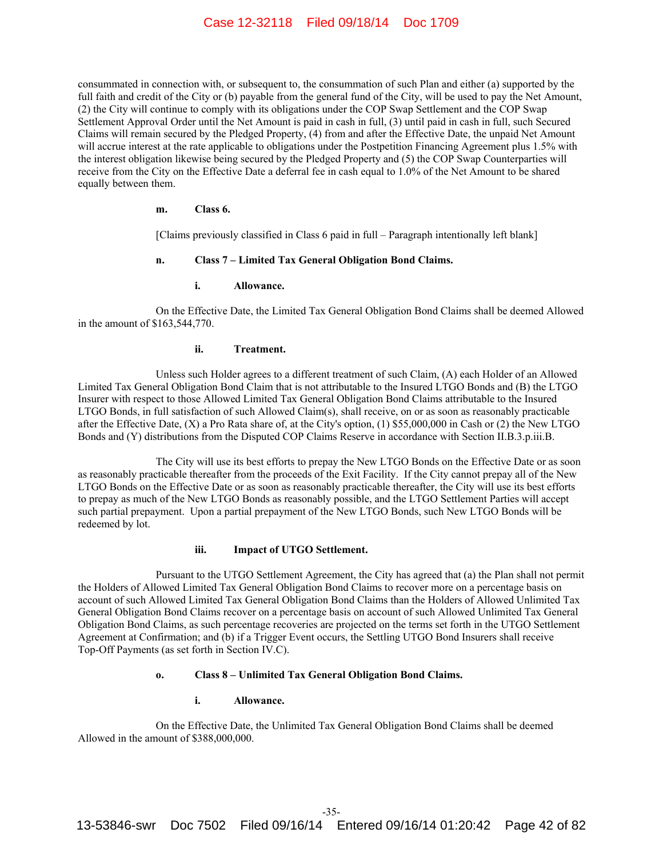consummated in connection with, or subsequent to, the consummation of such Plan and either (a) supported by the full faith and credit of the City or (b) payable from the general fund of the City, will be used to pay the Net Amount, (2) the City will continue to comply with its obligations under the COP Swap Settlement and the COP Swap Settlement Approval Order until the Net Amount is paid in cash in full, (3) until paid in cash in full, such Secured Claims will remain secured by the Pledged Property, (4) from and after the Effective Date, the unpaid Net Amount will accrue interest at the rate applicable to obligations under the Postpetition Financing Agreement plus 1.5% with the interest obligation likewise being secured by the Pledged Property and (5) the COP Swap Counterparties will receive from the City on the Effective Date a deferral fee in cash equal to 1.0% of the Net Amount to be shared equally between them.

## **m. Class 6.**

[Claims previously classified in Class 6 paid in full – Paragraph intentionally left blank]

#### **n. Class 7 – Limited Tax General Obligation Bond Claims.**

# **i. Allowance.**

On the Effective Date, the Limited Tax General Obligation Bond Claims shall be deemed Allowed in the amount of \$163,544,770.

#### **ii. Treatment.**

Unless such Holder agrees to a different treatment of such Claim, (A) each Holder of an Allowed Limited Tax General Obligation Bond Claim that is not attributable to the Insured LTGO Bonds and (B) the LTGO Insurer with respect to those Allowed Limited Tax General Obligation Bond Claims attributable to the Insured LTGO Bonds, in full satisfaction of such Allowed Claim(s), shall receive, on or as soon as reasonably practicable after the Effective Date, (X) a Pro Rata share of, at the City's option, (1) \$55,000,000 in Cash or (2) the New LTGO Bonds and (Y) distributions from the Disputed COP Claims Reserve in accordance with Section II.B.3.p.iii.B.

The City will use its best efforts to prepay the New LTGO Bonds on the Effective Date or as soon as reasonably practicable thereafter from the proceeds of the Exit Facility. If the City cannot prepay all of the New LTGO Bonds on the Effective Date or as soon as reasonably practicable thereafter, the City will use its best efforts to prepay as much of the New LTGO Bonds as reasonably possible, and the LTGO Settlement Parties will accept such partial prepayment. Upon a partial prepayment of the New LTGO Bonds, such New LTGO Bonds will be redeemed by lot.

# **iii. Impact of UTGO Settlement.**

Pursuant to the UTGO Settlement Agreement, the City has agreed that (a) the Plan shall not permit the Holders of Allowed Limited Tax General Obligation Bond Claims to recover more on a percentage basis on account of such Allowed Limited Tax General Obligation Bond Claims than the Holders of Allowed Unlimited Tax General Obligation Bond Claims recover on a percentage basis on account of such Allowed Unlimited Tax General Obligation Bond Claims, as such percentage recoveries are projected on the terms set forth in the UTGO Settlement Agreement at Confirmation; and (b) if a Trigger Event occurs, the Settling UTGO Bond Insurers shall receive Top-Off Payments (as set forth in Section IV.C).

## **o. Class 8 – Unlimited Tax General Obligation Bond Claims.**

## **i. Allowance.**

On the Effective Date, the Unlimited Tax General Obligation Bond Claims shall be deemed Allowed in the amount of \$388,000,000.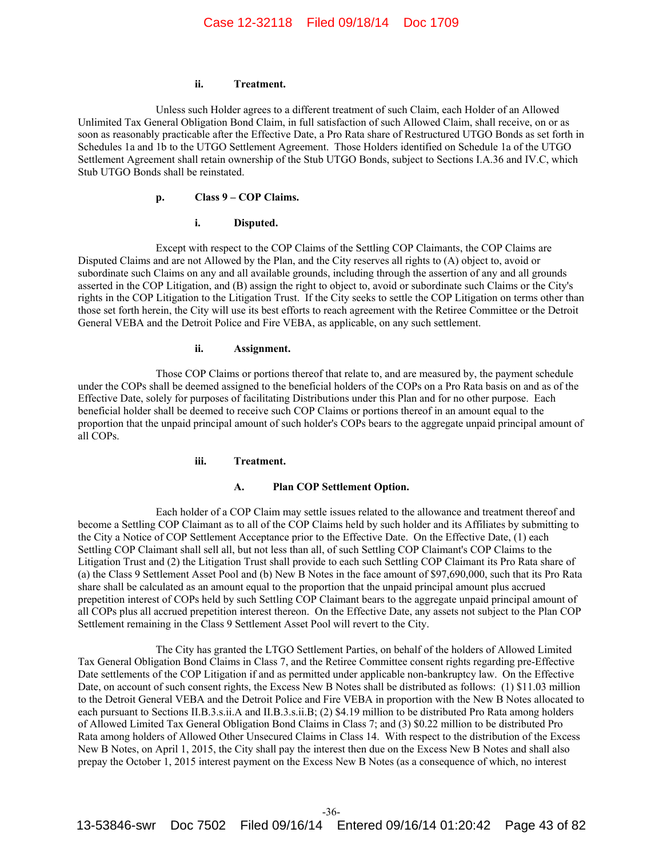#### **ii. Treatment.**

Unless such Holder agrees to a different treatment of such Claim, each Holder of an Allowed Unlimited Tax General Obligation Bond Claim, in full satisfaction of such Allowed Claim, shall receive, on or as soon as reasonably practicable after the Effective Date, a Pro Rata share of Restructured UTGO Bonds as set forth in Schedules 1a and 1b to the UTGO Settlement Agreement. Those Holders identified on Schedule 1a of the UTGO Settlement Agreement shall retain ownership of the Stub UTGO Bonds, subject to Sections I.A.36 and IV.C, which Stub UTGO Bonds shall be reinstated.

# **p. Class 9 – COP Claims.**

#### **i. Disputed.**

Except with respect to the COP Claims of the Settling COP Claimants, the COP Claims are Disputed Claims and are not Allowed by the Plan, and the City reserves all rights to (A) object to, avoid or subordinate such Claims on any and all available grounds, including through the assertion of any and all grounds asserted in the COP Litigation, and (B) assign the right to object to, avoid or subordinate such Claims or the City's rights in the COP Litigation to the Litigation Trust. If the City seeks to settle the COP Litigation on terms other than those set forth herein, the City will use its best efforts to reach agreement with the Retiree Committee or the Detroit General VEBA and the Detroit Police and Fire VEBA, as applicable, on any such settlement.

#### **ii. Assignment.**

Those COP Claims or portions thereof that relate to, and are measured by, the payment schedule under the COPs shall be deemed assigned to the beneficial holders of the COPs on a Pro Rata basis on and as of the Effective Date, solely for purposes of facilitating Distributions under this Plan and for no other purpose. Each beneficial holder shall be deemed to receive such COP Claims or portions thereof in an amount equal to the proportion that the unpaid principal amount of such holder's COPs bears to the aggregate unpaid principal amount of all COPs.

## **iii. Treatment.**

# **A. Plan COP Settlement Option.**

Each holder of a COP Claim may settle issues related to the allowance and treatment thereof and become a Settling COP Claimant as to all of the COP Claims held by such holder and its Affiliates by submitting to the City a Notice of COP Settlement Acceptance prior to the Effective Date. On the Effective Date, (1) each Settling COP Claimant shall sell all, but not less than all, of such Settling COP Claimant's COP Claims to the Litigation Trust and (2) the Litigation Trust shall provide to each such Settling COP Claimant its Pro Rata share of (a) the Class 9 Settlement Asset Pool and (b) New B Notes in the face amount of \$97,690,000, such that its Pro Rata share shall be calculated as an amount equal to the proportion that the unpaid principal amount plus accrued prepetition interest of COPs held by such Settling COP Claimant bears to the aggregate unpaid principal amount of all COPs plus all accrued prepetition interest thereon. On the Effective Date, any assets not subject to the Plan COP Settlement remaining in the Class 9 Settlement Asset Pool will revert to the City.

The City has granted the LTGO Settlement Parties, on behalf of the holders of Allowed Limited Tax General Obligation Bond Claims in Class 7, and the Retiree Committee consent rights regarding pre-Effective Date settlements of the COP Litigation if and as permitted under applicable non-bankruptcy law. On the Effective Date, on account of such consent rights, the Excess New B Notes shall be distributed as follows: (1) \$11.03 million to the Detroit General VEBA and the Detroit Police and Fire VEBA in proportion with the New B Notes allocated to each pursuant to Sections II.B.3.s.ii.A and II.B.3.s.ii.B; (2) \$4.19 million to be distributed Pro Rata among holders of Allowed Limited Tax General Obligation Bond Claims in Class 7; and (3) \$0.22 million to be distributed Pro Rata among holders of Allowed Other Unsecured Claims in Class 14. With respect to the distribution of the Excess New B Notes, on April 1, 2015, the City shall pay the interest then due on the Excess New B Notes and shall also prepay the October 1, 2015 interest payment on the Excess New B Notes (as a consequence of which, no interest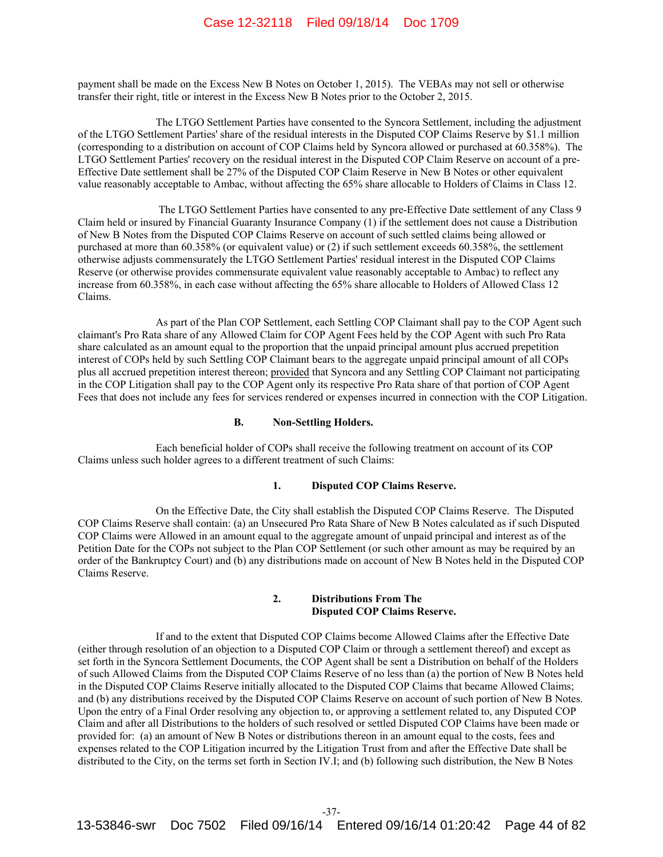payment shall be made on the Excess New B Notes on October 1, 2015). The VEBAs may not sell or otherwise transfer their right, title or interest in the Excess New B Notes prior to the October 2, 2015.

The LTGO Settlement Parties have consented to the Syncora Settlement, including the adjustment of the LTGO Settlement Parties' share of the residual interests in the Disputed COP Claims Reserve by \$1.1 million (corresponding to a distribution on account of COP Claims held by Syncora allowed or purchased at 60.358%). The LTGO Settlement Parties' recovery on the residual interest in the Disputed COP Claim Reserve on account of a pre-Effective Date settlement shall be 27% of the Disputed COP Claim Reserve in New B Notes or other equivalent value reasonably acceptable to Ambac, without affecting the 65% share allocable to Holders of Claims in Class 12.

 The LTGO Settlement Parties have consented to any pre-Effective Date settlement of any Class 9 Claim held or insured by Financial Guaranty Insurance Company (1) if the settlement does not cause a Distribution of New B Notes from the Disputed COP Claims Reserve on account of such settled claims being allowed or purchased at more than 60.358% (or equivalent value) or (2) if such settlement exceeds 60.358%, the settlement otherwise adjusts commensurately the LTGO Settlement Parties' residual interest in the Disputed COP Claims Reserve (or otherwise provides commensurate equivalent value reasonably acceptable to Ambac) to reflect any increase from 60.358%, in each case without affecting the 65% share allocable to Holders of Allowed Class 12 Claims.

As part of the Plan COP Settlement, each Settling COP Claimant shall pay to the COP Agent such claimant's Pro Rata share of any Allowed Claim for COP Agent Fees held by the COP Agent with such Pro Rata share calculated as an amount equal to the proportion that the unpaid principal amount plus accrued prepetition interest of COPs held by such Settling COP Claimant bears to the aggregate unpaid principal amount of all COPs plus all accrued prepetition interest thereon; provided that Syncora and any Settling COP Claimant not participating in the COP Litigation shall pay to the COP Agent only its respective Pro Rata share of that portion of COP Agent Fees that does not include any fees for services rendered or expenses incurred in connection with the COP Litigation.

### **B. Non-Settling Holders.**

Each beneficial holder of COPs shall receive the following treatment on account of its COP Claims unless such holder agrees to a different treatment of such Claims:

#### **1. Disputed COP Claims Reserve.**

On the Effective Date, the City shall establish the Disputed COP Claims Reserve. The Disputed COP Claims Reserve shall contain: (a) an Unsecured Pro Rata Share of New B Notes calculated as if such Disputed COP Claims were Allowed in an amount equal to the aggregate amount of unpaid principal and interest as of the Petition Date for the COPs not subject to the Plan COP Settlement (or such other amount as may be required by an order of the Bankruptcy Court) and (b) any distributions made on account of New B Notes held in the Disputed COP Claims Reserve.

# **2. Distributions From The Disputed COP Claims Reserve.**

If and to the extent that Disputed COP Claims become Allowed Claims after the Effective Date (either through resolution of an objection to a Disputed COP Claim or through a settlement thereof) and except as set forth in the Syncora Settlement Documents, the COP Agent shall be sent a Distribution on behalf of the Holders of such Allowed Claims from the Disputed COP Claims Reserve of no less than (a) the portion of New B Notes held in the Disputed COP Claims Reserve initially allocated to the Disputed COP Claims that became Allowed Claims; and (b) any distributions received by the Disputed COP Claims Reserve on account of such portion of New B Notes. Upon the entry of a Final Order resolving any objection to, or approving a settlement related to, any Disputed COP Claim and after all Distributions to the holders of such resolved or settled Disputed COP Claims have been made or provided for: (a) an amount of New B Notes or distributions thereon in an amount equal to the costs, fees and expenses related to the COP Litigation incurred by the Litigation Trust from and after the Effective Date shall be distributed to the City, on the terms set forth in Section IV.I; and (b) following such distribution, the New B Notes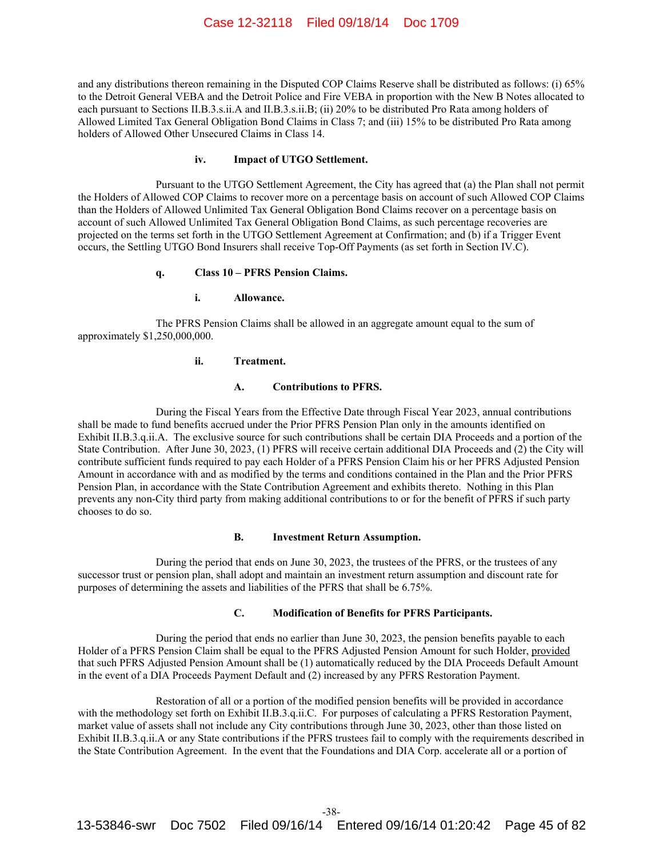and any distributions thereon remaining in the Disputed COP Claims Reserve shall be distributed as follows: (i) 65% to the Detroit General VEBA and the Detroit Police and Fire VEBA in proportion with the New B Notes allocated to each pursuant to Sections II.B.3.s.ii.A and II.B.3.s.ii.B; (ii) 20% to be distributed Pro Rata among holders of Allowed Limited Tax General Obligation Bond Claims in Class 7; and (iii) 15% to be distributed Pro Rata among holders of Allowed Other Unsecured Claims in Class 14.

#### **iv. Impact of UTGO Settlement.**

Pursuant to the UTGO Settlement Agreement, the City has agreed that (a) the Plan shall not permit the Holders of Allowed COP Claims to recover more on a percentage basis on account of such Allowed COP Claims than the Holders of Allowed Unlimited Tax General Obligation Bond Claims recover on a percentage basis on account of such Allowed Unlimited Tax General Obligation Bond Claims, as such percentage recoveries are projected on the terms set forth in the UTGO Settlement Agreement at Confirmation; and (b) if a Trigger Event occurs, the Settling UTGO Bond Insurers shall receive Top-Off Payments (as set forth in Section IV.C).

## **q. Class 10 – PFRS Pension Claims.**

## **i. Allowance.**

The PFRS Pension Claims shall be allowed in an aggregate amount equal to the sum of approximately \$1,250,000,000.

#### **ii. Treatment.**

## **A. Contributions to PFRS.**

During the Fiscal Years from the Effective Date through Fiscal Year 2023, annual contributions shall be made to fund benefits accrued under the Prior PFRS Pension Plan only in the amounts identified on Exhibit II.B.3.q.ii.A. The exclusive source for such contributions shall be certain DIA Proceeds and a portion of the State Contribution. After June 30, 2023, (1) PFRS will receive certain additional DIA Proceeds and (2) the City will contribute sufficient funds required to pay each Holder of a PFRS Pension Claim his or her PFRS Adjusted Pension Amount in accordance with and as modified by the terms and conditions contained in the Plan and the Prior PFRS Pension Plan, in accordance with the State Contribution Agreement and exhibits thereto. Nothing in this Plan prevents any non-City third party from making additional contributions to or for the benefit of PFRS if such party chooses to do so.

#### **B. Investment Return Assumption.**

During the period that ends on June 30, 2023, the trustees of the PFRS, or the trustees of any successor trust or pension plan, shall adopt and maintain an investment return assumption and discount rate for purposes of determining the assets and liabilities of the PFRS that shall be 6.75%.

#### **C. Modification of Benefits for PFRS Participants.**

During the period that ends no earlier than June 30, 2023, the pension benefits payable to each Holder of a PFRS Pension Claim shall be equal to the PFRS Adjusted Pension Amount for such Holder, provided that such PFRS Adjusted Pension Amount shall be (1) automatically reduced by the DIA Proceeds Default Amount in the event of a DIA Proceeds Payment Default and (2) increased by any PFRS Restoration Payment.

Restoration of all or a portion of the modified pension benefits will be provided in accordance with the methodology set forth on Exhibit II.B.3.q.ii.C. For purposes of calculating a PFRS Restoration Payment, market value of assets shall not include any City contributions through June 30, 2023, other than those listed on Exhibit II.B.3.q.ii.A or any State contributions if the PFRS trustees fail to comply with the requirements described in the State Contribution Agreement. In the event that the Foundations and DIA Corp. accelerate all or a portion of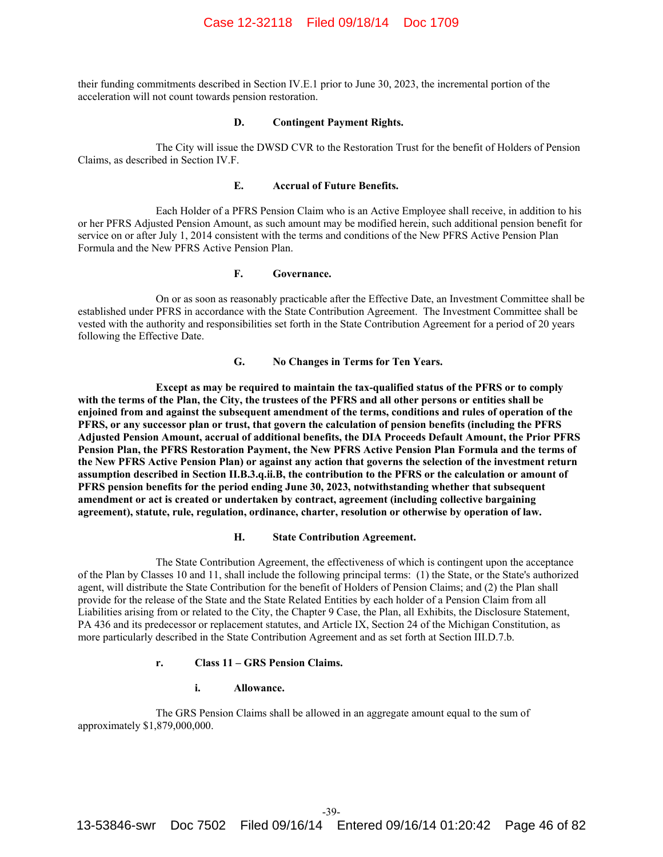their funding commitments described in Section IV.E.1 prior to June 30, 2023, the incremental portion of the acceleration will not count towards pension restoration.

#### **D. Contingent Payment Rights.**

The City will issue the DWSD CVR to the Restoration Trust for the benefit of Holders of Pension Claims, as described in Section IV.F.

#### **E. Accrual of Future Benefits.**

Each Holder of a PFRS Pension Claim who is an Active Employee shall receive, in addition to his or her PFRS Adjusted Pension Amount, as such amount may be modified herein, such additional pension benefit for service on or after July 1, 2014 consistent with the terms and conditions of the New PFRS Active Pension Plan Formula and the New PFRS Active Pension Plan.

# **F. Governance.**

On or as soon as reasonably practicable after the Effective Date, an Investment Committee shall be established under PFRS in accordance with the State Contribution Agreement. The Investment Committee shall be vested with the authority and responsibilities set forth in the State Contribution Agreement for a period of 20 years following the Effective Date.

## **G. No Changes in Terms for Ten Years.**

**Except as may be required to maintain the tax-qualified status of the PFRS or to comply with the terms of the Plan, the City, the trustees of the PFRS and all other persons or entities shall be enjoined from and against the subsequent amendment of the terms, conditions and rules of operation of the PFRS, or any successor plan or trust, that govern the calculation of pension benefits (including the PFRS Adjusted Pension Amount, accrual of additional benefits, the DIA Proceeds Default Amount, the Prior PFRS Pension Plan, the PFRS Restoration Payment, the New PFRS Active Pension Plan Formula and the terms of the New PFRS Active Pension Plan) or against any action that governs the selection of the investment return assumption described in Section II.B.3.q.ii.B, the contribution to the PFRS or the calculation or amount of PFRS pension benefits for the period ending June 30, 2023, notwithstanding whether that subsequent amendment or act is created or undertaken by contract, agreement (including collective bargaining agreement), statute, rule, regulation, ordinance, charter, resolution or otherwise by operation of law.** 

#### **H. State Contribution Agreement.**

The State Contribution Agreement, the effectiveness of which is contingent upon the acceptance of the Plan by Classes 10 and 11, shall include the following principal terms: (1) the State, or the State's authorized agent, will distribute the State Contribution for the benefit of Holders of Pension Claims; and (2) the Plan shall provide for the release of the State and the State Related Entities by each holder of a Pension Claim from all Liabilities arising from or related to the City, the Chapter 9 Case, the Plan, all Exhibits, the Disclosure Statement, PA 436 and its predecessor or replacement statutes, and Article IX, Section 24 of the Michigan Constitution, as more particularly described in the State Contribution Agreement and as set forth at Section III.D.7.b.

#### **r. Class 11 – GRS Pension Claims.**

#### **i. Allowance.**

The GRS Pension Claims shall be allowed in an aggregate amount equal to the sum of approximately \$1,879,000,000.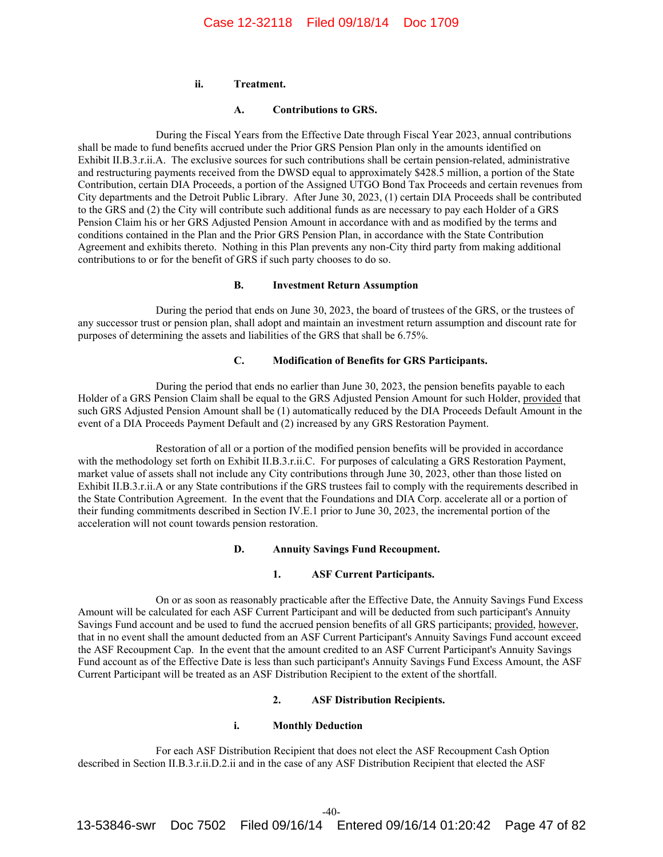### **ii. Treatment.**

### **A. Contributions to GRS.**

During the Fiscal Years from the Effective Date through Fiscal Year 2023, annual contributions shall be made to fund benefits accrued under the Prior GRS Pension Plan only in the amounts identified on Exhibit II.B.3.r.ii.A. The exclusive sources for such contributions shall be certain pension-related, administrative and restructuring payments received from the DWSD equal to approximately \$428.5 million, a portion of the State Contribution, certain DIA Proceeds, a portion of the Assigned UTGO Bond Tax Proceeds and certain revenues from City departments and the Detroit Public Library. After June 30, 2023, (1) certain DIA Proceeds shall be contributed to the GRS and (2) the City will contribute such additional funds as are necessary to pay each Holder of a GRS Pension Claim his or her GRS Adjusted Pension Amount in accordance with and as modified by the terms and conditions contained in the Plan and the Prior GRS Pension Plan, in accordance with the State Contribution Agreement and exhibits thereto. Nothing in this Plan prevents any non-City third party from making additional contributions to or for the benefit of GRS if such party chooses to do so.

## **B. Investment Return Assumption**

During the period that ends on June 30, 2023, the board of trustees of the GRS, or the trustees of any successor trust or pension plan, shall adopt and maintain an investment return assumption and discount rate for purposes of determining the assets and liabilities of the GRS that shall be 6.75%.

#### **C. Modification of Benefits for GRS Participants.**

During the period that ends no earlier than June 30, 2023, the pension benefits payable to each Holder of a GRS Pension Claim shall be equal to the GRS Adjusted Pension Amount for such Holder, provided that such GRS Adjusted Pension Amount shall be (1) automatically reduced by the DIA Proceeds Default Amount in the event of a DIA Proceeds Payment Default and (2) increased by any GRS Restoration Payment.

Restoration of all or a portion of the modified pension benefits will be provided in accordance with the methodology set forth on Exhibit II.B.3.r.ii.C. For purposes of calculating a GRS Restoration Payment, market value of assets shall not include any City contributions through June 30, 2023, other than those listed on Exhibit II.B.3.r.ii.A or any State contributions if the GRS trustees fail to comply with the requirements described in the State Contribution Agreement. In the event that the Foundations and DIA Corp. accelerate all or a portion of their funding commitments described in Section IV.E.1 prior to June 30, 2023, the incremental portion of the acceleration will not count towards pension restoration.

### **D. Annuity Savings Fund Recoupment.**

# **1. ASF Current Participants.**

On or as soon as reasonably practicable after the Effective Date, the Annuity Savings Fund Excess Amount will be calculated for each ASF Current Participant and will be deducted from such participant's Annuity Savings Fund account and be used to fund the accrued pension benefits of all GRS participants; provided, however, that in no event shall the amount deducted from an ASF Current Participant's Annuity Savings Fund account exceed the ASF Recoupment Cap. In the event that the amount credited to an ASF Current Participant's Annuity Savings Fund account as of the Effective Date is less than such participant's Annuity Savings Fund Excess Amount, the ASF Current Participant will be treated as an ASF Distribution Recipient to the extent of the shortfall.

## **2. ASF Distribution Recipients.**

### **i. Monthly Deduction**

For each ASF Distribution Recipient that does not elect the ASF Recoupment Cash Option described in Section II.B.3.r.ii.D.2.ii and in the case of any ASF Distribution Recipient that elected the ASF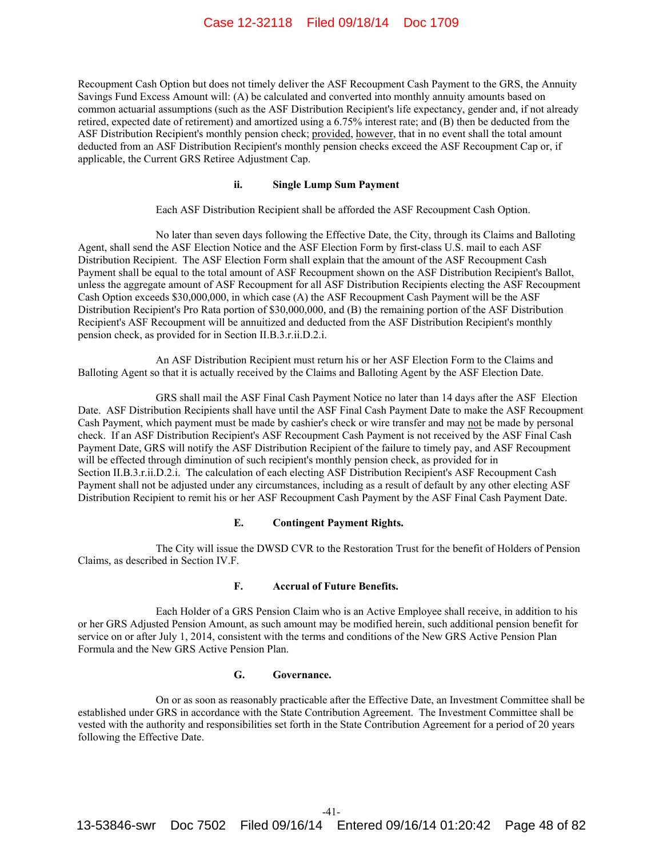Recoupment Cash Option but does not timely deliver the ASF Recoupment Cash Payment to the GRS, the Annuity Savings Fund Excess Amount will: (A) be calculated and converted into monthly annuity amounts based on common actuarial assumptions (such as the ASF Distribution Recipient's life expectancy, gender and, if not already retired, expected date of retirement) and amortized using a 6.75% interest rate; and (B) then be deducted from the ASF Distribution Recipient's monthly pension check; provided, however, that in no event shall the total amount deducted from an ASF Distribution Recipient's monthly pension checks exceed the ASF Recoupment Cap or, if applicable, the Current GRS Retiree Adjustment Cap.

# **ii. Single Lump Sum Payment**

Each ASF Distribution Recipient shall be afforded the ASF Recoupment Cash Option.

No later than seven days following the Effective Date, the City, through its Claims and Balloting Agent, shall send the ASF Election Notice and the ASF Election Form by first-class U.S. mail to each ASF Distribution Recipient. The ASF Election Form shall explain that the amount of the ASF Recoupment Cash Payment shall be equal to the total amount of ASF Recoupment shown on the ASF Distribution Recipient's Ballot, unless the aggregate amount of ASF Recoupment for all ASF Distribution Recipients electing the ASF Recoupment Cash Option exceeds \$30,000,000, in which case (A) the ASF Recoupment Cash Payment will be the ASF Distribution Recipient's Pro Rata portion of \$30,000,000, and (B) the remaining portion of the ASF Distribution Recipient's ASF Recoupment will be annuitized and deducted from the ASF Distribution Recipient's monthly pension check, as provided for in Section II.B.3.r.ii.D.2.i.

An ASF Distribution Recipient must return his or her ASF Election Form to the Claims and Balloting Agent so that it is actually received by the Claims and Balloting Agent by the ASF Election Date.

GRS shall mail the ASF Final Cash Payment Notice no later than 14 days after the ASF Election Date. ASF Distribution Recipients shall have until the ASF Final Cash Payment Date to make the ASF Recoupment Cash Payment, which payment must be made by cashier's check or wire transfer and may not be made by personal check. If an ASF Distribution Recipient's ASF Recoupment Cash Payment is not received by the ASF Final Cash Payment Date, GRS will notify the ASF Distribution Recipient of the failure to timely pay, and ASF Recoupment will be effected through diminution of such recipient's monthly pension check, as provided for in Section II.B.3.r.ii.D.2.i. The calculation of each electing ASF Distribution Recipient's ASF Recoupment Cash Payment shall not be adjusted under any circumstances, including as a result of default by any other electing ASF Distribution Recipient to remit his or her ASF Recoupment Cash Payment by the ASF Final Cash Payment Date.

### **E. Contingent Payment Rights.**

The City will issue the DWSD CVR to the Restoration Trust for the benefit of Holders of Pension Claims, as described in Section IV.F.

#### **F. Accrual of Future Benefits.**

Each Holder of a GRS Pension Claim who is an Active Employee shall receive, in addition to his or her GRS Adjusted Pension Amount, as such amount may be modified herein, such additional pension benefit for service on or after July 1, 2014, consistent with the terms and conditions of the New GRS Active Pension Plan Formula and the New GRS Active Pension Plan.

#### **G. Governance.**

On or as soon as reasonably practicable after the Effective Date, an Investment Committee shall be established under GRS in accordance with the State Contribution Agreement. The Investment Committee shall be vested with the authority and responsibilities set forth in the State Contribution Agreement for a period of 20 years following the Effective Date.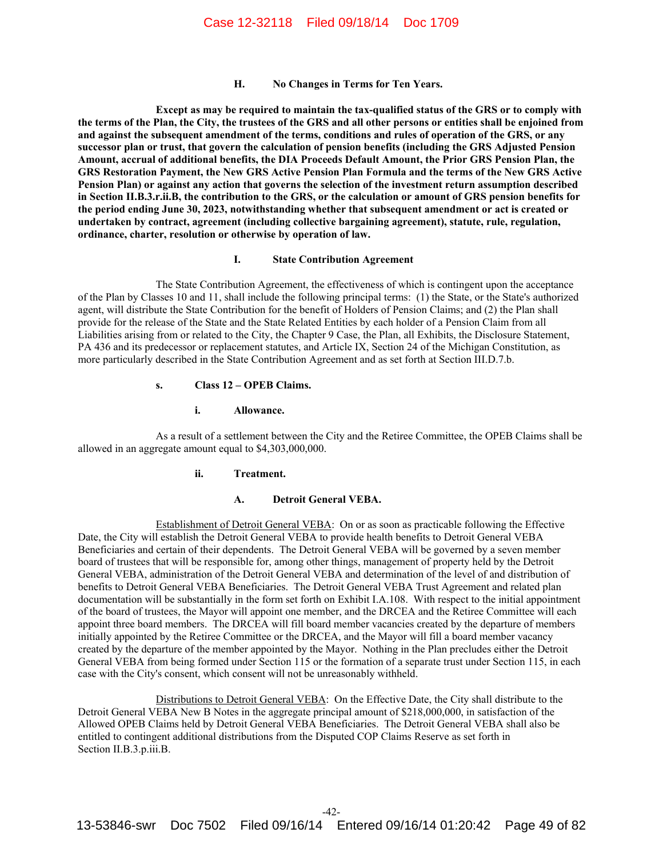**H. No Changes in Terms for Ten Years.** 

**Except as may be required to maintain the tax-qualified status of the GRS or to comply with the terms of the Plan, the City, the trustees of the GRS and all other persons or entities shall be enjoined from and against the subsequent amendment of the terms, conditions and rules of operation of the GRS, or any successor plan or trust, that govern the calculation of pension benefits (including the GRS Adjusted Pension Amount, accrual of additional benefits, the DIA Proceeds Default Amount, the Prior GRS Pension Plan, the GRS Restoration Payment, the New GRS Active Pension Plan Formula and the terms of the New GRS Active Pension Plan) or against any action that governs the selection of the investment return assumption described in Section II.B.3.r.ii.B, the contribution to the GRS, or the calculation or amount of GRS pension benefits for the period ending June 30, 2023, notwithstanding whether that subsequent amendment or act is created or undertaken by contract, agreement (including collective bargaining agreement), statute, rule, regulation, ordinance, charter, resolution or otherwise by operation of law.** 

#### **I. State Contribution Agreement**

The State Contribution Agreement, the effectiveness of which is contingent upon the acceptance of the Plan by Classes 10 and 11, shall include the following principal terms: (1) the State, or the State's authorized agent, will distribute the State Contribution for the benefit of Holders of Pension Claims; and (2) the Plan shall provide for the release of the State and the State Related Entities by each holder of a Pension Claim from all Liabilities arising from or related to the City, the Chapter 9 Case, the Plan, all Exhibits, the Disclosure Statement, PA 436 and its predecessor or replacement statutes, and Article IX, Section 24 of the Michigan Constitution, as more particularly described in the State Contribution Agreement and as set forth at Section III.D.7.b.

#### **s. Class 12 – OPEB Claims.**

# **i. Allowance.**

As a result of a settlement between the City and the Retiree Committee, the OPEB Claims shall be allowed in an aggregate amount equal to \$4,303,000,000.

# **ii. Treatment.**

#### **A. Detroit General VEBA.**

Establishment of Detroit General VEBA: On or as soon as practicable following the Effective Date, the City will establish the Detroit General VEBA to provide health benefits to Detroit General VEBA Beneficiaries and certain of their dependents. The Detroit General VEBA will be governed by a seven member board of trustees that will be responsible for, among other things, management of property held by the Detroit General VEBA, administration of the Detroit General VEBA and determination of the level of and distribution of benefits to Detroit General VEBA Beneficiaries. The Detroit General VEBA Trust Agreement and related plan documentation will be substantially in the form set forth on Exhibit I.A.108. With respect to the initial appointment of the board of trustees, the Mayor will appoint one member, and the DRCEA and the Retiree Committee will each appoint three board members. The DRCEA will fill board member vacancies created by the departure of members initially appointed by the Retiree Committee or the DRCEA, and the Mayor will fill a board member vacancy created by the departure of the member appointed by the Mayor. Nothing in the Plan precludes either the Detroit General VEBA from being formed under Section 115 or the formation of a separate trust under Section 115, in each case with the City's consent, which consent will not be unreasonably withheld.

Distributions to Detroit General VEBA: On the Effective Date, the City shall distribute to the Detroit General VEBA New B Notes in the aggregate principal amount of \$218,000,000, in satisfaction of the Allowed OPEB Claims held by Detroit General VEBA Beneficiaries. The Detroit General VEBA shall also be entitled to contingent additional distributions from the Disputed COP Claims Reserve as set forth in Section II.B.3.p.iii.B.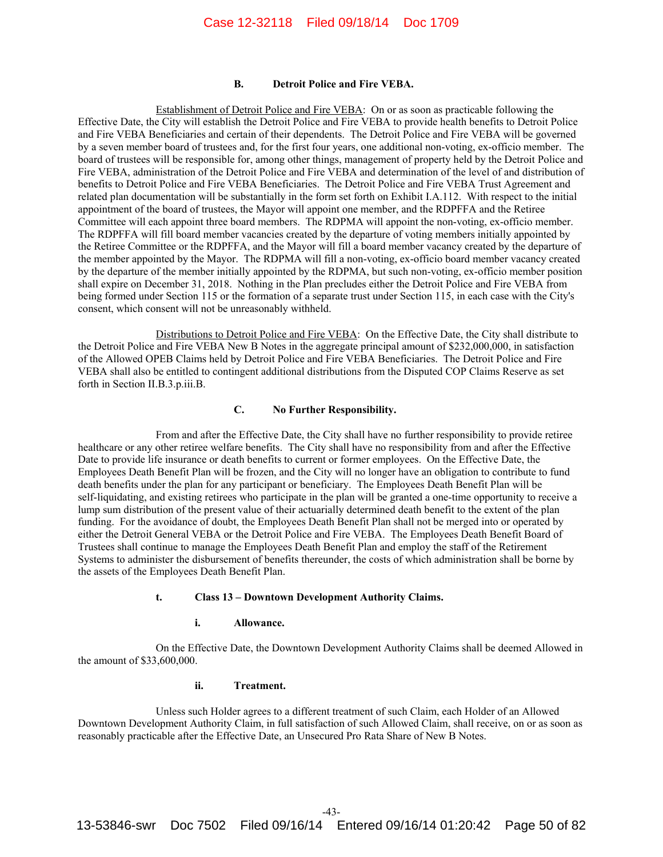#### **B. Detroit Police and Fire VEBA.**

Establishment of Detroit Police and Fire VEBA: On or as soon as practicable following the Effective Date, the City will establish the Detroit Police and Fire VEBA to provide health benefits to Detroit Police and Fire VEBA Beneficiaries and certain of their dependents. The Detroit Police and Fire VEBA will be governed by a seven member board of trustees and, for the first four years, one additional non-voting, ex-officio member. The board of trustees will be responsible for, among other things, management of property held by the Detroit Police and Fire VEBA, administration of the Detroit Police and Fire VEBA and determination of the level of and distribution of benefits to Detroit Police and Fire VEBA Beneficiaries. The Detroit Police and Fire VEBA Trust Agreement and related plan documentation will be substantially in the form set forth on Exhibit I.A.112. With respect to the initial appointment of the board of trustees, the Mayor will appoint one member, and the RDPFFA and the Retiree Committee will each appoint three board members. The RDPMA will appoint the non-voting, ex-officio member. The RDPFFA will fill board member vacancies created by the departure of voting members initially appointed by the Retiree Committee or the RDPFFA, and the Mayor will fill a board member vacancy created by the departure of the member appointed by the Mayor. The RDPMA will fill a non-voting, ex-officio board member vacancy created by the departure of the member initially appointed by the RDPMA, but such non-voting, ex-officio member position shall expire on December 31, 2018. Nothing in the Plan precludes either the Detroit Police and Fire VEBA from being formed under Section 115 or the formation of a separate trust under Section 115, in each case with the City's consent, which consent will not be unreasonably withheld.

Distributions to Detroit Police and Fire VEBA: On the Effective Date, the City shall distribute to the Detroit Police and Fire VEBA New B Notes in the aggregate principal amount of \$232,000,000, in satisfaction of the Allowed OPEB Claims held by Detroit Police and Fire VEBA Beneficiaries. The Detroit Police and Fire VEBA shall also be entitled to contingent additional distributions from the Disputed COP Claims Reserve as set forth in Section II.B.3.p.iii.B.

#### **C. No Further Responsibility.**

From and after the Effective Date, the City shall have no further responsibility to provide retiree healthcare or any other retiree welfare benefits. The City shall have no responsibility from and after the Effective Date to provide life insurance or death benefits to current or former employees. On the Effective Date, the Employees Death Benefit Plan will be frozen, and the City will no longer have an obligation to contribute to fund death benefits under the plan for any participant or beneficiary. The Employees Death Benefit Plan will be self-liquidating, and existing retirees who participate in the plan will be granted a one-time opportunity to receive a lump sum distribution of the present value of their actuarially determined death benefit to the extent of the plan funding. For the avoidance of doubt, the Employees Death Benefit Plan shall not be merged into or operated by either the Detroit General VEBA or the Detroit Police and Fire VEBA. The Employees Death Benefit Board of Trustees shall continue to manage the Employees Death Benefit Plan and employ the staff of the Retirement Systems to administer the disbursement of benefits thereunder, the costs of which administration shall be borne by the assets of the Employees Death Benefit Plan.

#### **t. Class 13 – Downtown Development Authority Claims.**

#### **i. Allowance.**

On the Effective Date, the Downtown Development Authority Claims shall be deemed Allowed in the amount of \$33,600,000.

# **ii. Treatment.**

Unless such Holder agrees to a different treatment of such Claim, each Holder of an Allowed Downtown Development Authority Claim, in full satisfaction of such Allowed Claim, shall receive, on or as soon as reasonably practicable after the Effective Date, an Unsecured Pro Rata Share of New B Notes.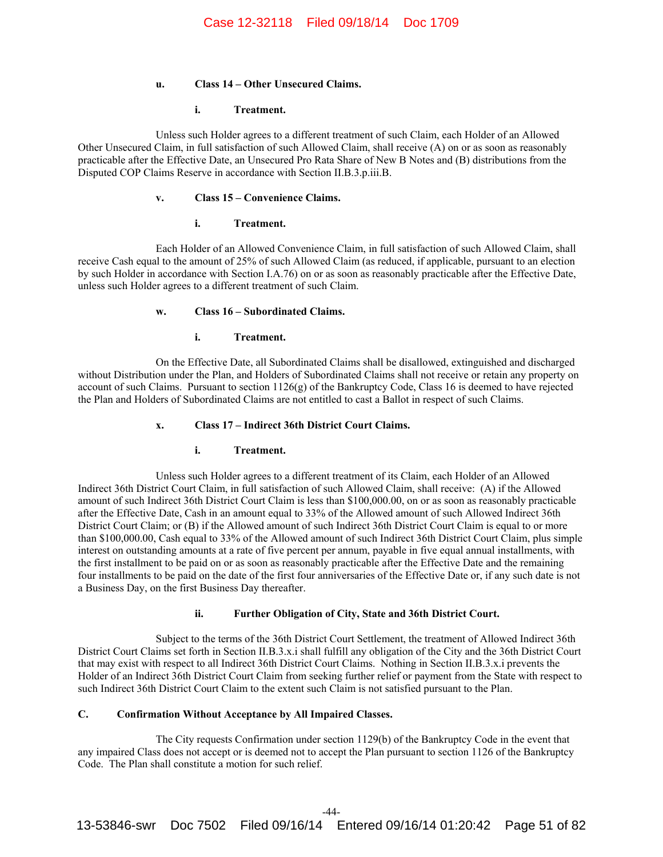## **u. Class 14 – Other Unsecured Claims.**

## **i. Treatment.**

Unless such Holder agrees to a different treatment of such Claim, each Holder of an Allowed Other Unsecured Claim, in full satisfaction of such Allowed Claim, shall receive (A) on or as soon as reasonably practicable after the Effective Date, an Unsecured Pro Rata Share of New B Notes and (B) distributions from the Disputed COP Claims Reserve in accordance with Section II.B.3.p.iii.B.

# **v. Class 15 – Convenience Claims.**

## **i. Treatment.**

Each Holder of an Allowed Convenience Claim, in full satisfaction of such Allowed Claim, shall receive Cash equal to the amount of 25% of such Allowed Claim (as reduced, if applicable, pursuant to an election by such Holder in accordance with Section I.A.76) on or as soon as reasonably practicable after the Effective Date, unless such Holder agrees to a different treatment of such Claim.

## **w. Class 16 – Subordinated Claims.**

## **i. Treatment.**

On the Effective Date, all Subordinated Claims shall be disallowed, extinguished and discharged without Distribution under the Plan, and Holders of Subordinated Claims shall not receive or retain any property on account of such Claims. Pursuant to section 1126(g) of the Bankruptcy Code, Class 16 is deemed to have rejected the Plan and Holders of Subordinated Claims are not entitled to cast a Ballot in respect of such Claims.

# **x. Class 17 – Indirect 36th District Court Claims.**

#### **i. Treatment.**

Unless such Holder agrees to a different treatment of its Claim, each Holder of an Allowed Indirect 36th District Court Claim, in full satisfaction of such Allowed Claim, shall receive: (A) if the Allowed amount of such Indirect 36th District Court Claim is less than \$100,000.00, on or as soon as reasonably practicable after the Effective Date, Cash in an amount equal to 33% of the Allowed amount of such Allowed Indirect 36th District Court Claim; or (B) if the Allowed amount of such Indirect 36th District Court Claim is equal to or more than \$100,000.00, Cash equal to 33% of the Allowed amount of such Indirect 36th District Court Claim, plus simple interest on outstanding amounts at a rate of five percent per annum, payable in five equal annual installments, with the first installment to be paid on or as soon as reasonably practicable after the Effective Date and the remaining four installments to be paid on the date of the first four anniversaries of the Effective Date or, if any such date is not a Business Day, on the first Business Day thereafter.

# **ii. Further Obligation of City, State and 36th District Court.**

Subject to the terms of the 36th District Court Settlement, the treatment of Allowed Indirect 36th District Court Claims set forth in Section II.B.3.x.i shall fulfill any obligation of the City and the 36th District Court that may exist with respect to all Indirect 36th District Court Claims. Nothing in Section II.B.3.x.i prevents the Holder of an Indirect 36th District Court Claim from seeking further relief or payment from the State with respect to such Indirect 36th District Court Claim to the extent such Claim is not satisfied pursuant to the Plan.

# **C. Confirmation Without Acceptance by All Impaired Classes.**

The City requests Confirmation under section 1129(b) of the Bankruptcy Code in the event that any impaired Class does not accept or is deemed not to accept the Plan pursuant to section 1126 of the Bankruptcy Code. The Plan shall constitute a motion for such relief.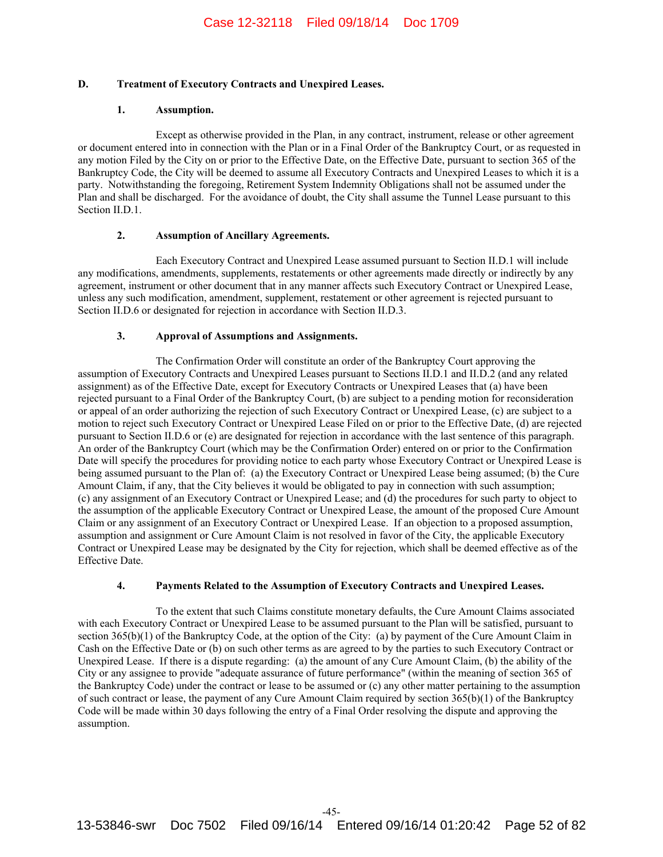# **D. Treatment of Executory Contracts and Unexpired Leases.**

# **1. Assumption.**

Except as otherwise provided in the Plan, in any contract, instrument, release or other agreement or document entered into in connection with the Plan or in a Final Order of the Bankruptcy Court, or as requested in any motion Filed by the City on or prior to the Effective Date, on the Effective Date, pursuant to section 365 of the Bankruptcy Code, the City will be deemed to assume all Executory Contracts and Unexpired Leases to which it is a party. Notwithstanding the foregoing, Retirement System Indemnity Obligations shall not be assumed under the Plan and shall be discharged. For the avoidance of doubt, the City shall assume the Tunnel Lease pursuant to this Section II.D.1.

## **2. Assumption of Ancillary Agreements.**

Each Executory Contract and Unexpired Lease assumed pursuant to Section II.D.1 will include any modifications, amendments, supplements, restatements or other agreements made directly or indirectly by any agreement, instrument or other document that in any manner affects such Executory Contract or Unexpired Lease, unless any such modification, amendment, supplement, restatement or other agreement is rejected pursuant to Section II.D.6 or designated for rejection in accordance with Section II.D.3.

## **3. Approval of Assumptions and Assignments.**

The Confirmation Order will constitute an order of the Bankruptcy Court approving the assumption of Executory Contracts and Unexpired Leases pursuant to Sections II.D.1 and II.D.2 (and any related assignment) as of the Effective Date, except for Executory Contracts or Unexpired Leases that (a) have been rejected pursuant to a Final Order of the Bankruptcy Court, (b) are subject to a pending motion for reconsideration or appeal of an order authorizing the rejection of such Executory Contract or Unexpired Lease, (c) are subject to a motion to reject such Executory Contract or Unexpired Lease Filed on or prior to the Effective Date, (d) are rejected pursuant to Section II.D.6 or (e) are designated for rejection in accordance with the last sentence of this paragraph. An order of the Bankruptcy Court (which may be the Confirmation Order) entered on or prior to the Confirmation Date will specify the procedures for providing notice to each party whose Executory Contract or Unexpired Lease is being assumed pursuant to the Plan of: (a) the Executory Contract or Unexpired Lease being assumed; (b) the Cure Amount Claim, if any, that the City believes it would be obligated to pay in connection with such assumption; (c) any assignment of an Executory Contract or Unexpired Lease; and (d) the procedures for such party to object to the assumption of the applicable Executory Contract or Unexpired Lease, the amount of the proposed Cure Amount Claim or any assignment of an Executory Contract or Unexpired Lease. If an objection to a proposed assumption, assumption and assignment or Cure Amount Claim is not resolved in favor of the City, the applicable Executory Contract or Unexpired Lease may be designated by the City for rejection, which shall be deemed effective as of the Effective Date.

# **4. Payments Related to the Assumption of Executory Contracts and Unexpired Leases.**

To the extent that such Claims constitute monetary defaults, the Cure Amount Claims associated with each Executory Contract or Unexpired Lease to be assumed pursuant to the Plan will be satisfied, pursuant to section 365(b)(1) of the Bankruptcy Code, at the option of the City: (a) by payment of the Cure Amount Claim in Cash on the Effective Date or (b) on such other terms as are agreed to by the parties to such Executory Contract or Unexpired Lease. If there is a dispute regarding: (a) the amount of any Cure Amount Claim, (b) the ability of the City or any assignee to provide "adequate assurance of future performance" (within the meaning of section 365 of the Bankruptcy Code) under the contract or lease to be assumed or (c) any other matter pertaining to the assumption of such contract or lease, the payment of any Cure Amount Claim required by section 365(b)(1) of the Bankruptcy Code will be made within 30 days following the entry of a Final Order resolving the dispute and approving the assumption.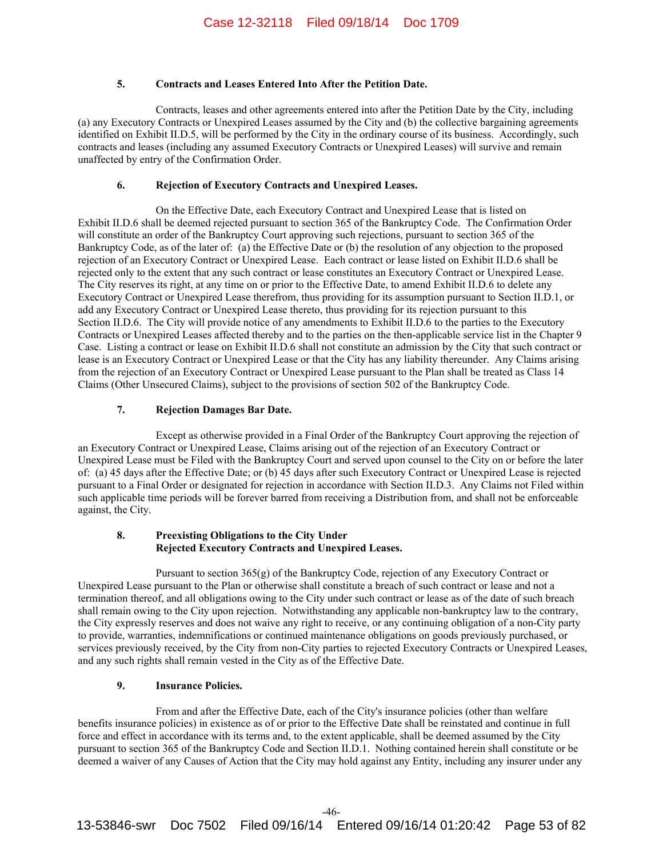# **5. Contracts and Leases Entered Into After the Petition Date.**

Contracts, leases and other agreements entered into after the Petition Date by the City, including (a) any Executory Contracts or Unexpired Leases assumed by the City and (b) the collective bargaining agreements identified on Exhibit II.D.5, will be performed by the City in the ordinary course of its business. Accordingly, such contracts and leases (including any assumed Executory Contracts or Unexpired Leases) will survive and remain unaffected by entry of the Confirmation Order.

# **6. Rejection of Executory Contracts and Unexpired Leases.**

On the Effective Date, each Executory Contract and Unexpired Lease that is listed on Exhibit II.D.6 shall be deemed rejected pursuant to section 365 of the Bankruptcy Code. The Confirmation Order will constitute an order of the Bankruptcy Court approving such rejections, pursuant to section 365 of the Bankruptcy Code, as of the later of: (a) the Effective Date or (b) the resolution of any objection to the proposed rejection of an Executory Contract or Unexpired Lease. Each contract or lease listed on Exhibit II.D.6 shall be rejected only to the extent that any such contract or lease constitutes an Executory Contract or Unexpired Lease. The City reserves its right, at any time on or prior to the Effective Date, to amend Exhibit II.D.6 to delete any Executory Contract or Unexpired Lease therefrom, thus providing for its assumption pursuant to Section II.D.1, or add any Executory Contract or Unexpired Lease thereto, thus providing for its rejection pursuant to this Section II.D.6. The City will provide notice of any amendments to Exhibit II.D.6 to the parties to the Executory Contracts or Unexpired Leases affected thereby and to the parties on the then-applicable service list in the Chapter 9 Case. Listing a contract or lease on Exhibit II.D.6 shall not constitute an admission by the City that such contract or lease is an Executory Contract or Unexpired Lease or that the City has any liability thereunder. Any Claims arising from the rejection of an Executory Contract or Unexpired Lease pursuant to the Plan shall be treated as Class 14 Claims (Other Unsecured Claims), subject to the provisions of section 502 of the Bankruptcy Code.

## **7. Rejection Damages Bar Date.**

Except as otherwise provided in a Final Order of the Bankruptcy Court approving the rejection of an Executory Contract or Unexpired Lease, Claims arising out of the rejection of an Executory Contract or Unexpired Lease must be Filed with the Bankruptcy Court and served upon counsel to the City on or before the later of: (a) 45 days after the Effective Date; or (b) 45 days after such Executory Contract or Unexpired Lease is rejected pursuant to a Final Order or designated for rejection in accordance with Section II.D.3. Any Claims not Filed within such applicable time periods will be forever barred from receiving a Distribution from, and shall not be enforceable against, the City.

# **8. Preexisting Obligations to the City Under Rejected Executory Contracts and Unexpired Leases.**

Pursuant to section 365(g) of the Bankruptcy Code, rejection of any Executory Contract or Unexpired Lease pursuant to the Plan or otherwise shall constitute a breach of such contract or lease and not a termination thereof, and all obligations owing to the City under such contract or lease as of the date of such breach shall remain owing to the City upon rejection. Notwithstanding any applicable non-bankruptcy law to the contrary, the City expressly reserves and does not waive any right to receive, or any continuing obligation of a non-City party to provide, warranties, indemnifications or continued maintenance obligations on goods previously purchased, or services previously received, by the City from non-City parties to rejected Executory Contracts or Unexpired Leases, and any such rights shall remain vested in the City as of the Effective Date.

## **9. Insurance Policies.**

From and after the Effective Date, each of the City's insurance policies (other than welfare benefits insurance policies) in existence as of or prior to the Effective Date shall be reinstated and continue in full force and effect in accordance with its terms and, to the extent applicable, shall be deemed assumed by the City pursuant to section 365 of the Bankruptcy Code and Section II.D.1. Nothing contained herein shall constitute or be deemed a waiver of any Causes of Action that the City may hold against any Entity, including any insurer under any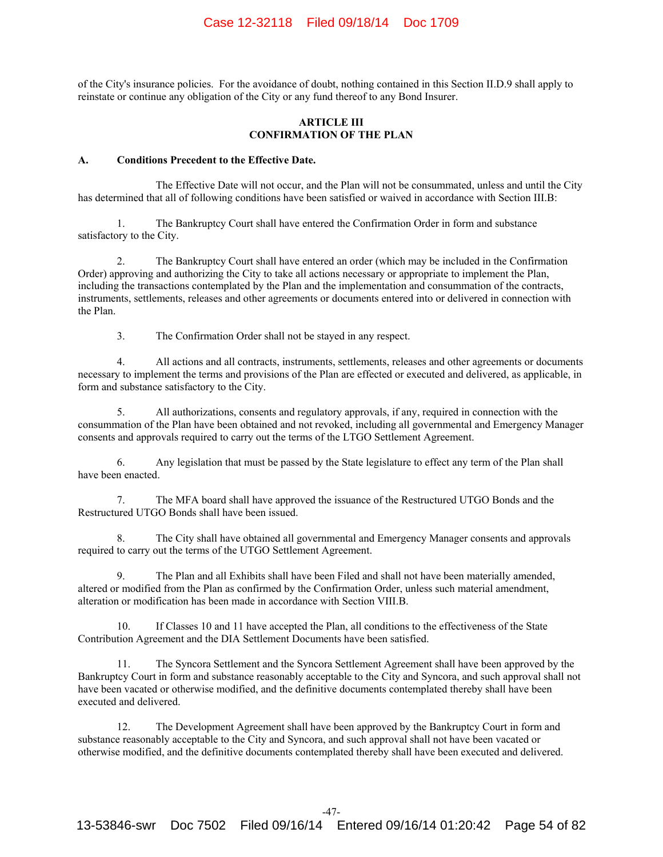of the City's insurance policies. For the avoidance of doubt, nothing contained in this Section II.D.9 shall apply to reinstate or continue any obligation of the City or any fund thereof to any Bond Insurer.

## **ARTICLE III CONFIRMATION OF THE PLAN**

## **A. Conditions Precedent to the Effective Date.**

The Effective Date will not occur, and the Plan will not be consummated, unless and until the City has determined that all of following conditions have been satisfied or waived in accordance with Section III.B:

1. The Bankruptcy Court shall have entered the Confirmation Order in form and substance satisfactory to the City.

2. The Bankruptcy Court shall have entered an order (which may be included in the Confirmation Order) approving and authorizing the City to take all actions necessary or appropriate to implement the Plan, including the transactions contemplated by the Plan and the implementation and consummation of the contracts, instruments, settlements, releases and other agreements or documents entered into or delivered in connection with the Plan.

3. The Confirmation Order shall not be stayed in any respect.

4. All actions and all contracts, instruments, settlements, releases and other agreements or documents necessary to implement the terms and provisions of the Plan are effected or executed and delivered, as applicable, in form and substance satisfactory to the City.

5. All authorizations, consents and regulatory approvals, if any, required in connection with the consummation of the Plan have been obtained and not revoked, including all governmental and Emergency Manager consents and approvals required to carry out the terms of the LTGO Settlement Agreement.

6. Any legislation that must be passed by the State legislature to effect any term of the Plan shall have been enacted.

7. The MFA board shall have approved the issuance of the Restructured UTGO Bonds and the Restructured UTGO Bonds shall have been issued.

8. The City shall have obtained all governmental and Emergency Manager consents and approvals required to carry out the terms of the UTGO Settlement Agreement.

9. The Plan and all Exhibits shall have been Filed and shall not have been materially amended, altered or modified from the Plan as confirmed by the Confirmation Order, unless such material amendment, alteration or modification has been made in accordance with Section VIII.B.

10. If Classes 10 and 11 have accepted the Plan, all conditions to the effectiveness of the State Contribution Agreement and the DIA Settlement Documents have been satisfied.

11. The Syncora Settlement and the Syncora Settlement Agreement shall have been approved by the Bankruptcy Court in form and substance reasonably acceptable to the City and Syncora, and such approval shall not have been vacated or otherwise modified, and the definitive documents contemplated thereby shall have been executed and delivered.

12. The Development Agreement shall have been approved by the Bankruptcy Court in form and substance reasonably acceptable to the City and Syncora, and such approval shall not have been vacated or otherwise modified, and the definitive documents contemplated thereby shall have been executed and delivered.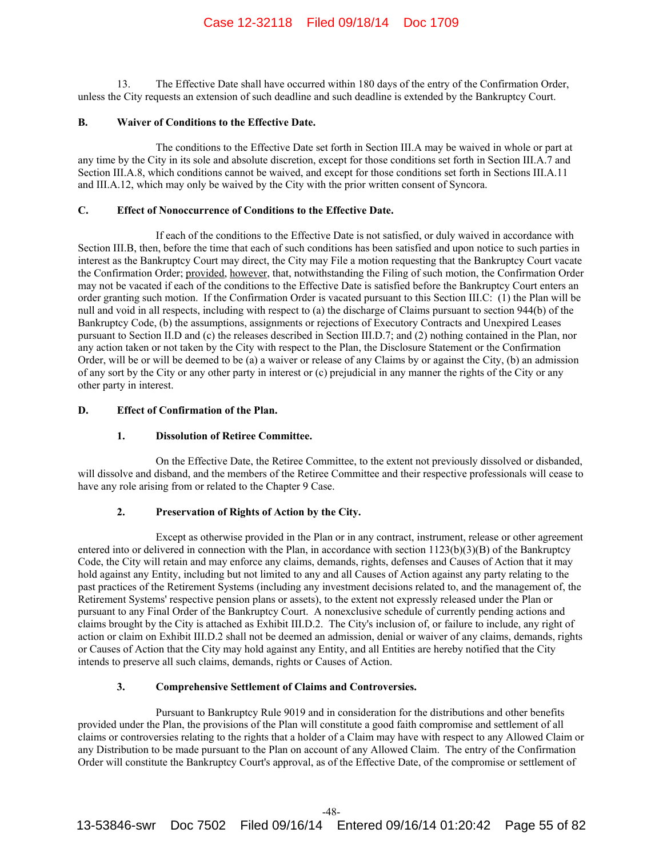13. The Effective Date shall have occurred within 180 days of the entry of the Confirmation Order, unless the City requests an extension of such deadline and such deadline is extended by the Bankruptcy Court.

### **B. Waiver of Conditions to the Effective Date.**

The conditions to the Effective Date set forth in Section III.A may be waived in whole or part at any time by the City in its sole and absolute discretion, except for those conditions set forth in Section III.A.7 and Section III.A.8, which conditions cannot be waived, and except for those conditions set forth in Sections III.A.11 and III.A.12, which may only be waived by the City with the prior written consent of Syncora.

## **C. Effect of Nonoccurrence of Conditions to the Effective Date.**

If each of the conditions to the Effective Date is not satisfied, or duly waived in accordance with Section III.B, then, before the time that each of such conditions has been satisfied and upon notice to such parties in interest as the Bankruptcy Court may direct, the City may File a motion requesting that the Bankruptcy Court vacate the Confirmation Order; provided, however, that, notwithstanding the Filing of such motion, the Confirmation Order may not be vacated if each of the conditions to the Effective Date is satisfied before the Bankruptcy Court enters an order granting such motion. If the Confirmation Order is vacated pursuant to this Section III.C: (1) the Plan will be null and void in all respects, including with respect to (a) the discharge of Claims pursuant to section 944(b) of the Bankruptcy Code, (b) the assumptions, assignments or rejections of Executory Contracts and Unexpired Leases pursuant to Section II.D and (c) the releases described in Section III.D.7; and (2) nothing contained in the Plan, nor any action taken or not taken by the City with respect to the Plan, the Disclosure Statement or the Confirmation Order, will be or will be deemed to be (a) a waiver or release of any Claims by or against the City, (b) an admission of any sort by the City or any other party in interest or (c) prejudicial in any manner the rights of the City or any other party in interest.

# **D. Effect of Confirmation of the Plan.**

# **1. Dissolution of Retiree Committee.**

On the Effective Date, the Retiree Committee, to the extent not previously dissolved or disbanded, will dissolve and disband, and the members of the Retiree Committee and their respective professionals will cease to have any role arising from or related to the Chapter 9 Case.

# **2. Preservation of Rights of Action by the City.**

Except as otherwise provided in the Plan or in any contract, instrument, release or other agreement entered into or delivered in connection with the Plan, in accordance with section 1123(b)(3)(B) of the Bankruptcy Code, the City will retain and may enforce any claims, demands, rights, defenses and Causes of Action that it may hold against any Entity, including but not limited to any and all Causes of Action against any party relating to the past practices of the Retirement Systems (including any investment decisions related to, and the management of, the Retirement Systems' respective pension plans or assets), to the extent not expressly released under the Plan or pursuant to any Final Order of the Bankruptcy Court. A nonexclusive schedule of currently pending actions and claims brought by the City is attached as Exhibit III.D.2. The City's inclusion of, or failure to include, any right of action or claim on Exhibit III.D.2 shall not be deemed an admission, denial or waiver of any claims, demands, rights or Causes of Action that the City may hold against any Entity, and all Entities are hereby notified that the City intends to preserve all such claims, demands, rights or Causes of Action.

## **3. Comprehensive Settlement of Claims and Controversies.**

Pursuant to Bankruptcy Rule 9019 and in consideration for the distributions and other benefits provided under the Plan, the provisions of the Plan will constitute a good faith compromise and settlement of all claims or controversies relating to the rights that a holder of a Claim may have with respect to any Allowed Claim or any Distribution to be made pursuant to the Plan on account of any Allowed Claim. The entry of the Confirmation Order will constitute the Bankruptcy Court's approval, as of the Effective Date, of the compromise or settlement of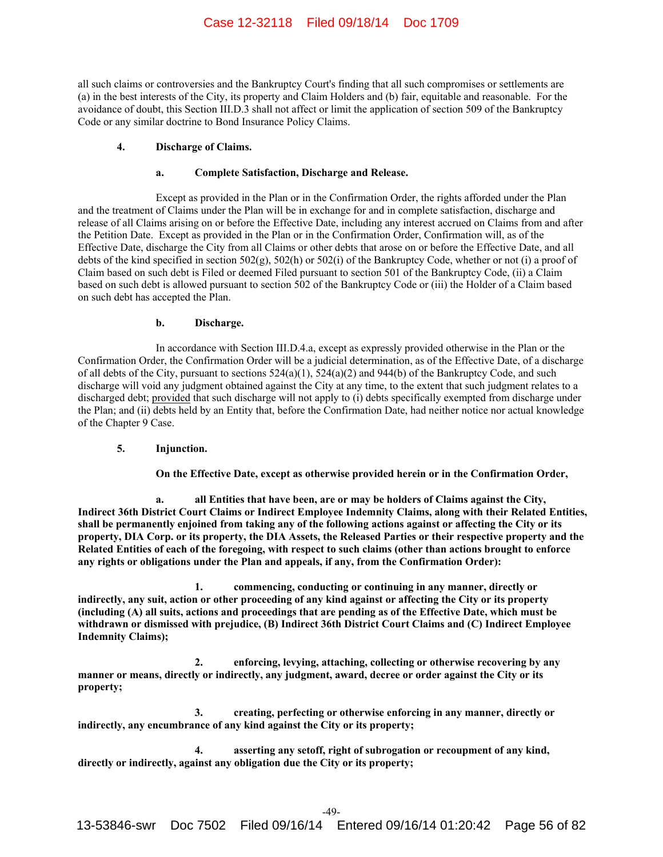all such claims or controversies and the Bankruptcy Court's finding that all such compromises or settlements are (a) in the best interests of the City, its property and Claim Holders and (b) fair, equitable and reasonable. For the avoidance of doubt, this Section III.D.3 shall not affect or limit the application of section 509 of the Bankruptcy Code or any similar doctrine to Bond Insurance Policy Claims.

#### **4. Discharge of Claims.**

### **a. Complete Satisfaction, Discharge and Release.**

Except as provided in the Plan or in the Confirmation Order, the rights afforded under the Plan and the treatment of Claims under the Plan will be in exchange for and in complete satisfaction, discharge and release of all Claims arising on or before the Effective Date, including any interest accrued on Claims from and after the Petition Date. Except as provided in the Plan or in the Confirmation Order, Confirmation will, as of the Effective Date, discharge the City from all Claims or other debts that arose on or before the Effective Date, and all debts of the kind specified in section  $502(g)$ ,  $502(h)$  or  $502(i)$  of the Bankruptcy Code, whether or not (i) a proof of Claim based on such debt is Filed or deemed Filed pursuant to section 501 of the Bankruptcy Code, (ii) a Claim based on such debt is allowed pursuant to section 502 of the Bankruptcy Code or (iii) the Holder of a Claim based on such debt has accepted the Plan.

## **b. Discharge.**

In accordance with Section III.D.4.a, except as expressly provided otherwise in the Plan or the Confirmation Order, the Confirmation Order will be a judicial determination, as of the Effective Date, of a discharge of all debts of the City, pursuant to sections 524(a)(1), 524(a)(2) and 944(b) of the Bankruptcy Code, and such discharge will void any judgment obtained against the City at any time, to the extent that such judgment relates to a discharged debt; provided that such discharge will not apply to (i) debts specifically exempted from discharge under the Plan; and (ii) debts held by an Entity that, before the Confirmation Date, had neither notice nor actual knowledge of the Chapter 9 Case.

# **5. Injunction.**

**On the Effective Date, except as otherwise provided herein or in the Confirmation Order,** 

all Entities that have been, are or may be holders of Claims against the City, **Indirect 36th District Court Claims or Indirect Employee Indemnity Claims, along with their Related Entities, shall be permanently enjoined from taking any of the following actions against or affecting the City or its property, DIA Corp. or its property, the DIA Assets, the Released Parties or their respective property and the Related Entities of each of the foregoing, with respect to such claims (other than actions brought to enforce any rights or obligations under the Plan and appeals, if any, from the Confirmation Order):** 

**1. commencing, conducting or continuing in any manner, directly or indirectly, any suit, action or other proceeding of any kind against or affecting the City or its property (including (A) all suits, actions and proceedings that are pending as of the Effective Date, which must be withdrawn or dismissed with prejudice, (B) Indirect 36th District Court Claims and (C) Indirect Employee Indemnity Claims);** 

**2. enforcing, levying, attaching, collecting or otherwise recovering by any manner or means, directly or indirectly, any judgment, award, decree or order against the City or its property;** 

**3. creating, perfecting or otherwise enforcing in any manner, directly or indirectly, any encumbrance of any kind against the City or its property;** 

**4. asserting any setoff, right of subrogation or recoupment of any kind, directly or indirectly, against any obligation due the City or its property;**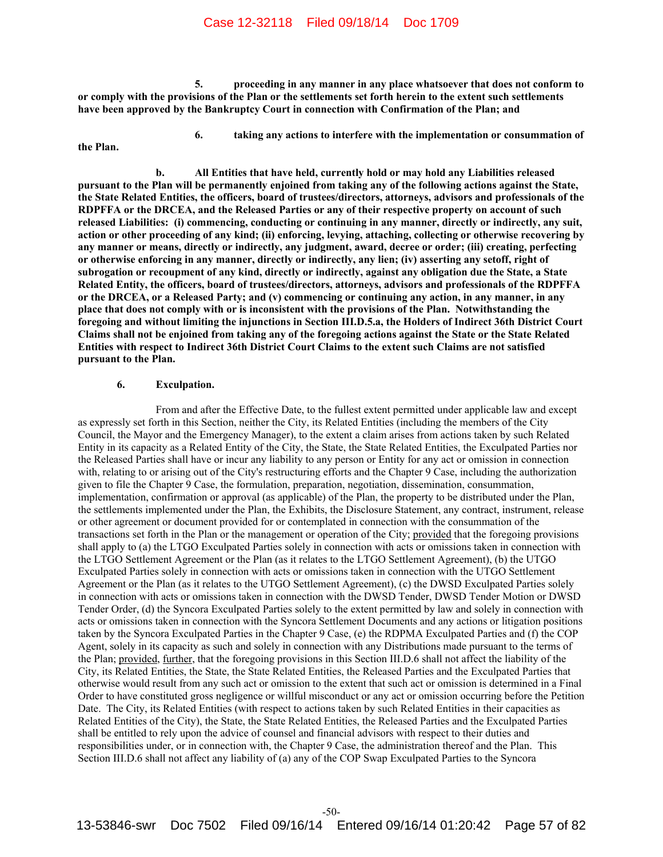**5. proceeding in any manner in any place whatsoever that does not conform to or comply with the provisions of the Plan or the settlements set forth herein to the extent such settlements have been approved by the Bankruptcy Court in connection with Confirmation of the Plan; and** 

**6. taking any actions to interfere with the implementation or consummation of** 

**the Plan.** 

**b. All Entities that have held, currently hold or may hold any Liabilities released pursuant to the Plan will be permanently enjoined from taking any of the following actions against the State, the State Related Entities, the officers, board of trustees/directors, attorneys, advisors and professionals of the RDPFFA or the DRCEA, and the Released Parties or any of their respective property on account of such released Liabilities: (i) commencing, conducting or continuing in any manner, directly or indirectly, any suit, action or other proceeding of any kind; (ii) enforcing, levying, attaching, collecting or otherwise recovering by any manner or means, directly or indirectly, any judgment, award, decree or order; (iii) creating, perfecting or otherwise enforcing in any manner, directly or indirectly, any lien; (iv) asserting any setoff, right of subrogation or recoupment of any kind, directly or indirectly, against any obligation due the State, a State Related Entity, the officers, board of trustees/directors, attorneys, advisors and professionals of the RDPFFA or the DRCEA, or a Released Party; and (v) commencing or continuing any action, in any manner, in any place that does not comply with or is inconsistent with the provisions of the Plan. Notwithstanding the foregoing and without limiting the injunctions in Section III.D.5.a, the Holders of Indirect 36th District Court Claims shall not be enjoined from taking any of the foregoing actions against the State or the State Related Entities with respect to Indirect 36th District Court Claims to the extent such Claims are not satisfied pursuant to the Plan.** 

#### **6. Exculpation.**

From and after the Effective Date, to the fullest extent permitted under applicable law and except as expressly set forth in this Section, neither the City, its Related Entities (including the members of the City Council, the Mayor and the Emergency Manager), to the extent a claim arises from actions taken by such Related Entity in its capacity as a Related Entity of the City, the State, the State Related Entities, the Exculpated Parties nor the Released Parties shall have or incur any liability to any person or Entity for any act or omission in connection with, relating to or arising out of the City's restructuring efforts and the Chapter 9 Case, including the authorization given to file the Chapter 9 Case, the formulation, preparation, negotiation, dissemination, consummation, implementation, confirmation or approval (as applicable) of the Plan, the property to be distributed under the Plan, the settlements implemented under the Plan, the Exhibits, the Disclosure Statement, any contract, instrument, release or other agreement or document provided for or contemplated in connection with the consummation of the transactions set forth in the Plan or the management or operation of the City; provided that the foregoing provisions shall apply to (a) the LTGO Exculpated Parties solely in connection with acts or omissions taken in connection with the LTGO Settlement Agreement or the Plan (as it relates to the LTGO Settlement Agreement), (b) the UTGO Exculpated Parties solely in connection with acts or omissions taken in connection with the UTGO Settlement Agreement or the Plan (as it relates to the UTGO Settlement Agreement), (c) the DWSD Exculpated Parties solely in connection with acts or omissions taken in connection with the DWSD Tender, DWSD Tender Motion or DWSD Tender Order, (d) the Syncora Exculpated Parties solely to the extent permitted by law and solely in connection with acts or omissions taken in connection with the Syncora Settlement Documents and any actions or litigation positions taken by the Syncora Exculpated Parties in the Chapter 9 Case, (e) the RDPMA Exculpated Parties and (f) the COP Agent, solely in its capacity as such and solely in connection with any Distributions made pursuant to the terms of the Plan; provided, further, that the foregoing provisions in this Section III.D.6 shall not affect the liability of the City, its Related Entities, the State, the State Related Entities, the Released Parties and the Exculpated Parties that otherwise would result from any such act or omission to the extent that such act or omission is determined in a Final Order to have constituted gross negligence or willful misconduct or any act or omission occurring before the Petition Date. The City, its Related Entities (with respect to actions taken by such Related Entities in their capacities as Related Entities of the City), the State, the State Related Entities, the Released Parties and the Exculpated Parties shall be entitled to rely upon the advice of counsel and financial advisors with respect to their duties and responsibilities under, or in connection with, the Chapter 9 Case, the administration thereof and the Plan. This Section III.D.6 shall not affect any liability of (a) any of the COP Swap Exculpated Parties to the Syncora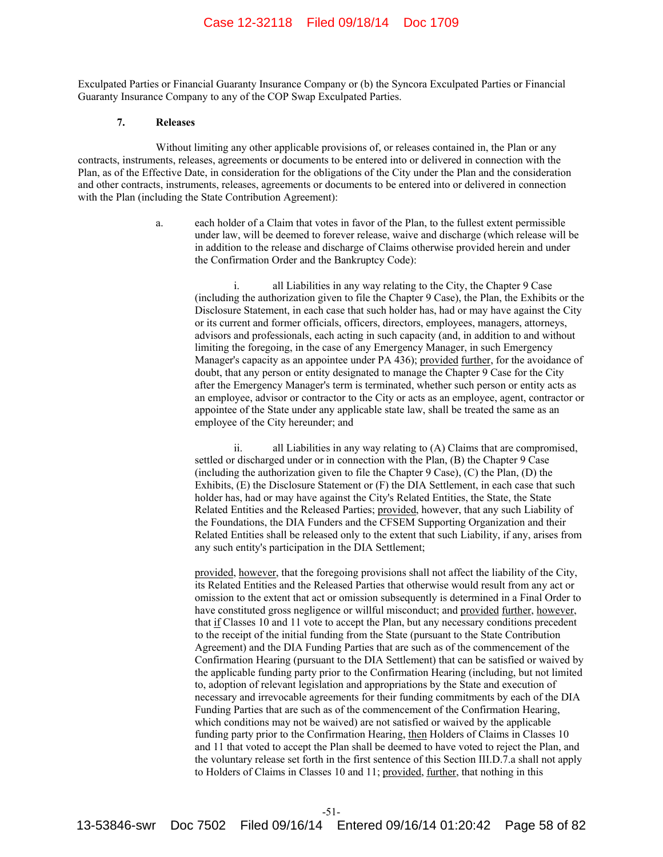Exculpated Parties or Financial Guaranty Insurance Company or (b) the Syncora Exculpated Parties or Financial Guaranty Insurance Company to any of the COP Swap Exculpated Parties.

#### **7. Releases**

Without limiting any other applicable provisions of, or releases contained in, the Plan or any contracts, instruments, releases, agreements or documents to be entered into or delivered in connection with the Plan, as of the Effective Date, in consideration for the obligations of the City under the Plan and the consideration and other contracts, instruments, releases, agreements or documents to be entered into or delivered in connection with the Plan (including the State Contribution Agreement):

> a. each holder of a Claim that votes in favor of the Plan, to the fullest extent permissible under law, will be deemed to forever release, waive and discharge (which release will be in addition to the release and discharge of Claims otherwise provided herein and under the Confirmation Order and the Bankruptcy Code):

 i. all Liabilities in any way relating to the City, the Chapter 9 Case (including the authorization given to file the Chapter 9 Case), the Plan, the Exhibits or the Disclosure Statement, in each case that such holder has, had or may have against the City or its current and former officials, officers, directors, employees, managers, attorneys, advisors and professionals, each acting in such capacity (and, in addition to and without limiting the foregoing, in the case of any Emergency Manager, in such Emergency Manager's capacity as an appointee under PA 436); provided further, for the avoidance of doubt, that any person or entity designated to manage the Chapter 9 Case for the City after the Emergency Manager's term is terminated, whether such person or entity acts as an employee, advisor or contractor to the City or acts as an employee, agent, contractor or appointee of the State under any applicable state law, shall be treated the same as an employee of the City hereunder; and

 ii. all Liabilities in any way relating to (A) Claims that are compromised, settled or discharged under or in connection with the Plan, (B) the Chapter 9 Case (including the authorization given to file the Chapter 9 Case), (C) the Plan, (D) the Exhibits, (E) the Disclosure Statement or (F) the DIA Settlement, in each case that such holder has, had or may have against the City's Related Entities, the State, the State Related Entities and the Released Parties; provided, however, that any such Liability of the Foundations, the DIA Funders and the CFSEM Supporting Organization and their Related Entities shall be released only to the extent that such Liability, if any, arises from any such entity's participation in the DIA Settlement;

 provided, however, that the foregoing provisions shall not affect the liability of the City, its Related Entities and the Released Parties that otherwise would result from any act or omission to the extent that act or omission subsequently is determined in a Final Order to have constituted gross negligence or willful misconduct; and provided further, however, that if Classes 10 and 11 vote to accept the Plan, but any necessary conditions precedent to the receipt of the initial funding from the State (pursuant to the State Contribution Agreement) and the DIA Funding Parties that are such as of the commencement of the Confirmation Hearing (pursuant to the DIA Settlement) that can be satisfied or waived by the applicable funding party prior to the Confirmation Hearing (including, but not limited to, adoption of relevant legislation and appropriations by the State and execution of necessary and irrevocable agreements for their funding commitments by each of the DIA Funding Parties that are such as of the commencement of the Confirmation Hearing, which conditions may not be waived) are not satisfied or waived by the applicable funding party prior to the Confirmation Hearing, then Holders of Claims in Classes 10 and 11 that voted to accept the Plan shall be deemed to have voted to reject the Plan, and the voluntary release set forth in the first sentence of this Section III.D.7.a shall not apply to Holders of Claims in Classes 10 and 11; provided, further, that nothing in this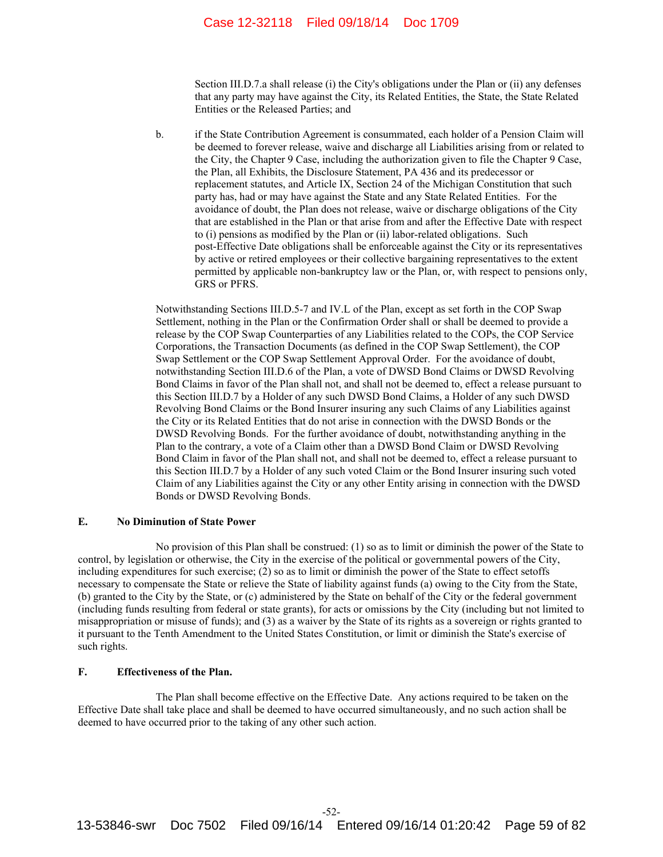# Case 12-32118 Filed 09/18/14 Doc 1709

Section III.D.7.a shall release (i) the City's obligations under the Plan or (ii) any defenses that any party may have against the City, its Related Entities, the State, the State Related Entities or the Released Parties; and

b. if the State Contribution Agreement is consummated, each holder of a Pension Claim will be deemed to forever release, waive and discharge all Liabilities arising from or related to the City, the Chapter 9 Case, including the authorization given to file the Chapter 9 Case, the Plan, all Exhibits, the Disclosure Statement, PA 436 and its predecessor or replacement statutes, and Article IX, Section 24 of the Michigan Constitution that such party has, had or may have against the State and any State Related Entities. For the avoidance of doubt, the Plan does not release, waive or discharge obligations of the City that are established in the Plan or that arise from and after the Effective Date with respect to (i) pensions as modified by the Plan or (ii) labor-related obligations. Such post-Effective Date obligations shall be enforceable against the City or its representatives by active or retired employees or their collective bargaining representatives to the extent permitted by applicable non-bankruptcy law or the Plan, or, with respect to pensions only, GRS or PFRS.

Notwithstanding Sections III.D.5-7 and IV.L of the Plan, except as set forth in the COP Swap Settlement, nothing in the Plan or the Confirmation Order shall or shall be deemed to provide a release by the COP Swap Counterparties of any Liabilities related to the COPs, the COP Service Corporations, the Transaction Documents (as defined in the COP Swap Settlement), the COP Swap Settlement or the COP Swap Settlement Approval Order. For the avoidance of doubt, notwithstanding Section III.D.6 of the Plan, a vote of DWSD Bond Claims or DWSD Revolving Bond Claims in favor of the Plan shall not, and shall not be deemed to, effect a release pursuant to this Section III.D.7 by a Holder of any such DWSD Bond Claims, a Holder of any such DWSD Revolving Bond Claims or the Bond Insurer insuring any such Claims of any Liabilities against the City or its Related Entities that do not arise in connection with the DWSD Bonds or the DWSD Revolving Bonds. For the further avoidance of doubt, notwithstanding anything in the Plan to the contrary, a vote of a Claim other than a DWSD Bond Claim or DWSD Revolving Bond Claim in favor of the Plan shall not, and shall not be deemed to, effect a release pursuant to this Section III.D.7 by a Holder of any such voted Claim or the Bond Insurer insuring such voted Claim of any Liabilities against the City or any other Entity arising in connection with the DWSD Bonds or DWSD Revolving Bonds.

#### **E. No Diminution of State Power**

No provision of this Plan shall be construed: (1) so as to limit or diminish the power of the State to control, by legislation or otherwise, the City in the exercise of the political or governmental powers of the City, including expenditures for such exercise; (2) so as to limit or diminish the power of the State to effect setoffs necessary to compensate the State or relieve the State of liability against funds (a) owing to the City from the State, (b) granted to the City by the State, or (c) administered by the State on behalf of the City or the federal government (including funds resulting from federal or state grants), for acts or omissions by the City (including but not limited to misappropriation or misuse of funds); and (3) as a waiver by the State of its rights as a sovereign or rights granted to it pursuant to the Tenth Amendment to the United States Constitution, or limit or diminish the State's exercise of such rights.

#### **F. Effectiveness of the Plan.**

The Plan shall become effective on the Effective Date. Any actions required to be taken on the Effective Date shall take place and shall be deemed to have occurred simultaneously, and no such action shall be deemed to have occurred prior to the taking of any other such action.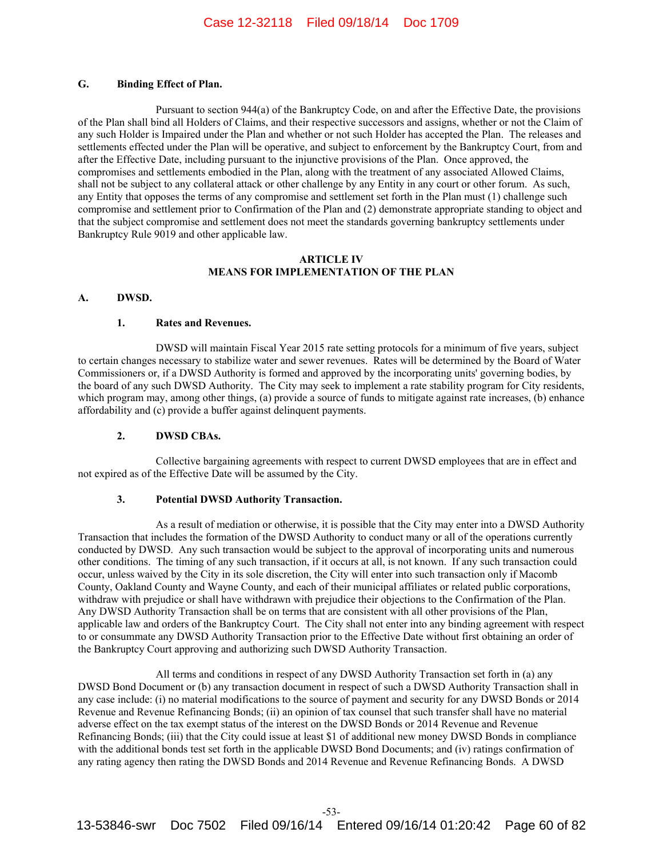## **G. Binding Effect of Plan.**

Pursuant to section 944(a) of the Bankruptcy Code, on and after the Effective Date, the provisions of the Plan shall bind all Holders of Claims, and their respective successors and assigns, whether or not the Claim of any such Holder is Impaired under the Plan and whether or not such Holder has accepted the Plan. The releases and settlements effected under the Plan will be operative, and subject to enforcement by the Bankruptcy Court, from and after the Effective Date, including pursuant to the injunctive provisions of the Plan. Once approved, the compromises and settlements embodied in the Plan, along with the treatment of any associated Allowed Claims, shall not be subject to any collateral attack or other challenge by any Entity in any court or other forum. As such, any Entity that opposes the terms of any compromise and settlement set forth in the Plan must (1) challenge such compromise and settlement prior to Confirmation of the Plan and (2) demonstrate appropriate standing to object and that the subject compromise and settlement does not meet the standards governing bankruptcy settlements under Bankruptcy Rule 9019 and other applicable law.

#### **ARTICLE IV MEANS FOR IMPLEMENTATION OF THE PLAN**

## **A. DWSD.**

#### **1. Rates and Revenues.**

DWSD will maintain Fiscal Year 2015 rate setting protocols for a minimum of five years, subject to certain changes necessary to stabilize water and sewer revenues. Rates will be determined by the Board of Water Commissioners or, if a DWSD Authority is formed and approved by the incorporating units' governing bodies, by the board of any such DWSD Authority. The City may seek to implement a rate stability program for City residents, which program may, among other things, (a) provide a source of funds to mitigate against rate increases, (b) enhance affordability and (c) provide a buffer against delinquent payments.

#### **2. DWSD CBAs.**

Collective bargaining agreements with respect to current DWSD employees that are in effect and not expired as of the Effective Date will be assumed by the City.

#### **3. Potential DWSD Authority Transaction.**

As a result of mediation or otherwise, it is possible that the City may enter into a DWSD Authority Transaction that includes the formation of the DWSD Authority to conduct many or all of the operations currently conducted by DWSD. Any such transaction would be subject to the approval of incorporating units and numerous other conditions. The timing of any such transaction, if it occurs at all, is not known. If any such transaction could occur, unless waived by the City in its sole discretion, the City will enter into such transaction only if Macomb County, Oakland County and Wayne County, and each of their municipal affiliates or related public corporations, withdraw with prejudice or shall have withdrawn with prejudice their objections to the Confirmation of the Plan. Any DWSD Authority Transaction shall be on terms that are consistent with all other provisions of the Plan, applicable law and orders of the Bankruptcy Court. The City shall not enter into any binding agreement with respect to or consummate any DWSD Authority Transaction prior to the Effective Date without first obtaining an order of the Bankruptcy Court approving and authorizing such DWSD Authority Transaction.

All terms and conditions in respect of any DWSD Authority Transaction set forth in (a) any DWSD Bond Document or (b) any transaction document in respect of such a DWSD Authority Transaction shall in any case include: (i) no material modifications to the source of payment and security for any DWSD Bonds or 2014 Revenue and Revenue Refinancing Bonds; (ii) an opinion of tax counsel that such transfer shall have no material adverse effect on the tax exempt status of the interest on the DWSD Bonds or 2014 Revenue and Revenue Refinancing Bonds; (iii) that the City could issue at least \$1 of additional new money DWSD Bonds in compliance with the additional bonds test set forth in the applicable DWSD Bond Documents; and (iv) ratings confirmation of any rating agency then rating the DWSD Bonds and 2014 Revenue and Revenue Refinancing Bonds. A DWSD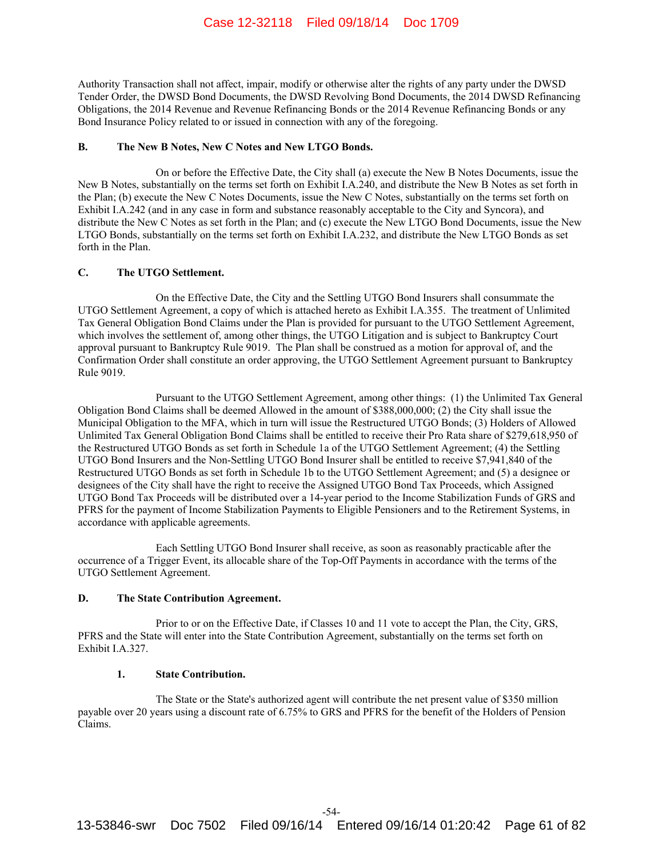Authority Transaction shall not affect, impair, modify or otherwise alter the rights of any party under the DWSD Tender Order, the DWSD Bond Documents, the DWSD Revolving Bond Documents, the 2014 DWSD Refinancing Obligations, the 2014 Revenue and Revenue Refinancing Bonds or the 2014 Revenue Refinancing Bonds or any Bond Insurance Policy related to or issued in connection with any of the foregoing.

#### **B. The New B Notes, New C Notes and New LTGO Bonds.**

On or before the Effective Date, the City shall (a) execute the New B Notes Documents, issue the New B Notes, substantially on the terms set forth on Exhibit I.A.240, and distribute the New B Notes as set forth in the Plan; (b) execute the New C Notes Documents, issue the New C Notes, substantially on the terms set forth on Exhibit I.A.242 (and in any case in form and substance reasonably acceptable to the City and Syncora), and distribute the New C Notes as set forth in the Plan; and (c) execute the New LTGO Bond Documents, issue the New LTGO Bonds, substantially on the terms set forth on Exhibit I.A.232, and distribute the New LTGO Bonds as set forth in the Plan.

#### **C. The UTGO Settlement.**

On the Effective Date, the City and the Settling UTGO Bond Insurers shall consummate the UTGO Settlement Agreement, a copy of which is attached hereto as Exhibit I.A.355. The treatment of Unlimited Tax General Obligation Bond Claims under the Plan is provided for pursuant to the UTGO Settlement Agreement, which involves the settlement of, among other things, the UTGO Litigation and is subject to Bankruptcy Court approval pursuant to Bankruptcy Rule 9019. The Plan shall be construed as a motion for approval of, and the Confirmation Order shall constitute an order approving, the UTGO Settlement Agreement pursuant to Bankruptcy Rule 9019.

Pursuant to the UTGO Settlement Agreement, among other things: (1) the Unlimited Tax General Obligation Bond Claims shall be deemed Allowed in the amount of \$388,000,000; (2) the City shall issue the Municipal Obligation to the MFA, which in turn will issue the Restructured UTGO Bonds; (3) Holders of Allowed Unlimited Tax General Obligation Bond Claims shall be entitled to receive their Pro Rata share of \$279,618,950 of the Restructured UTGO Bonds as set forth in Schedule 1a of the UTGO Settlement Agreement; (4) the Settling UTGO Bond Insurers and the Non-Settling UTGO Bond Insurer shall be entitled to receive \$7,941,840 of the Restructured UTGO Bonds as set forth in Schedule 1b to the UTGO Settlement Agreement; and (5) a designee or designees of the City shall have the right to receive the Assigned UTGO Bond Tax Proceeds, which Assigned UTGO Bond Tax Proceeds will be distributed over a 14-year period to the Income Stabilization Funds of GRS and PFRS for the payment of Income Stabilization Payments to Eligible Pensioners and to the Retirement Systems, in accordance with applicable agreements.

Each Settling UTGO Bond Insurer shall receive, as soon as reasonably practicable after the occurrence of a Trigger Event, its allocable share of the Top-Off Payments in accordance with the terms of the UTGO Settlement Agreement.

#### **D. The State Contribution Agreement.**

Prior to or on the Effective Date, if Classes 10 and 11 vote to accept the Plan, the City, GRS, PFRS and the State will enter into the State Contribution Agreement, substantially on the terms set forth on Exhibit I.A.327.

#### **1. State Contribution.**

The State or the State's authorized agent will contribute the net present value of \$350 million payable over 20 years using a discount rate of 6.75% to GRS and PFRS for the benefit of the Holders of Pension Claims.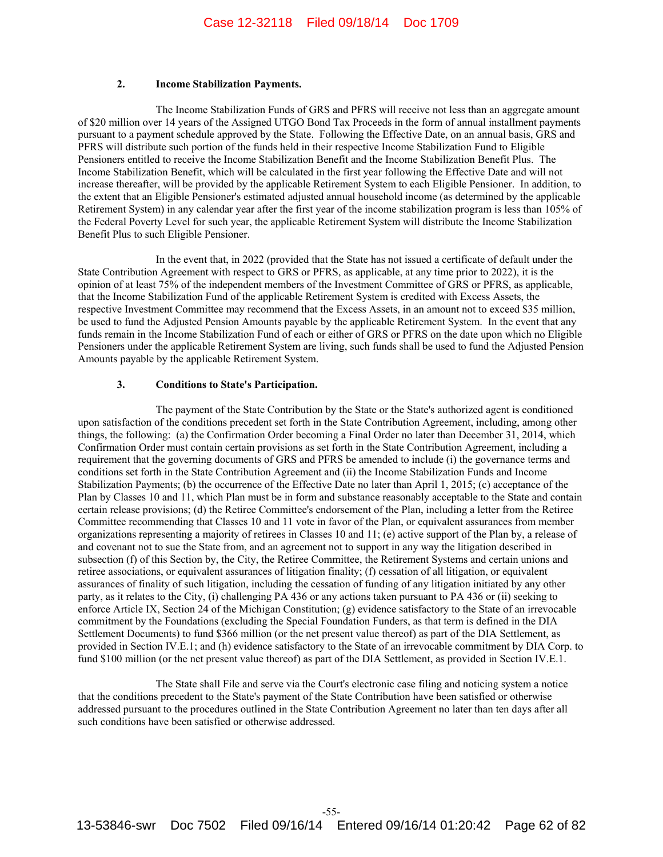## **2. Income Stabilization Payments.**

The Income Stabilization Funds of GRS and PFRS will receive not less than an aggregate amount of \$20 million over 14 years of the Assigned UTGO Bond Tax Proceeds in the form of annual installment payments pursuant to a payment schedule approved by the State. Following the Effective Date, on an annual basis, GRS and PFRS will distribute such portion of the funds held in their respective Income Stabilization Fund to Eligible Pensioners entitled to receive the Income Stabilization Benefit and the Income Stabilization Benefit Plus. The Income Stabilization Benefit, which will be calculated in the first year following the Effective Date and will not increase thereafter, will be provided by the applicable Retirement System to each Eligible Pensioner. In addition, to the extent that an Eligible Pensioner's estimated adjusted annual household income (as determined by the applicable Retirement System) in any calendar year after the first year of the income stabilization program is less than 105% of the Federal Poverty Level for such year, the applicable Retirement System will distribute the Income Stabilization Benefit Plus to such Eligible Pensioner.

In the event that, in 2022 (provided that the State has not issued a certificate of default under the State Contribution Agreement with respect to GRS or PFRS, as applicable, at any time prior to 2022), it is the opinion of at least 75% of the independent members of the Investment Committee of GRS or PFRS, as applicable, that the Income Stabilization Fund of the applicable Retirement System is credited with Excess Assets, the respective Investment Committee may recommend that the Excess Assets, in an amount not to exceed \$35 million, be used to fund the Adjusted Pension Amounts payable by the applicable Retirement System. In the event that any funds remain in the Income Stabilization Fund of each or either of GRS or PFRS on the date upon which no Eligible Pensioners under the applicable Retirement System are living, such funds shall be used to fund the Adjusted Pension Amounts payable by the applicable Retirement System.

## **3. Conditions to State's Participation.**

The payment of the State Contribution by the State or the State's authorized agent is conditioned upon satisfaction of the conditions precedent set forth in the State Contribution Agreement, including, among other things, the following: (a) the Confirmation Order becoming a Final Order no later than December 31, 2014, which Confirmation Order must contain certain provisions as set forth in the State Contribution Agreement, including a requirement that the governing documents of GRS and PFRS be amended to include (i) the governance terms and conditions set forth in the State Contribution Agreement and (ii) the Income Stabilization Funds and Income Stabilization Payments; (b) the occurrence of the Effective Date no later than April 1, 2015; (c) acceptance of the Plan by Classes 10 and 11, which Plan must be in form and substance reasonably acceptable to the State and contain certain release provisions; (d) the Retiree Committee's endorsement of the Plan, including a letter from the Retiree Committee recommending that Classes 10 and 11 vote in favor of the Plan, or equivalent assurances from member organizations representing a majority of retirees in Classes 10 and 11; (e) active support of the Plan by, a release of and covenant not to sue the State from, and an agreement not to support in any way the litigation described in subsection (f) of this Section by, the City, the Retiree Committee, the Retirement Systems and certain unions and retiree associations, or equivalent assurances of litigation finality; (f) cessation of all litigation, or equivalent assurances of finality of such litigation, including the cessation of funding of any litigation initiated by any other party, as it relates to the City, (i) challenging PA 436 or any actions taken pursuant to PA 436 or (ii) seeking to enforce Article IX, Section 24 of the Michigan Constitution; (g) evidence satisfactory to the State of an irrevocable commitment by the Foundations (excluding the Special Foundation Funders, as that term is defined in the DIA Settlement Documents) to fund \$366 million (or the net present value thereof) as part of the DIA Settlement, as provided in Section IV.E.1; and (h) evidence satisfactory to the State of an irrevocable commitment by DIA Corp. to fund \$100 million (or the net present value thereof) as part of the DIA Settlement, as provided in Section IV.E.1.

The State shall File and serve via the Court's electronic case filing and noticing system a notice that the conditions precedent to the State's payment of the State Contribution have been satisfied or otherwise addressed pursuant to the procedures outlined in the State Contribution Agreement no later than ten days after all such conditions have been satisfied or otherwise addressed.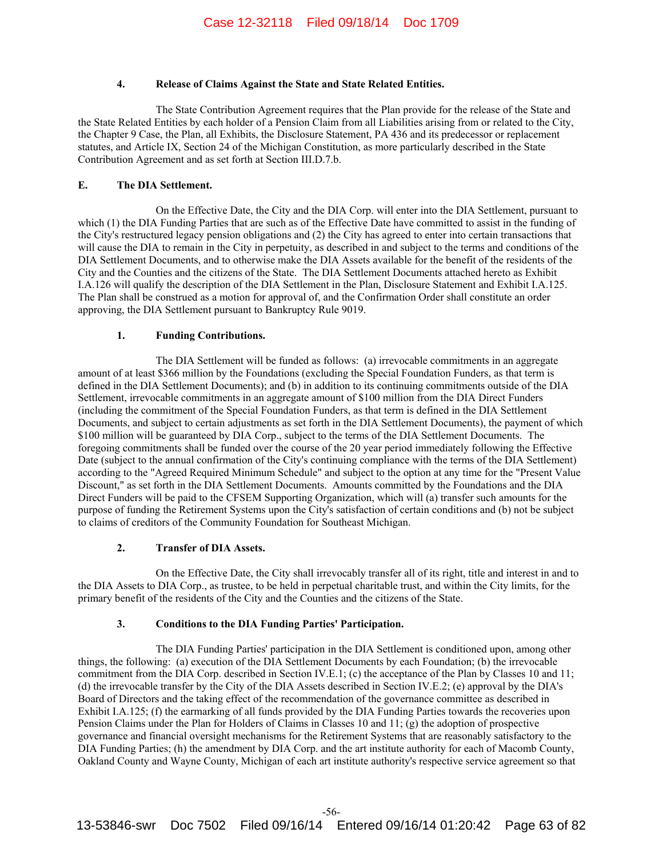# **4. Release of Claims Against the State and State Related Entities.**

The State Contribution Agreement requires that the Plan provide for the release of the State and the State Related Entities by each holder of a Pension Claim from all Liabilities arising from or related to the City, the Chapter 9 Case, the Plan, all Exhibits, the Disclosure Statement, PA 436 and its predecessor or replacement statutes, and Article IX, Section 24 of the Michigan Constitution, as more particularly described in the State Contribution Agreement and as set forth at Section III.D.7.b.

## **E. The DIA Settlement.**

On the Effective Date, the City and the DIA Corp. will enter into the DIA Settlement, pursuant to which (1) the DIA Funding Parties that are such as of the Effective Date have committed to assist in the funding of the City's restructured legacy pension obligations and (2) the City has agreed to enter into certain transactions that will cause the DIA to remain in the City in perpetuity, as described in and subject to the terms and conditions of the DIA Settlement Documents, and to otherwise make the DIA Assets available for the benefit of the residents of the City and the Counties and the citizens of the State. The DIA Settlement Documents attached hereto as Exhibit I.A.126 will qualify the description of the DIA Settlement in the Plan, Disclosure Statement and Exhibit I.A.125. The Plan shall be construed as a motion for approval of, and the Confirmation Order shall constitute an order approving, the DIA Settlement pursuant to Bankruptcy Rule 9019.

## **1. Funding Contributions.**

The DIA Settlement will be funded as follows: (a) irrevocable commitments in an aggregate amount of at least \$366 million by the Foundations (excluding the Special Foundation Funders, as that term is defined in the DIA Settlement Documents); and (b) in addition to its continuing commitments outside of the DIA Settlement, irrevocable commitments in an aggregate amount of \$100 million from the DIA Direct Funders (including the commitment of the Special Foundation Funders, as that term is defined in the DIA Settlement Documents, and subject to certain adjustments as set forth in the DIA Settlement Documents), the payment of which \$100 million will be guaranteed by DIA Corp., subject to the terms of the DIA Settlement Documents. The foregoing commitments shall be funded over the course of the 20 year period immediately following the Effective Date (subject to the annual confirmation of the City's continuing compliance with the terms of the DIA Settlement) according to the "Agreed Required Minimum Schedule" and subject to the option at any time for the "Present Value Discount," as set forth in the DIA Settlement Documents. Amounts committed by the Foundations and the DIA Direct Funders will be paid to the CFSEM Supporting Organization, which will (a) transfer such amounts for the purpose of funding the Retirement Systems upon the City's satisfaction of certain conditions and (b) not be subject to claims of creditors of the Community Foundation for Southeast Michigan.

# **2. Transfer of DIA Assets.**

On the Effective Date, the City shall irrevocably transfer all of its right, title and interest in and to the DIA Assets to DIA Corp., as trustee, to be held in perpetual charitable trust, and within the City limits, for the primary benefit of the residents of the City and the Counties and the citizens of the State.

# **3. Conditions to the DIA Funding Parties' Participation.**

The DIA Funding Parties' participation in the DIA Settlement is conditioned upon, among other things, the following: (a) execution of the DIA Settlement Documents by each Foundation; (b) the irrevocable commitment from the DIA Corp. described in Section IV.E.1; (c) the acceptance of the Plan by Classes 10 and 11; (d) the irrevocable transfer by the City of the DIA Assets described in Section IV.E.2; (e) approval by the DIA's Board of Directors and the taking effect of the recommendation of the governance committee as described in Exhibit I.A.125; (f) the earmarking of all funds provided by the DIA Funding Parties towards the recoveries upon Pension Claims under the Plan for Holders of Claims in Classes 10 and 11; (g) the adoption of prospective governance and financial oversight mechanisms for the Retirement Systems that are reasonably satisfactory to the DIA Funding Parties; (h) the amendment by DIA Corp. and the art institute authority for each of Macomb County, Oakland County and Wayne County, Michigan of each art institute authority's respective service agreement so that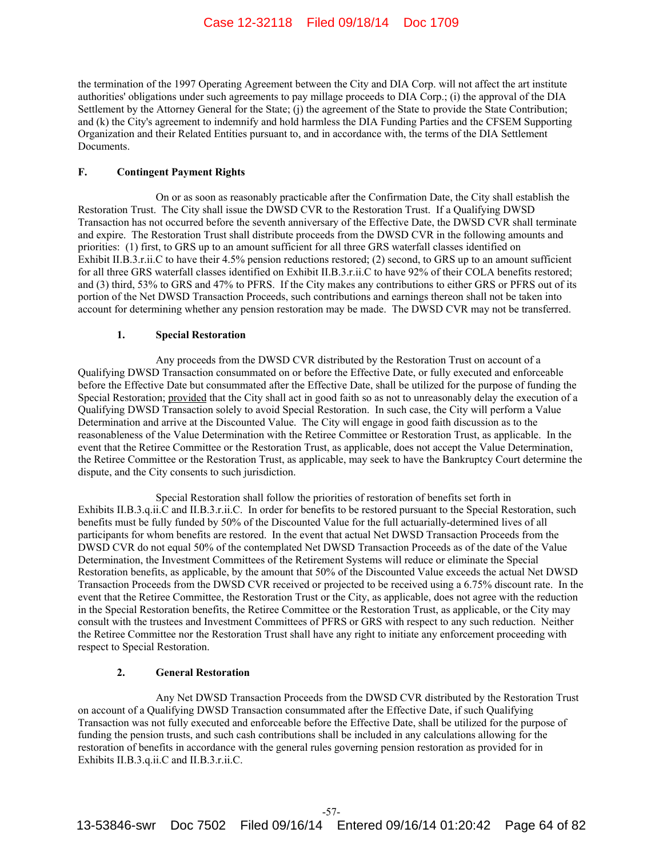the termination of the 1997 Operating Agreement between the City and DIA Corp. will not affect the art institute authorities' obligations under such agreements to pay millage proceeds to DIA Corp.; (i) the approval of the DIA Settlement by the Attorney General for the State; (j) the agreement of the State to provide the State Contribution; and (k) the City's agreement to indemnify and hold harmless the DIA Funding Parties and the CFSEM Supporting Organization and their Related Entities pursuant to, and in accordance with, the terms of the DIA Settlement Documents.

#### **F. Contingent Payment Rights**

On or as soon as reasonably practicable after the Confirmation Date, the City shall establish the Restoration Trust. The City shall issue the DWSD CVR to the Restoration Trust. If a Qualifying DWSD Transaction has not occurred before the seventh anniversary of the Effective Date, the DWSD CVR shall terminate and expire. The Restoration Trust shall distribute proceeds from the DWSD CVR in the following amounts and priorities: (1) first, to GRS up to an amount sufficient for all three GRS waterfall classes identified on Exhibit II.B.3.r.ii.C to have their 4.5% pension reductions restored; (2) second, to GRS up to an amount sufficient for all three GRS waterfall classes identified on Exhibit II.B.3.r.ii.C to have 92% of their COLA benefits restored; and (3) third, 53% to GRS and 47% to PFRS. If the City makes any contributions to either GRS or PFRS out of its portion of the Net DWSD Transaction Proceeds, such contributions and earnings thereon shall not be taken into account for determining whether any pension restoration may be made. The DWSD CVR may not be transferred.

#### **1. Special Restoration**

Any proceeds from the DWSD CVR distributed by the Restoration Trust on account of a Qualifying DWSD Transaction consummated on or before the Effective Date, or fully executed and enforceable before the Effective Date but consummated after the Effective Date, shall be utilized for the purpose of funding the Special Restoration; provided that the City shall act in good faith so as not to unreasonably delay the execution of a Qualifying DWSD Transaction solely to avoid Special Restoration. In such case, the City will perform a Value Determination and arrive at the Discounted Value. The City will engage in good faith discussion as to the reasonableness of the Value Determination with the Retiree Committee or Restoration Trust, as applicable. In the event that the Retiree Committee or the Restoration Trust, as applicable, does not accept the Value Determination, the Retiree Committee or the Restoration Trust, as applicable, may seek to have the Bankruptcy Court determine the dispute, and the City consents to such jurisdiction.

Special Restoration shall follow the priorities of restoration of benefits set forth in Exhibits II.B.3.q.ii.C and II.B.3.r.ii.C. In order for benefits to be restored pursuant to the Special Restoration, such benefits must be fully funded by 50% of the Discounted Value for the full actuarially-determined lives of all participants for whom benefits are restored. In the event that actual Net DWSD Transaction Proceeds from the DWSD CVR do not equal 50% of the contemplated Net DWSD Transaction Proceeds as of the date of the Value Determination, the Investment Committees of the Retirement Systems will reduce or eliminate the Special Restoration benefits, as applicable, by the amount that 50% of the Discounted Value exceeds the actual Net DWSD Transaction Proceeds from the DWSD CVR received or projected to be received using a 6.75% discount rate. In the event that the Retiree Committee, the Restoration Trust or the City, as applicable, does not agree with the reduction in the Special Restoration benefits, the Retiree Committee or the Restoration Trust, as applicable, or the City may consult with the trustees and Investment Committees of PFRS or GRS with respect to any such reduction. Neither the Retiree Committee nor the Restoration Trust shall have any right to initiate any enforcement proceeding with respect to Special Restoration.

# **2. General Restoration**

Any Net DWSD Transaction Proceeds from the DWSD CVR distributed by the Restoration Trust on account of a Qualifying DWSD Transaction consummated after the Effective Date, if such Qualifying Transaction was not fully executed and enforceable before the Effective Date, shall be utilized for the purpose of funding the pension trusts, and such cash contributions shall be included in any calculations allowing for the restoration of benefits in accordance with the general rules governing pension restoration as provided for in Exhibits II.B.3.q.ii.C and II.B.3.r.ii.C.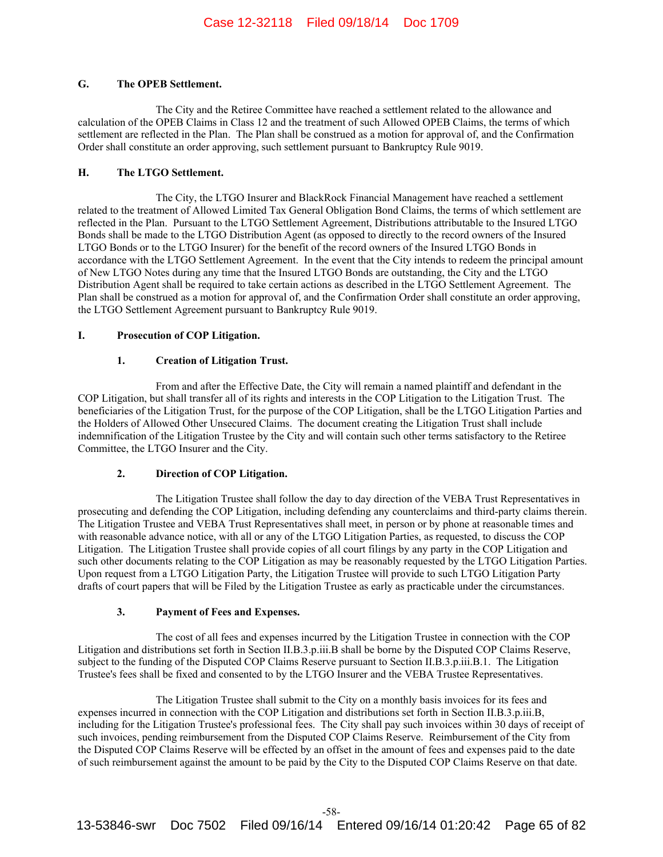## **G. The OPEB Settlement.**

The City and the Retiree Committee have reached a settlement related to the allowance and calculation of the OPEB Claims in Class 12 and the treatment of such Allowed OPEB Claims, the terms of which settlement are reflected in the Plan. The Plan shall be construed as a motion for approval of, and the Confirmation Order shall constitute an order approving, such settlement pursuant to Bankruptcy Rule 9019.

## **H. The LTGO Settlement.**

The City, the LTGO Insurer and BlackRock Financial Management have reached a settlement related to the treatment of Allowed Limited Tax General Obligation Bond Claims, the terms of which settlement are reflected in the Plan. Pursuant to the LTGO Settlement Agreement, Distributions attributable to the Insured LTGO Bonds shall be made to the LTGO Distribution Agent (as opposed to directly to the record owners of the Insured LTGO Bonds or to the LTGO Insurer) for the benefit of the record owners of the Insured LTGO Bonds in accordance with the LTGO Settlement Agreement. In the event that the City intends to redeem the principal amount of New LTGO Notes during any time that the Insured LTGO Bonds are outstanding, the City and the LTGO Distribution Agent shall be required to take certain actions as described in the LTGO Settlement Agreement. The Plan shall be construed as a motion for approval of, and the Confirmation Order shall constitute an order approving, the LTGO Settlement Agreement pursuant to Bankruptcy Rule 9019.

## **I. Prosecution of COP Litigation.**

## **1. Creation of Litigation Trust.**

From and after the Effective Date, the City will remain a named plaintiff and defendant in the COP Litigation, but shall transfer all of its rights and interests in the COP Litigation to the Litigation Trust. The beneficiaries of the Litigation Trust, for the purpose of the COP Litigation, shall be the LTGO Litigation Parties and the Holders of Allowed Other Unsecured Claims. The document creating the Litigation Trust shall include indemnification of the Litigation Trustee by the City and will contain such other terms satisfactory to the Retiree Committee, the LTGO Insurer and the City.

# **2. Direction of COP Litigation.**

The Litigation Trustee shall follow the day to day direction of the VEBA Trust Representatives in prosecuting and defending the COP Litigation, including defending any counterclaims and third-party claims therein. The Litigation Trustee and VEBA Trust Representatives shall meet, in person or by phone at reasonable times and with reasonable advance notice, with all or any of the LTGO Litigation Parties, as requested, to discuss the COP Litigation. The Litigation Trustee shall provide copies of all court filings by any party in the COP Litigation and such other documents relating to the COP Litigation as may be reasonably requested by the LTGO Litigation Parties. Upon request from a LTGO Litigation Party, the Litigation Trustee will provide to such LTGO Litigation Party drafts of court papers that will be Filed by the Litigation Trustee as early as practicable under the circumstances.

# **3. Payment of Fees and Expenses.**

The cost of all fees and expenses incurred by the Litigation Trustee in connection with the COP Litigation and distributions set forth in Section II.B.3.p.iii.B shall be borne by the Disputed COP Claims Reserve, subject to the funding of the Disputed COP Claims Reserve pursuant to Section II.B.3.p.iii.B.1. The Litigation Trustee's fees shall be fixed and consented to by the LTGO Insurer and the VEBA Trustee Representatives.

The Litigation Trustee shall submit to the City on a monthly basis invoices for its fees and expenses incurred in connection with the COP Litigation and distributions set forth in Section II.B.3.p.iii.B, including for the Litigation Trustee's professional fees. The City shall pay such invoices within 30 days of receipt of such invoices, pending reimbursement from the Disputed COP Claims Reserve. Reimbursement of the City from the Disputed COP Claims Reserve will be effected by an offset in the amount of fees and expenses paid to the date of such reimbursement against the amount to be paid by the City to the Disputed COP Claims Reserve on that date.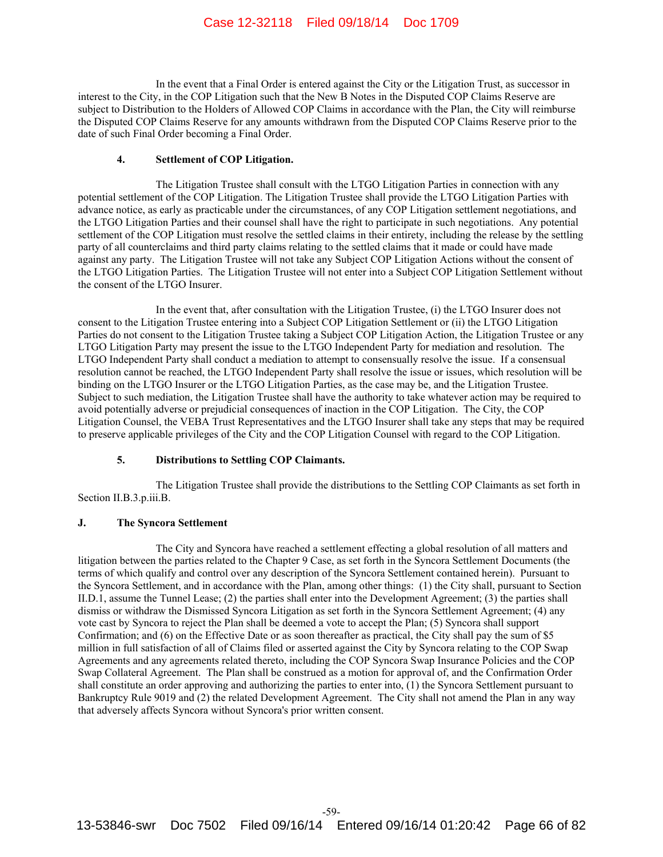In the event that a Final Order is entered against the City or the Litigation Trust, as successor in interest to the City, in the COP Litigation such that the New B Notes in the Disputed COP Claims Reserve are subject to Distribution to the Holders of Allowed COP Claims in accordance with the Plan, the City will reimburse the Disputed COP Claims Reserve for any amounts withdrawn from the Disputed COP Claims Reserve prior to the date of such Final Order becoming a Final Order.

#### **4. Settlement of COP Litigation.**

The Litigation Trustee shall consult with the LTGO Litigation Parties in connection with any potential settlement of the COP Litigation. The Litigation Trustee shall provide the LTGO Litigation Parties with advance notice, as early as practicable under the circumstances, of any COP Litigation settlement negotiations, and the LTGO Litigation Parties and their counsel shall have the right to participate in such negotiations. Any potential settlement of the COP Litigation must resolve the settled claims in their entirety, including the release by the settling party of all counterclaims and third party claims relating to the settled claims that it made or could have made against any party. The Litigation Trustee will not take any Subject COP Litigation Actions without the consent of the LTGO Litigation Parties. The Litigation Trustee will not enter into a Subject COP Litigation Settlement without the consent of the LTGO Insurer.

In the event that, after consultation with the Litigation Trustee, (i) the LTGO Insurer does not consent to the Litigation Trustee entering into a Subject COP Litigation Settlement or (ii) the LTGO Litigation Parties do not consent to the Litigation Trustee taking a Subject COP Litigation Action, the Litigation Trustee or any LTGO Litigation Party may present the issue to the LTGO Independent Party for mediation and resolution. The LTGO Independent Party shall conduct a mediation to attempt to consensually resolve the issue. If a consensual resolution cannot be reached, the LTGO Independent Party shall resolve the issue or issues, which resolution will be binding on the LTGO Insurer or the LTGO Litigation Parties, as the case may be, and the Litigation Trustee. Subject to such mediation, the Litigation Trustee shall have the authority to take whatever action may be required to avoid potentially adverse or prejudicial consequences of inaction in the COP Litigation. The City, the COP Litigation Counsel, the VEBA Trust Representatives and the LTGO Insurer shall take any steps that may be required to preserve applicable privileges of the City and the COP Litigation Counsel with regard to the COP Litigation.

#### **5. Distributions to Settling COP Claimants.**

The Litigation Trustee shall provide the distributions to the Settling COP Claimants as set forth in Section II.B.3.p.iii.B.

### **J. The Syncora Settlement**

The City and Syncora have reached a settlement effecting a global resolution of all matters and litigation between the parties related to the Chapter 9 Case, as set forth in the Syncora Settlement Documents (the terms of which qualify and control over any description of the Syncora Settlement contained herein). Pursuant to the Syncora Settlement, and in accordance with the Plan, among other things: (1) the City shall, pursuant to Section II.D.1, assume the Tunnel Lease; (2) the parties shall enter into the Development Agreement; (3) the parties shall dismiss or withdraw the Dismissed Syncora Litigation as set forth in the Syncora Settlement Agreement; (4) any vote cast by Syncora to reject the Plan shall be deemed a vote to accept the Plan; (5) Syncora shall support Confirmation; and (6) on the Effective Date or as soon thereafter as practical, the City shall pay the sum of \$5 million in full satisfaction of all of Claims filed or asserted against the City by Syncora relating to the COP Swap Agreements and any agreements related thereto, including the COP Syncora Swap Insurance Policies and the COP Swap Collateral Agreement. The Plan shall be construed as a motion for approval of, and the Confirmation Order shall constitute an order approving and authorizing the parties to enter into, (1) the Syncora Settlement pursuant to Bankruptcy Rule 9019 and (2) the related Development Agreement. The City shall not amend the Plan in any way that adversely affects Syncora without Syncora's prior written consent.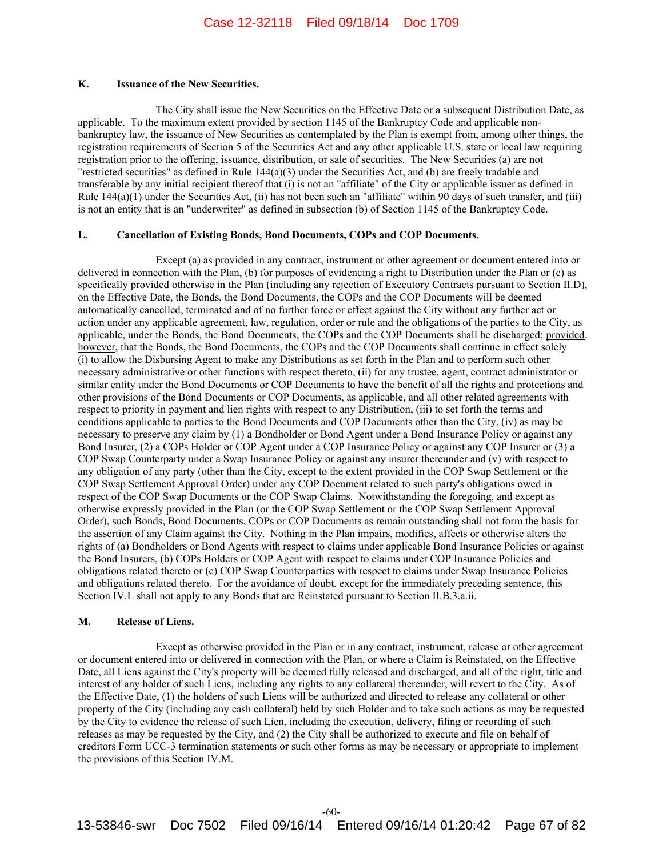#### **K. Issuance of the New Securities.**

The City shall issue the New Securities on the Effective Date or a subsequent Distribution Date, as applicable. To the maximum extent provided by section 1145 of the Bankruptcy Code and applicable nonbankruptcy law, the issuance of New Securities as contemplated by the Plan is exempt from, among other things, the registration requirements of Section 5 of the Securities Act and any other applicable U.S. state or local law requiring registration prior to the offering, issuance, distribution, or sale of securities. The New Securities (a) are not "restricted securities" as defined in Rule 144(a)(3) under the Securities Act, and (b) are freely tradable and transferable by any initial recipient thereof that (i) is not an "affiliate" of the City or applicable issuer as defined in Rule  $144(a)(1)$  under the Securities Act, (ii) has not been such an "affiliate" within 90 days of such transfer, and (iii) is not an entity that is an "underwriter" as defined in subsection (b) of Section 1145 of the Bankruptcy Code.

### **L. Cancellation of Existing Bonds, Bond Documents, COPs and COP Documents.**

Except (a) as provided in any contract, instrument or other agreement or document entered into or delivered in connection with the Plan, (b) for purposes of evidencing a right to Distribution under the Plan or (c) as specifically provided otherwise in the Plan (including any rejection of Executory Contracts pursuant to Section II.D), on the Effective Date, the Bonds, the Bond Documents, the COPs and the COP Documents will be deemed automatically cancelled, terminated and of no further force or effect against the City without any further act or action under any applicable agreement, law, regulation, order or rule and the obligations of the parties to the City, as applicable, under the Bonds, the Bond Documents, the COPs and the COP Documents shall be discharged; provided, however, that the Bonds, the Bond Documents, the COPs and the COP Documents shall continue in effect solely (i) to allow the Disbursing Agent to make any Distributions as set forth in the Plan and to perform such other necessary administrative or other functions with respect thereto, (ii) for any trustee, agent, contract administrator or similar entity under the Bond Documents or COP Documents to have the benefit of all the rights and protections and other provisions of the Bond Documents or COP Documents, as applicable, and all other related agreements with respect to priority in payment and lien rights with respect to any Distribution, (iii) to set forth the terms and conditions applicable to parties to the Bond Documents and COP Documents other than the City, (iv) as may be necessary to preserve any claim by (1) a Bondholder or Bond Agent under a Bond Insurance Policy or against any Bond Insurer, (2) a COPs Holder or COP Agent under a COP Insurance Policy or against any COP Insurer or (3) a COP Swap Counterparty under a Swap Insurance Policy or against any insurer thereunder and (v) with respect to any obligation of any party (other than the City, except to the extent provided in the COP Swap Settlement or the COP Swap Settlement Approval Order) under any COP Document related to such party's obligations owed in respect of the COP Swap Documents or the COP Swap Claims. Notwithstanding the foregoing, and except as otherwise expressly provided in the Plan (or the COP Swap Settlement or the COP Swap Settlement Approval Order), such Bonds, Bond Documents, COPs or COP Documents as remain outstanding shall not form the basis for the assertion of any Claim against the City. Nothing in the Plan impairs, modifies, affects or otherwise alters the rights of (a) Bondholders or Bond Agents with respect to claims under applicable Bond Insurance Policies or against the Bond Insurers, (b) COPs Holders or COP Agent with respect to claims under COP Insurance Policies and obligations related thereto or (c) COP Swap Counterparties with respect to claims under Swap Insurance Policies and obligations related thereto. For the avoidance of doubt, except for the immediately preceding sentence, this Section IV.L shall not apply to any Bonds that are Reinstated pursuant to Section II.B.3.a.ii.

## **M. Release of Liens.**

Except as otherwise provided in the Plan or in any contract, instrument, release or other agreement or document entered into or delivered in connection with the Plan, or where a Claim is Reinstated, on the Effective Date, all Liens against the City's property will be deemed fully released and discharged, and all of the right, title and interest of any holder of such Liens, including any rights to any collateral thereunder, will revert to the City. As of the Effective Date, (1) the holders of such Liens will be authorized and directed to release any collateral or other property of the City (including any cash collateral) held by such Holder and to take such actions as may be requested by the City to evidence the release of such Lien, including the execution, delivery, filing or recording of such releases as may be requested by the City, and (2) the City shall be authorized to execute and file on behalf of creditors Form UCC-3 termination statements or such other forms as may be necessary or appropriate to implement the provisions of this Section IV.M.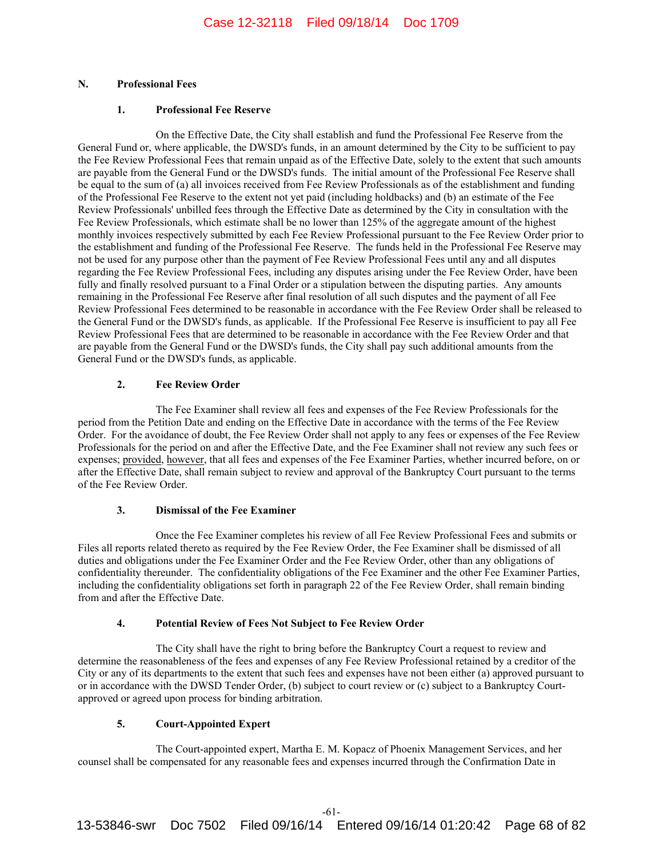# **N. Professional Fees**

## **1. Professional Fee Reserve**

On the Effective Date, the City shall establish and fund the Professional Fee Reserve from the General Fund or, where applicable, the DWSD's funds, in an amount determined by the City to be sufficient to pay the Fee Review Professional Fees that remain unpaid as of the Effective Date, solely to the extent that such amounts are payable from the General Fund or the DWSD's funds. The initial amount of the Professional Fee Reserve shall be equal to the sum of (a) all invoices received from Fee Review Professionals as of the establishment and funding of the Professional Fee Reserve to the extent not yet paid (including holdbacks) and (b) an estimate of the Fee Review Professionals' unbilled fees through the Effective Date as determined by the City in consultation with the Fee Review Professionals, which estimate shall be no lower than 125% of the aggregate amount of the highest monthly invoices respectively submitted by each Fee Review Professional pursuant to the Fee Review Order prior to the establishment and funding of the Professional Fee Reserve. The funds held in the Professional Fee Reserve may not be used for any purpose other than the payment of Fee Review Professional Fees until any and all disputes regarding the Fee Review Professional Fees, including any disputes arising under the Fee Review Order, have been fully and finally resolved pursuant to a Final Order or a stipulation between the disputing parties. Any amounts remaining in the Professional Fee Reserve after final resolution of all such disputes and the payment of all Fee Review Professional Fees determined to be reasonable in accordance with the Fee Review Order shall be released to the General Fund or the DWSD's funds, as applicable. If the Professional Fee Reserve is insufficient to pay all Fee Review Professional Fees that are determined to be reasonable in accordance with the Fee Review Order and that are payable from the General Fund or the DWSD's funds, the City shall pay such additional amounts from the General Fund or the DWSD's funds, as applicable.

# **2. Fee Review Order**

The Fee Examiner shall review all fees and expenses of the Fee Review Professionals for the period from the Petition Date and ending on the Effective Date in accordance with the terms of the Fee Review Order. For the avoidance of doubt, the Fee Review Order shall not apply to any fees or expenses of the Fee Review Professionals for the period on and after the Effective Date, and the Fee Examiner shall not review any such fees or expenses; provided, however, that all fees and expenses of the Fee Examiner Parties, whether incurred before, on or after the Effective Date, shall remain subject to review and approval of the Bankruptcy Court pursuant to the terms of the Fee Review Order.

# **3. Dismissal of the Fee Examiner**

Once the Fee Examiner completes his review of all Fee Review Professional Fees and submits or Files all reports related thereto as required by the Fee Review Order, the Fee Examiner shall be dismissed of all duties and obligations under the Fee Examiner Order and the Fee Review Order, other than any obligations of confidentiality thereunder. The confidentiality obligations of the Fee Examiner and the other Fee Examiner Parties, including the confidentiality obligations set forth in paragraph 22 of the Fee Review Order, shall remain binding from and after the Effective Date.

# **4. Potential Review of Fees Not Subject to Fee Review Order**

The City shall have the right to bring before the Bankruptcy Court a request to review and determine the reasonableness of the fees and expenses of any Fee Review Professional retained by a creditor of the City or any of its departments to the extent that such fees and expenses have not been either (a) approved pursuant to or in accordance with the DWSD Tender Order, (b) subject to court review or (c) subject to a Bankruptcy Courtapproved or agreed upon process for binding arbitration.

# **5. Court-Appointed Expert**

The Court-appointed expert, Martha E. M. Kopacz of Phoenix Management Services, and her counsel shall be compensated for any reasonable fees and expenses incurred through the Confirmation Date in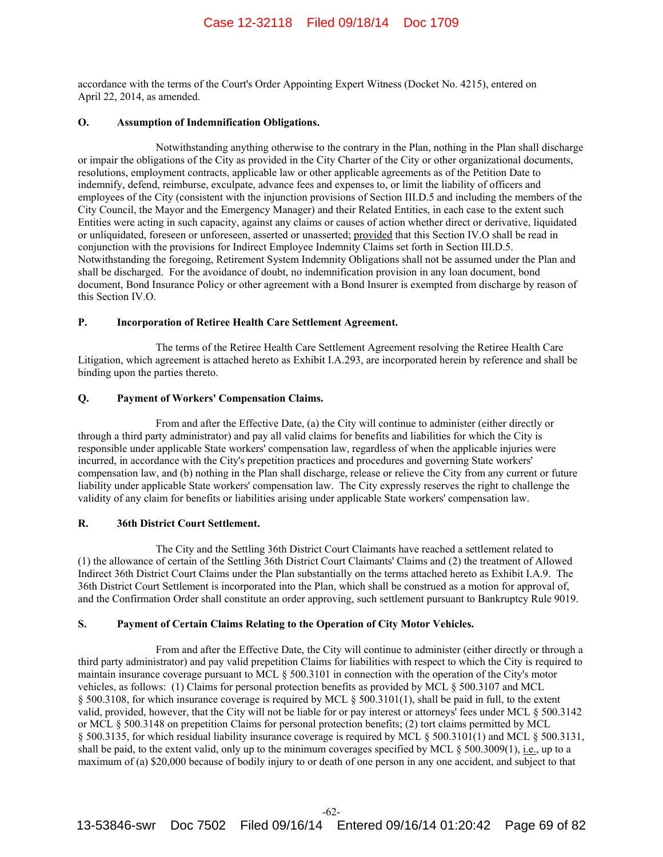accordance with the terms of the Court's Order Appointing Expert Witness (Docket No. 4215), entered on April 22, 2014, as amended.

## **O. Assumption of Indemnification Obligations.**

Notwithstanding anything otherwise to the contrary in the Plan, nothing in the Plan shall discharge or impair the obligations of the City as provided in the City Charter of the City or other organizational documents, resolutions, employment contracts, applicable law or other applicable agreements as of the Petition Date to indemnify, defend, reimburse, exculpate, advance fees and expenses to, or limit the liability of officers and employees of the City (consistent with the injunction provisions of Section III.D.5 and including the members of the City Council, the Mayor and the Emergency Manager) and their Related Entities, in each case to the extent such Entities were acting in such capacity, against any claims or causes of action whether direct or derivative, liquidated or unliquidated, foreseen or unforeseen, asserted or unasserted; provided that this Section IV.O shall be read in conjunction with the provisions for Indirect Employee Indemnity Claims set forth in Section III.D.5. Notwithstanding the foregoing, Retirement System Indemnity Obligations shall not be assumed under the Plan and shall be discharged. For the avoidance of doubt, no indemnification provision in any loan document, bond document, Bond Insurance Policy or other agreement with a Bond Insurer is exempted from discharge by reason of this Section IV.O.

#### **P. Incorporation of Retiree Health Care Settlement Agreement.**

The terms of the Retiree Health Care Settlement Agreement resolving the Retiree Health Care Litigation, which agreement is attached hereto as Exhibit I.A.293, are incorporated herein by reference and shall be binding upon the parties thereto.

## **Q. Payment of Workers' Compensation Claims.**

From and after the Effective Date, (a) the City will continue to administer (either directly or through a third party administrator) and pay all valid claims for benefits and liabilities for which the City is responsible under applicable State workers' compensation law, regardless of when the applicable injuries were incurred, in accordance with the City's prepetition practices and procedures and governing State workers' compensation law, and (b) nothing in the Plan shall discharge, release or relieve the City from any current or future liability under applicable State workers' compensation law. The City expressly reserves the right to challenge the validity of any claim for benefits or liabilities arising under applicable State workers' compensation law.

### **R. 36th District Court Settlement.**

The City and the Settling 36th District Court Claimants have reached a settlement related to (1) the allowance of certain of the Settling 36th District Court Claimants' Claims and (2) the treatment of Allowed Indirect 36th District Court Claims under the Plan substantially on the terms attached hereto as Exhibit I.A.9. The 36th District Court Settlement is incorporated into the Plan, which shall be construed as a motion for approval of, and the Confirmation Order shall constitute an order approving, such settlement pursuant to Bankruptcy Rule 9019.

# **S. Payment of Certain Claims Relating to the Operation of City Motor Vehicles.**

From and after the Effective Date, the City will continue to administer (either directly or through a third party administrator) and pay valid prepetition Claims for liabilities with respect to which the City is required to maintain insurance coverage pursuant to MCL § 500.3101 in connection with the operation of the City's motor vehicles, as follows: (1) Claims for personal protection benefits as provided by MCL § 500.3107 and MCL § 500.3108, for which insurance coverage is required by MCL § 500.3101(1), shall be paid in full, to the extent valid, provided, however, that the City will not be liable for or pay interest or attorneys' fees under MCL § 500.3142 or MCL § 500.3148 on prepetition Claims for personal protection benefits; (2) tort claims permitted by MCL § 500.3135, for which residual liability insurance coverage is required by MCL § 500.3101(1) and MCL § 500.3131, shall be paid, to the extent valid, only up to the minimum coverages specified by MCL § 500.3009(1), i.e., up to a maximum of (a) \$20,000 because of bodily injury to or death of one person in any one accident, and subject to that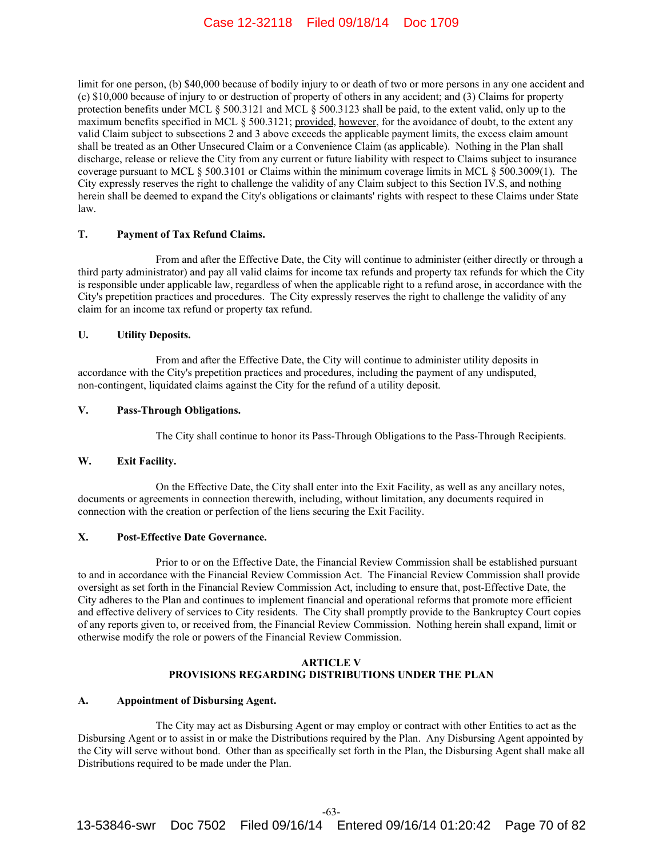limit for one person, (b) \$40,000 because of bodily injury to or death of two or more persons in any one accident and (c) \$10,000 because of injury to or destruction of property of others in any accident; and (3) Claims for property protection benefits under MCL § 500.3121 and MCL § 500.3123 shall be paid, to the extent valid, only up to the maximum benefits specified in MCL § 500.3121; provided, however, for the avoidance of doubt, to the extent any valid Claim subject to subsections 2 and 3 above exceeds the applicable payment limits, the excess claim amount shall be treated as an Other Unsecured Claim or a Convenience Claim (as applicable). Nothing in the Plan shall discharge, release or relieve the City from any current or future liability with respect to Claims subject to insurance coverage pursuant to MCL § 500.3101 or Claims within the minimum coverage limits in MCL § 500.3009(1). The City expressly reserves the right to challenge the validity of any Claim subject to this Section IV.S, and nothing herein shall be deemed to expand the City's obligations or claimants' rights with respect to these Claims under State law.

## **T. Payment of Tax Refund Claims.**

From and after the Effective Date, the City will continue to administer (either directly or through a third party administrator) and pay all valid claims for income tax refunds and property tax refunds for which the City is responsible under applicable law, regardless of when the applicable right to a refund arose, in accordance with the City's prepetition practices and procedures. The City expressly reserves the right to challenge the validity of any claim for an income tax refund or property tax refund.

### **U. Utility Deposits.**

From and after the Effective Date, the City will continue to administer utility deposits in accordance with the City's prepetition practices and procedures, including the payment of any undisputed, non-contingent, liquidated claims against the City for the refund of a utility deposit.

# **V. Pass-Through Obligations.**

The City shall continue to honor its Pass-Through Obligations to the Pass-Through Recipients.

## **W. Exit Facility.**

On the Effective Date, the City shall enter into the Exit Facility, as well as any ancillary notes, documents or agreements in connection therewith, including, without limitation, any documents required in connection with the creation or perfection of the liens securing the Exit Facility.

## **X. Post-Effective Date Governance.**

Prior to or on the Effective Date, the Financial Review Commission shall be established pursuant to and in accordance with the Financial Review Commission Act. The Financial Review Commission shall provide oversight as set forth in the Financial Review Commission Act, including to ensure that, post-Effective Date, the City adheres to the Plan and continues to implement financial and operational reforms that promote more efficient and effective delivery of services to City residents. The City shall promptly provide to the Bankruptcy Court copies of any reports given to, or received from, the Financial Review Commission. Nothing herein shall expand, limit or otherwise modify the role or powers of the Financial Review Commission.

#### **ARTICLE V PROVISIONS REGARDING DISTRIBUTIONS UNDER THE PLAN**

#### **A. Appointment of Disbursing Agent.**

The City may act as Disbursing Agent or may employ or contract with other Entities to act as the Disbursing Agent or to assist in or make the Distributions required by the Plan. Any Disbursing Agent appointed by the City will serve without bond. Other than as specifically set forth in the Plan, the Disbursing Agent shall make all Distributions required to be made under the Plan.

-63-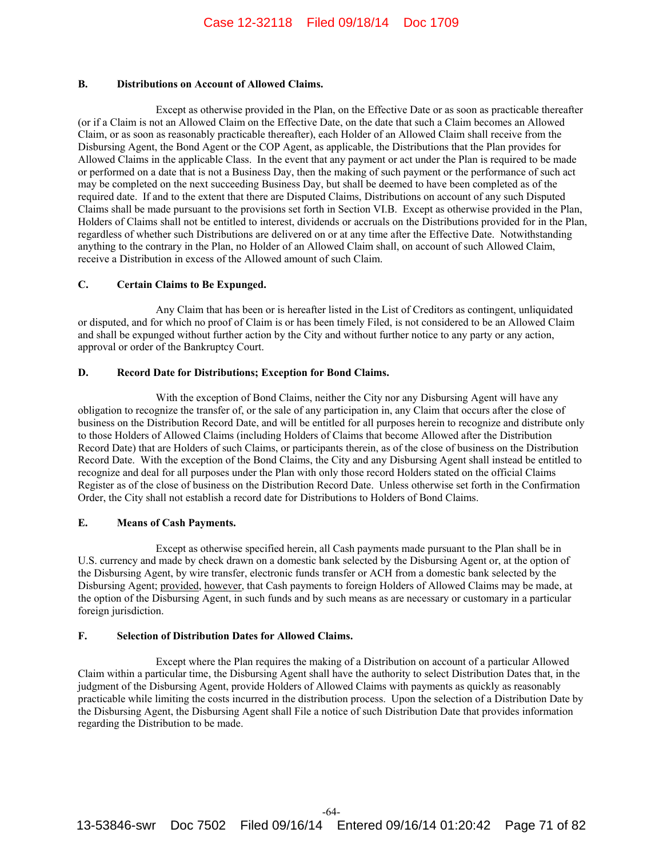## **B. Distributions on Account of Allowed Claims.**

Except as otherwise provided in the Plan, on the Effective Date or as soon as practicable thereafter (or if a Claim is not an Allowed Claim on the Effective Date, on the date that such a Claim becomes an Allowed Claim, or as soon as reasonably practicable thereafter), each Holder of an Allowed Claim shall receive from the Disbursing Agent, the Bond Agent or the COP Agent, as applicable, the Distributions that the Plan provides for Allowed Claims in the applicable Class. In the event that any payment or act under the Plan is required to be made or performed on a date that is not a Business Day, then the making of such payment or the performance of such act may be completed on the next succeeding Business Day, but shall be deemed to have been completed as of the required date. If and to the extent that there are Disputed Claims, Distributions on account of any such Disputed Claims shall be made pursuant to the provisions set forth in Section VI.B. Except as otherwise provided in the Plan, Holders of Claims shall not be entitled to interest, dividends or accruals on the Distributions provided for in the Plan, regardless of whether such Distributions are delivered on or at any time after the Effective Date. Notwithstanding anything to the contrary in the Plan, no Holder of an Allowed Claim shall, on account of such Allowed Claim, receive a Distribution in excess of the Allowed amount of such Claim.

## **C. Certain Claims to Be Expunged.**

Any Claim that has been or is hereafter listed in the List of Creditors as contingent, unliquidated or disputed, and for which no proof of Claim is or has been timely Filed, is not considered to be an Allowed Claim and shall be expunged without further action by the City and without further notice to any party or any action, approval or order of the Bankruptcy Court.

## **D. Record Date for Distributions; Exception for Bond Claims.**

With the exception of Bond Claims, neither the City nor any Disbursing Agent will have any obligation to recognize the transfer of, or the sale of any participation in, any Claim that occurs after the close of business on the Distribution Record Date, and will be entitled for all purposes herein to recognize and distribute only to those Holders of Allowed Claims (including Holders of Claims that become Allowed after the Distribution Record Date) that are Holders of such Claims, or participants therein, as of the close of business on the Distribution Record Date. With the exception of the Bond Claims, the City and any Disbursing Agent shall instead be entitled to recognize and deal for all purposes under the Plan with only those record Holders stated on the official Claims Register as of the close of business on the Distribution Record Date. Unless otherwise set forth in the Confirmation Order, the City shall not establish a record date for Distributions to Holders of Bond Claims.

# **E. Means of Cash Payments.**

Except as otherwise specified herein, all Cash payments made pursuant to the Plan shall be in U.S. currency and made by check drawn on a domestic bank selected by the Disbursing Agent or, at the option of the Disbursing Agent, by wire transfer, electronic funds transfer or ACH from a domestic bank selected by the Disbursing Agent; provided, however, that Cash payments to foreign Holders of Allowed Claims may be made, at the option of the Disbursing Agent, in such funds and by such means as are necessary or customary in a particular foreign jurisdiction.

# **F. Selection of Distribution Dates for Allowed Claims.**

Except where the Plan requires the making of a Distribution on account of a particular Allowed Claim within a particular time, the Disbursing Agent shall have the authority to select Distribution Dates that, in the judgment of the Disbursing Agent, provide Holders of Allowed Claims with payments as quickly as reasonably practicable while limiting the costs incurred in the distribution process. Upon the selection of a Distribution Date by the Disbursing Agent, the Disbursing Agent shall File a notice of such Distribution Date that provides information regarding the Distribution to be made.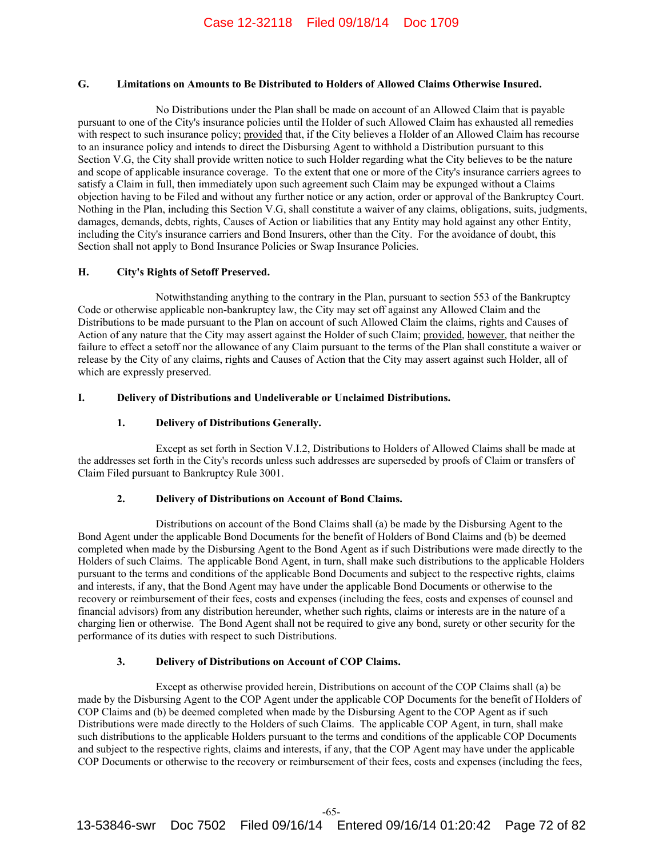# **G. Limitations on Amounts to Be Distributed to Holders of Allowed Claims Otherwise Insured.**

No Distributions under the Plan shall be made on account of an Allowed Claim that is payable pursuant to one of the City's insurance policies until the Holder of such Allowed Claim has exhausted all remedies with respect to such insurance policy; provided that, if the City believes a Holder of an Allowed Claim has recourse to an insurance policy and intends to direct the Disbursing Agent to withhold a Distribution pursuant to this Section V.G, the City shall provide written notice to such Holder regarding what the City believes to be the nature and scope of applicable insurance coverage. To the extent that one or more of the City's insurance carriers agrees to satisfy a Claim in full, then immediately upon such agreement such Claim may be expunged without a Claims objection having to be Filed and without any further notice or any action, order or approval of the Bankruptcy Court. Nothing in the Plan, including this Section V.G, shall constitute a waiver of any claims, obligations, suits, judgments, damages, demands, debts, rights, Causes of Action or liabilities that any Entity may hold against any other Entity, including the City's insurance carriers and Bond Insurers, other than the City. For the avoidance of doubt, this Section shall not apply to Bond Insurance Policies or Swap Insurance Policies.

## **H. City's Rights of Setoff Preserved.**

Notwithstanding anything to the contrary in the Plan, pursuant to section 553 of the Bankruptcy Code or otherwise applicable non-bankruptcy law, the City may set off against any Allowed Claim and the Distributions to be made pursuant to the Plan on account of such Allowed Claim the claims, rights and Causes of Action of any nature that the City may assert against the Holder of such Claim; provided, however, that neither the failure to effect a setoff nor the allowance of any Claim pursuant to the terms of the Plan shall constitute a waiver or release by the City of any claims, rights and Causes of Action that the City may assert against such Holder, all of which are expressly preserved.

# **I. Delivery of Distributions and Undeliverable or Unclaimed Distributions.**

# **1. Delivery of Distributions Generally.**

Except as set forth in Section V.I.2, Distributions to Holders of Allowed Claims shall be made at the addresses set forth in the City's records unless such addresses are superseded by proofs of Claim or transfers of Claim Filed pursuant to Bankruptcy Rule 3001.

### **2. Delivery of Distributions on Account of Bond Claims.**

Distributions on account of the Bond Claims shall (a) be made by the Disbursing Agent to the Bond Agent under the applicable Bond Documents for the benefit of Holders of Bond Claims and (b) be deemed completed when made by the Disbursing Agent to the Bond Agent as if such Distributions were made directly to the Holders of such Claims. The applicable Bond Agent, in turn, shall make such distributions to the applicable Holders pursuant to the terms and conditions of the applicable Bond Documents and subject to the respective rights, claims and interests, if any, that the Bond Agent may have under the applicable Bond Documents or otherwise to the recovery or reimbursement of their fees, costs and expenses (including the fees, costs and expenses of counsel and financial advisors) from any distribution hereunder, whether such rights, claims or interests are in the nature of a charging lien or otherwise. The Bond Agent shall not be required to give any bond, surety or other security for the performance of its duties with respect to such Distributions.

# **3. Delivery of Distributions on Account of COP Claims.**

Except as otherwise provided herein, Distributions on account of the COP Claims shall (a) be made by the Disbursing Agent to the COP Agent under the applicable COP Documents for the benefit of Holders of COP Claims and (b) be deemed completed when made by the Disbursing Agent to the COP Agent as if such Distributions were made directly to the Holders of such Claims. The applicable COP Agent, in turn, shall make such distributions to the applicable Holders pursuant to the terms and conditions of the applicable COP Documents and subject to the respective rights, claims and interests, if any, that the COP Agent may have under the applicable COP Documents or otherwise to the recovery or reimbursement of their fees, costs and expenses (including the fees,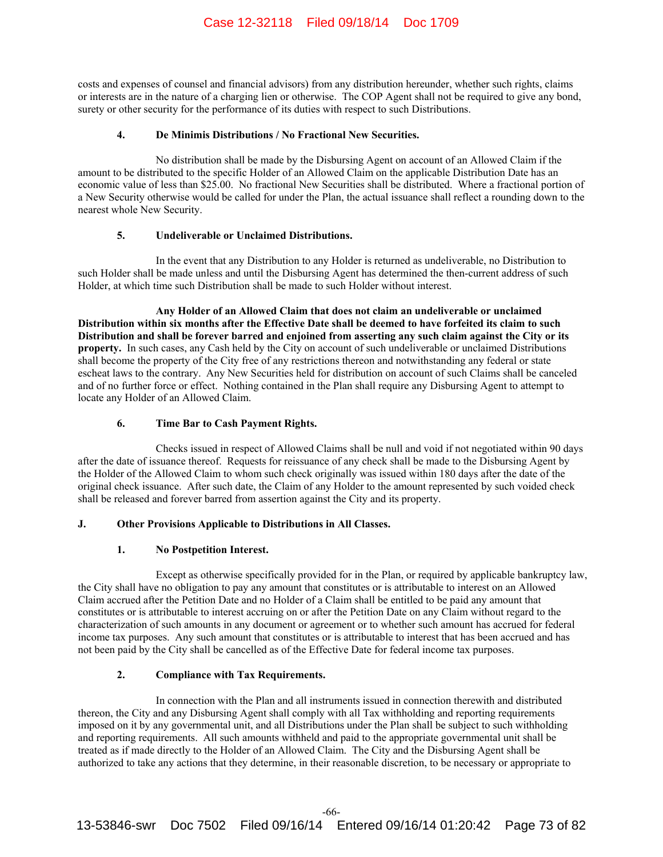costs and expenses of counsel and financial advisors) from any distribution hereunder, whether such rights, claims or interests are in the nature of a charging lien or otherwise. The COP Agent shall not be required to give any bond, surety or other security for the performance of its duties with respect to such Distributions.

# **4. De Minimis Distributions / No Fractional New Securities.**

No distribution shall be made by the Disbursing Agent on account of an Allowed Claim if the amount to be distributed to the specific Holder of an Allowed Claim on the applicable Distribution Date has an economic value of less than \$25.00. No fractional New Securities shall be distributed. Where a fractional portion of a New Security otherwise would be called for under the Plan, the actual issuance shall reflect a rounding down to the nearest whole New Security.

## **5. Undeliverable or Unclaimed Distributions.**

In the event that any Distribution to any Holder is returned as undeliverable, no Distribution to such Holder shall be made unless and until the Disbursing Agent has determined the then-current address of such Holder, at which time such Distribution shall be made to such Holder without interest.

**Any Holder of an Allowed Claim that does not claim an undeliverable or unclaimed Distribution within six months after the Effective Date shall be deemed to have forfeited its claim to such Distribution and shall be forever barred and enjoined from asserting any such claim against the City or its property.** In such cases, any Cash held by the City on account of such undeliverable or unclaimed Distributions shall become the property of the City free of any restrictions thereon and notwithstanding any federal or state escheat laws to the contrary. Any New Securities held for distribution on account of such Claims shall be canceled and of no further force or effect. Nothing contained in the Plan shall require any Disbursing Agent to attempt to locate any Holder of an Allowed Claim.

# **6. Time Bar to Cash Payment Rights.**

Checks issued in respect of Allowed Claims shall be null and void if not negotiated within 90 days after the date of issuance thereof. Requests for reissuance of any check shall be made to the Disbursing Agent by the Holder of the Allowed Claim to whom such check originally was issued within 180 days after the date of the original check issuance. After such date, the Claim of any Holder to the amount represented by such voided check shall be released and forever barred from assertion against the City and its property.

# **J. Other Provisions Applicable to Distributions in All Classes.**

### **1. No Postpetition Interest.**

Except as otherwise specifically provided for in the Plan, or required by applicable bankruptcy law, the City shall have no obligation to pay any amount that constitutes or is attributable to interest on an Allowed Claim accrued after the Petition Date and no Holder of a Claim shall be entitled to be paid any amount that constitutes or is attributable to interest accruing on or after the Petition Date on any Claim without regard to the characterization of such amounts in any document or agreement or to whether such amount has accrued for federal income tax purposes. Any such amount that constitutes or is attributable to interest that has been accrued and has not been paid by the City shall be cancelled as of the Effective Date for federal income tax purposes.

# **2. Compliance with Tax Requirements.**

In connection with the Plan and all instruments issued in connection therewith and distributed thereon, the City and any Disbursing Agent shall comply with all Tax withholding and reporting requirements imposed on it by any governmental unit, and all Distributions under the Plan shall be subject to such withholding and reporting requirements. All such amounts withheld and paid to the appropriate governmental unit shall be treated as if made directly to the Holder of an Allowed Claim. The City and the Disbursing Agent shall be authorized to take any actions that they determine, in their reasonable discretion, to be necessary or appropriate to

-66-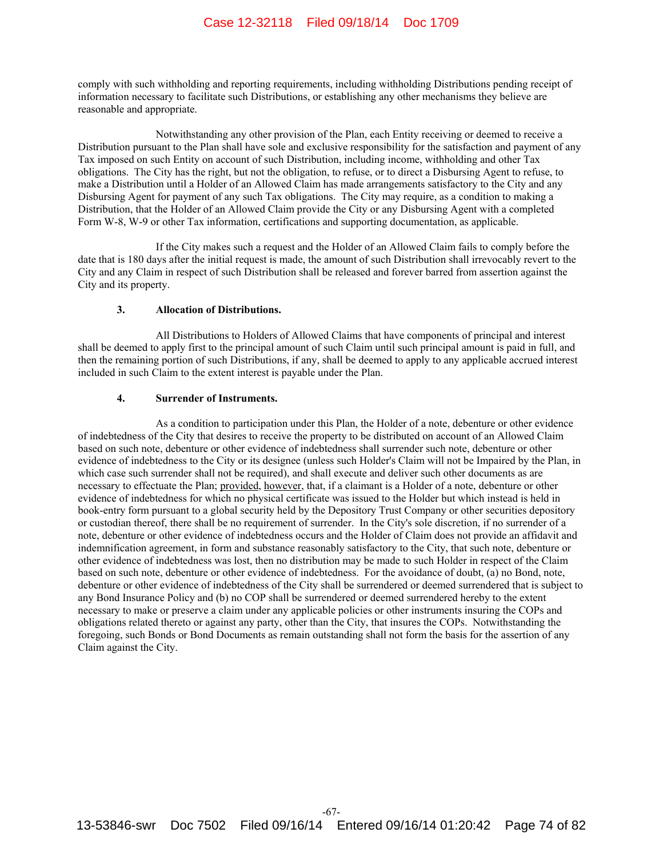comply with such withholding and reporting requirements, including withholding Distributions pending receipt of information necessary to facilitate such Distributions, or establishing any other mechanisms they believe are reasonable and appropriate.

Notwithstanding any other provision of the Plan, each Entity receiving or deemed to receive a Distribution pursuant to the Plan shall have sole and exclusive responsibility for the satisfaction and payment of any Tax imposed on such Entity on account of such Distribution, including income, withholding and other Tax obligations. The City has the right, but not the obligation, to refuse, or to direct a Disbursing Agent to refuse, to make a Distribution until a Holder of an Allowed Claim has made arrangements satisfactory to the City and any Disbursing Agent for payment of any such Tax obligations. The City may require, as a condition to making a Distribution, that the Holder of an Allowed Claim provide the City or any Disbursing Agent with a completed Form W-8, W-9 or other Tax information, certifications and supporting documentation, as applicable.

If the City makes such a request and the Holder of an Allowed Claim fails to comply before the date that is 180 days after the initial request is made, the amount of such Distribution shall irrevocably revert to the City and any Claim in respect of such Distribution shall be released and forever barred from assertion against the City and its property.

## **3. Allocation of Distributions.**

All Distributions to Holders of Allowed Claims that have components of principal and interest shall be deemed to apply first to the principal amount of such Claim until such principal amount is paid in full, and then the remaining portion of such Distributions, if any, shall be deemed to apply to any applicable accrued interest included in such Claim to the extent interest is payable under the Plan.

### **4. Surrender of Instruments.**

As a condition to participation under this Plan, the Holder of a note, debenture or other evidence of indebtedness of the City that desires to receive the property to be distributed on account of an Allowed Claim based on such note, debenture or other evidence of indebtedness shall surrender such note, debenture or other evidence of indebtedness to the City or its designee (unless such Holder's Claim will not be Impaired by the Plan, in which case such surrender shall not be required), and shall execute and deliver such other documents as are necessary to effectuate the Plan; provided, however, that, if a claimant is a Holder of a note, debenture or other evidence of indebtedness for which no physical certificate was issued to the Holder but which instead is held in book-entry form pursuant to a global security held by the Depository Trust Company or other securities depository or custodian thereof, there shall be no requirement of surrender. In the City's sole discretion, if no surrender of a note, debenture or other evidence of indebtedness occurs and the Holder of Claim does not provide an affidavit and indemnification agreement, in form and substance reasonably satisfactory to the City, that such note, debenture or other evidence of indebtedness was lost, then no distribution may be made to such Holder in respect of the Claim based on such note, debenture or other evidence of indebtedness. For the avoidance of doubt, (a) no Bond, note, debenture or other evidence of indebtedness of the City shall be surrendered or deemed surrendered that is subject to any Bond Insurance Policy and (b) no COP shall be surrendered or deemed surrendered hereby to the extent necessary to make or preserve a claim under any applicable policies or other instruments insuring the COPs and obligations related thereto or against any party, other than the City, that insures the COPs. Notwithstanding the foregoing, such Bonds or Bond Documents as remain outstanding shall not form the basis for the assertion of any Claim against the City.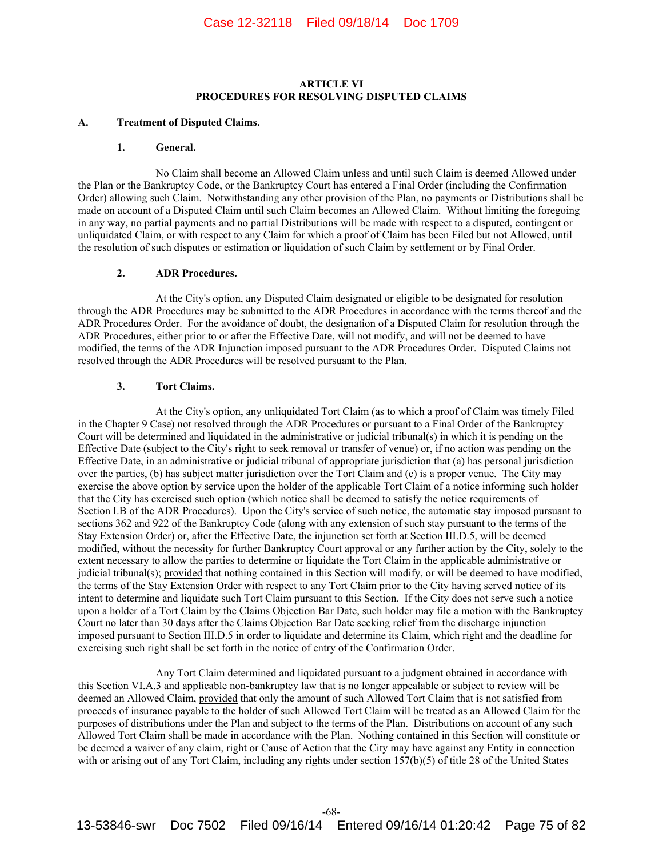# **ARTICLE VI PROCEDURES FOR RESOLVING DISPUTED CLAIMS**

#### **A. Treatment of Disputed Claims.**

#### **1. General.**

No Claim shall become an Allowed Claim unless and until such Claim is deemed Allowed under the Plan or the Bankruptcy Code, or the Bankruptcy Court has entered a Final Order (including the Confirmation Order) allowing such Claim. Notwithstanding any other provision of the Plan, no payments or Distributions shall be made on account of a Disputed Claim until such Claim becomes an Allowed Claim. Without limiting the foregoing in any way, no partial payments and no partial Distributions will be made with respect to a disputed, contingent or unliquidated Claim, or with respect to any Claim for which a proof of Claim has been Filed but not Allowed, until the resolution of such disputes or estimation or liquidation of such Claim by settlement or by Final Order.

## **2. ADR Procedures.**

At the City's option, any Disputed Claim designated or eligible to be designated for resolution through the ADR Procedures may be submitted to the ADR Procedures in accordance with the terms thereof and the ADR Procedures Order. For the avoidance of doubt, the designation of a Disputed Claim for resolution through the ADR Procedures, either prior to or after the Effective Date, will not modify, and will not be deemed to have modified, the terms of the ADR Injunction imposed pursuant to the ADR Procedures Order. Disputed Claims not resolved through the ADR Procedures will be resolved pursuant to the Plan.

#### **3. Tort Claims.**

At the City's option, any unliquidated Tort Claim (as to which a proof of Claim was timely Filed in the Chapter 9 Case) not resolved through the ADR Procedures or pursuant to a Final Order of the Bankruptcy Court will be determined and liquidated in the administrative or judicial tribunal(s) in which it is pending on the Effective Date (subject to the City's right to seek removal or transfer of venue) or, if no action was pending on the Effective Date, in an administrative or judicial tribunal of appropriate jurisdiction that (a) has personal jurisdiction over the parties, (b) has subject matter jurisdiction over the Tort Claim and (c) is a proper venue. The City may exercise the above option by service upon the holder of the applicable Tort Claim of a notice informing such holder that the City has exercised such option (which notice shall be deemed to satisfy the notice requirements of Section I.B of the ADR Procedures). Upon the City's service of such notice, the automatic stay imposed pursuant to sections 362 and 922 of the Bankruptcy Code (along with any extension of such stay pursuant to the terms of the Stay Extension Order) or, after the Effective Date, the injunction set forth at Section III.D.5, will be deemed modified, without the necessity for further Bankruptcy Court approval or any further action by the City, solely to the extent necessary to allow the parties to determine or liquidate the Tort Claim in the applicable administrative or judicial tribunal(s); provided that nothing contained in this Section will modify, or will be deemed to have modified, the terms of the Stay Extension Order with respect to any Tort Claim prior to the City having served notice of its intent to determine and liquidate such Tort Claim pursuant to this Section. If the City does not serve such a notice upon a holder of a Tort Claim by the Claims Objection Bar Date, such holder may file a motion with the Bankruptcy Court no later than 30 days after the Claims Objection Bar Date seeking relief from the discharge injunction imposed pursuant to Section III.D.5 in order to liquidate and determine its Claim, which right and the deadline for exercising such right shall be set forth in the notice of entry of the Confirmation Order.

Any Tort Claim determined and liquidated pursuant to a judgment obtained in accordance with this Section VI.A.3 and applicable non-bankruptcy law that is no longer appealable or subject to review will be deemed an Allowed Claim, provided that only the amount of such Allowed Tort Claim that is not satisfied from proceeds of insurance payable to the holder of such Allowed Tort Claim will be treated as an Allowed Claim for the purposes of distributions under the Plan and subject to the terms of the Plan. Distributions on account of any such Allowed Tort Claim shall be made in accordance with the Plan. Nothing contained in this Section will constitute or be deemed a waiver of any claim, right or Cause of Action that the City may have against any Entity in connection with or arising out of any Tort Claim, including any rights under section 157(b)(5) of title 28 of the United States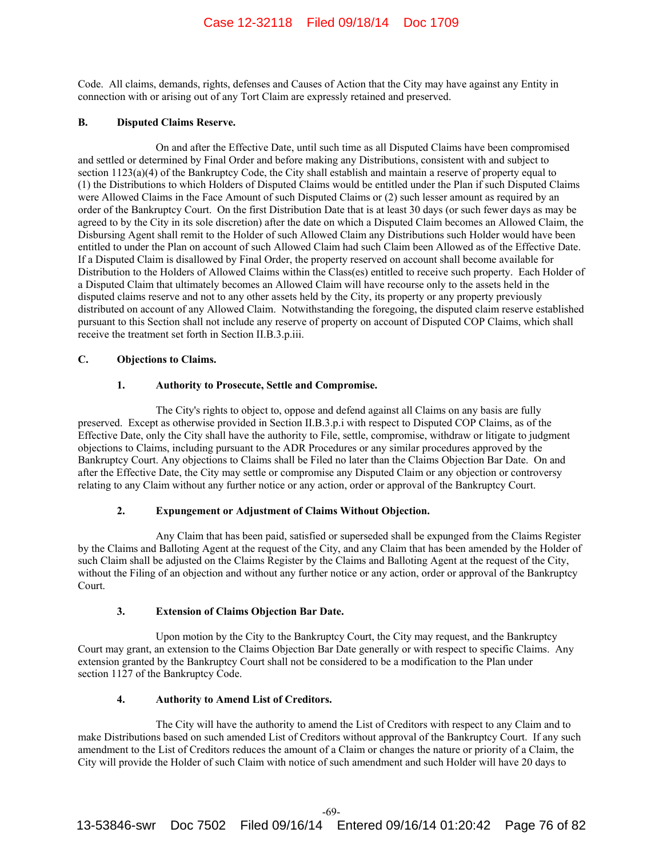Code. All claims, demands, rights, defenses and Causes of Action that the City may have against any Entity in connection with or arising out of any Tort Claim are expressly retained and preserved.

## **B. Disputed Claims Reserve.**

On and after the Effective Date, until such time as all Disputed Claims have been compromised and settled or determined by Final Order and before making any Distributions, consistent with and subject to section 1123(a)(4) of the Bankruptcy Code, the City shall establish and maintain a reserve of property equal to (1) the Distributions to which Holders of Disputed Claims would be entitled under the Plan if such Disputed Claims were Allowed Claims in the Face Amount of such Disputed Claims or (2) such lesser amount as required by an order of the Bankruptcy Court. On the first Distribution Date that is at least 30 days (or such fewer days as may be agreed to by the City in its sole discretion) after the date on which a Disputed Claim becomes an Allowed Claim, the Disbursing Agent shall remit to the Holder of such Allowed Claim any Distributions such Holder would have been entitled to under the Plan on account of such Allowed Claim had such Claim been Allowed as of the Effective Date. If a Disputed Claim is disallowed by Final Order, the property reserved on account shall become available for Distribution to the Holders of Allowed Claims within the Class(es) entitled to receive such property. Each Holder of a Disputed Claim that ultimately becomes an Allowed Claim will have recourse only to the assets held in the disputed claims reserve and not to any other assets held by the City, its property or any property previously distributed on account of any Allowed Claim. Notwithstanding the foregoing, the disputed claim reserve established pursuant to this Section shall not include any reserve of property on account of Disputed COP Claims, which shall receive the treatment set forth in Section II.B.3.p.iii.

## **C. Objections to Claims.**

## **1. Authority to Prosecute, Settle and Compromise.**

The City's rights to object to, oppose and defend against all Claims on any basis are fully preserved. Except as otherwise provided in Section II.B.3.p.i with respect to Disputed COP Claims, as of the Effective Date, only the City shall have the authority to File, settle, compromise, withdraw or litigate to judgment objections to Claims, including pursuant to the ADR Procedures or any similar procedures approved by the Bankruptcy Court. Any objections to Claims shall be Filed no later than the Claims Objection Bar Date. On and after the Effective Date, the City may settle or compromise any Disputed Claim or any objection or controversy relating to any Claim without any further notice or any action, order or approval of the Bankruptcy Court.

## **2. Expungement or Adjustment of Claims Without Objection.**

Any Claim that has been paid, satisfied or superseded shall be expunged from the Claims Register by the Claims and Balloting Agent at the request of the City, and any Claim that has been amended by the Holder of such Claim shall be adjusted on the Claims Register by the Claims and Balloting Agent at the request of the City, without the Filing of an objection and without any further notice or any action, order or approval of the Bankruptcy Court.

## **3. Extension of Claims Objection Bar Date.**

Upon motion by the City to the Bankruptcy Court, the City may request, and the Bankruptcy Court may grant, an extension to the Claims Objection Bar Date generally or with respect to specific Claims. Any extension granted by the Bankruptcy Court shall not be considered to be a modification to the Plan under section 1127 of the Bankruptcy Code.

# **4. Authority to Amend List of Creditors.**

The City will have the authority to amend the List of Creditors with respect to any Claim and to make Distributions based on such amended List of Creditors without approval of the Bankruptcy Court. If any such amendment to the List of Creditors reduces the amount of a Claim or changes the nature or priority of a Claim, the City will provide the Holder of such Claim with notice of such amendment and such Holder will have 20 days to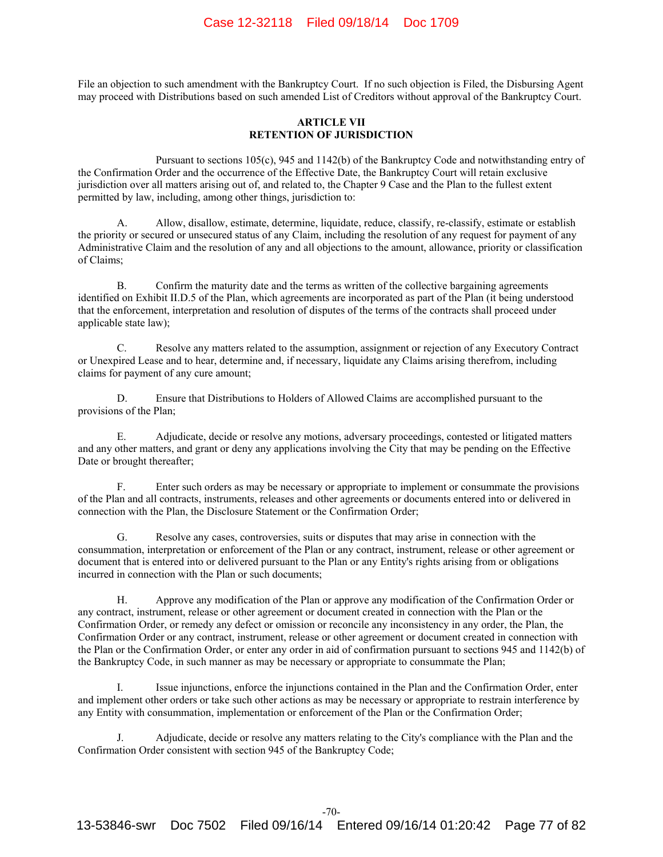File an objection to such amendment with the Bankruptcy Court. If no such objection is Filed, the Disbursing Agent may proceed with Distributions based on such amended List of Creditors without approval of the Bankruptcy Court.

## **ARTICLE VII RETENTION OF JURISDICTION**

Pursuant to sections 105(c), 945 and 1142(b) of the Bankruptcy Code and notwithstanding entry of the Confirmation Order and the occurrence of the Effective Date, the Bankruptcy Court will retain exclusive jurisdiction over all matters arising out of, and related to, the Chapter 9 Case and the Plan to the fullest extent permitted by law, including, among other things, jurisdiction to:

Allow, disallow, estimate, determine, liquidate, reduce, classify, re-classify, estimate or establish the priority or secured or unsecured status of any Claim, including the resolution of any request for payment of any Administrative Claim and the resolution of any and all objections to the amount, allowance, priority or classification of Claims;

B. Confirm the maturity date and the terms as written of the collective bargaining agreements identified on Exhibit II.D.5 of the Plan, which agreements are incorporated as part of the Plan (it being understood that the enforcement, interpretation and resolution of disputes of the terms of the contracts shall proceed under applicable state law);

C. Resolve any matters related to the assumption, assignment or rejection of any Executory Contract or Unexpired Lease and to hear, determine and, if necessary, liquidate any Claims arising therefrom, including claims for payment of any cure amount;

D. Ensure that Distributions to Holders of Allowed Claims are accomplished pursuant to the provisions of the Plan;

E. Adjudicate, decide or resolve any motions, adversary proceedings, contested or litigated matters and any other matters, and grant or deny any applications involving the City that may be pending on the Effective Date or brought thereafter;

F. Enter such orders as may be necessary or appropriate to implement or consummate the provisions of the Plan and all contracts, instruments, releases and other agreements or documents entered into or delivered in connection with the Plan, the Disclosure Statement or the Confirmation Order;

G. Resolve any cases, controversies, suits or disputes that may arise in connection with the consummation, interpretation or enforcement of the Plan or any contract, instrument, release or other agreement or document that is entered into or delivered pursuant to the Plan or any Entity's rights arising from or obligations incurred in connection with the Plan or such documents;

H. Approve any modification of the Plan or approve any modification of the Confirmation Order or any contract, instrument, release or other agreement or document created in connection with the Plan or the Confirmation Order, or remedy any defect or omission or reconcile any inconsistency in any order, the Plan, the Confirmation Order or any contract, instrument, release or other agreement or document created in connection with the Plan or the Confirmation Order, or enter any order in aid of confirmation pursuant to sections 945 and 1142(b) of the Bankruptcy Code, in such manner as may be necessary or appropriate to consummate the Plan;

I. Issue injunctions, enforce the injunctions contained in the Plan and the Confirmation Order, enter and implement other orders or take such other actions as may be necessary or appropriate to restrain interference by any Entity with consummation, implementation or enforcement of the Plan or the Confirmation Order;

J. Adjudicate, decide or resolve any matters relating to the City's compliance with the Plan and the Confirmation Order consistent with section 945 of the Bankruptcy Code;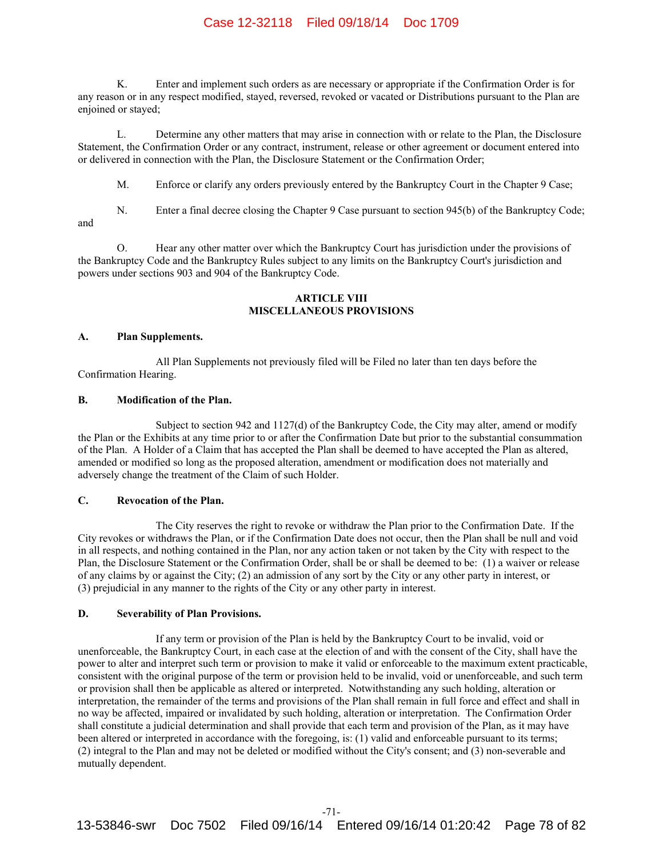# Case 12-32118 Filed 09/18/14 Doc 1709

K. Enter and implement such orders as are necessary or appropriate if the Confirmation Order is for any reason or in any respect modified, stayed, reversed, revoked or vacated or Distributions pursuant to the Plan are enjoined or stayed;

L. Determine any other matters that may arise in connection with or relate to the Plan, the Disclosure Statement, the Confirmation Order or any contract, instrument, release or other agreement or document entered into or delivered in connection with the Plan, the Disclosure Statement or the Confirmation Order;

M. Enforce or clarify any orders previously entered by the Bankruptcy Court in the Chapter 9 Case;

N. Enter a final decree closing the Chapter 9 Case pursuant to section 945(b) of the Bankruptcy Code; and

O. Hear any other matter over which the Bankruptcy Court has jurisdiction under the provisions of the Bankruptcy Code and the Bankruptcy Rules subject to any limits on the Bankruptcy Court's jurisdiction and powers under sections 903 and 904 of the Bankruptcy Code.

# **ARTICLE VIII MISCELLANEOUS PROVISIONS**

#### **A. Plan Supplements.**

All Plan Supplements not previously filed will be Filed no later than ten days before the Confirmation Hearing.

## **B. Modification of the Plan.**

Subject to section 942 and 1127(d) of the Bankruptcy Code, the City may alter, amend or modify the Plan or the Exhibits at any time prior to or after the Confirmation Date but prior to the substantial consummation of the Plan. A Holder of a Claim that has accepted the Plan shall be deemed to have accepted the Plan as altered, amended or modified so long as the proposed alteration, amendment or modification does not materially and adversely change the treatment of the Claim of such Holder.

## **C. Revocation of the Plan.**

The City reserves the right to revoke or withdraw the Plan prior to the Confirmation Date. If the City revokes or withdraws the Plan, or if the Confirmation Date does not occur, then the Plan shall be null and void in all respects, and nothing contained in the Plan, nor any action taken or not taken by the City with respect to the Plan, the Disclosure Statement or the Confirmation Order, shall be or shall be deemed to be: (1) a waiver or release of any claims by or against the City; (2) an admission of any sort by the City or any other party in interest, or (3) prejudicial in any manner to the rights of the City or any other party in interest.

# **D. Severability of Plan Provisions.**

If any term or provision of the Plan is held by the Bankruptcy Court to be invalid, void or unenforceable, the Bankruptcy Court, in each case at the election of and with the consent of the City, shall have the power to alter and interpret such term or provision to make it valid or enforceable to the maximum extent practicable, consistent with the original purpose of the term or provision held to be invalid, void or unenforceable, and such term or provision shall then be applicable as altered or interpreted. Notwithstanding any such holding, alteration or interpretation, the remainder of the terms and provisions of the Plan shall remain in full force and effect and shall in no way be affected, impaired or invalidated by such holding, alteration or interpretation. The Confirmation Order shall constitute a judicial determination and shall provide that each term and provision of the Plan, as it may have been altered or interpreted in accordance with the foregoing, is: (1) valid and enforceable pursuant to its terms; (2) integral to the Plan and may not be deleted or modified without the City's consent; and (3) non-severable and mutually dependent.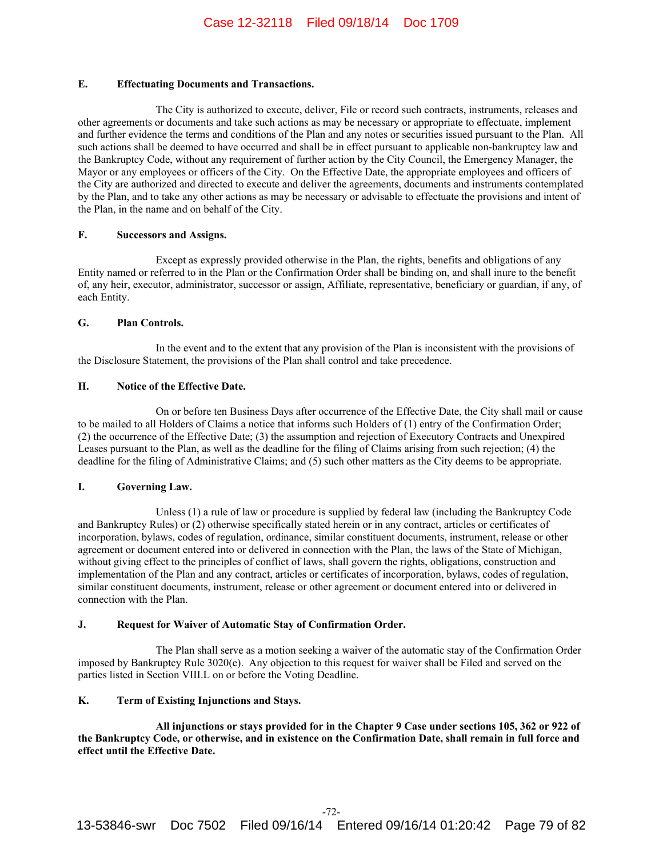# **E. Effectuating Documents and Transactions.**

The City is authorized to execute, deliver, File or record such contracts, instruments, releases and other agreements or documents and take such actions as may be necessary or appropriate to effectuate, implement and further evidence the terms and conditions of the Plan and any notes or securities issued pursuant to the Plan. All such actions shall be deemed to have occurred and shall be in effect pursuant to applicable non-bankruptcy law and the Bankruptcy Code, without any requirement of further action by the City Council, the Emergency Manager, the Mayor or any employees or officers of the City. On the Effective Date, the appropriate employees and officers of the City are authorized and directed to execute and deliver the agreements, documents and instruments contemplated by the Plan, and to take any other actions as may be necessary or advisable to effectuate the provisions and intent of the Plan, in the name and on behalf of the City.

## **F. Successors and Assigns.**

Except as expressly provided otherwise in the Plan, the rights, benefits and obligations of any Entity named or referred to in the Plan or the Confirmation Order shall be binding on, and shall inure to the benefit of, any heir, executor, administrator, successor or assign, Affiliate, representative, beneficiary or guardian, if any, of each Entity.

## **G. Plan Controls.**

In the event and to the extent that any provision of the Plan is inconsistent with the provisions of the Disclosure Statement, the provisions of the Plan shall control and take precedence.

## **H. Notice of the Effective Date.**

On or before ten Business Days after occurrence of the Effective Date, the City shall mail or cause to be mailed to all Holders of Claims a notice that informs such Holders of (1) entry of the Confirmation Order; (2) the occurrence of the Effective Date; (3) the assumption and rejection of Executory Contracts and Unexpired Leases pursuant to the Plan, as well as the deadline for the filing of Claims arising from such rejection; (4) the deadline for the filing of Administrative Claims; and (5) such other matters as the City deems to be appropriate.

# **I. Governing Law.**

Unless (1) a rule of law or procedure is supplied by federal law (including the Bankruptcy Code and Bankruptcy Rules) or (2) otherwise specifically stated herein or in any contract, articles or certificates of incorporation, bylaws, codes of regulation, ordinance, similar constituent documents, instrument, release or other agreement or document entered into or delivered in connection with the Plan, the laws of the State of Michigan, without giving effect to the principles of conflict of laws, shall govern the rights, obligations, construction and implementation of the Plan and any contract, articles or certificates of incorporation, bylaws, codes of regulation, similar constituent documents, instrument, release or other agreement or document entered into or delivered in connection with the Plan.

### **J. Request for Waiver of Automatic Stay of Confirmation Order.**

The Plan shall serve as a motion seeking a waiver of the automatic stay of the Confirmation Order imposed by Bankruptcy Rule 3020(e). Any objection to this request for waiver shall be Filed and served on the parties listed in Section VIII.L on or before the Voting Deadline.

# **K. Term of Existing Injunctions and Stays.**

**All injunctions or stays provided for in the Chapter 9 Case under sections 105, 362 or 922 of the Bankruptcy Code, or otherwise, and in existence on the Confirmation Date, shall remain in full force and effect until the Effective Date.**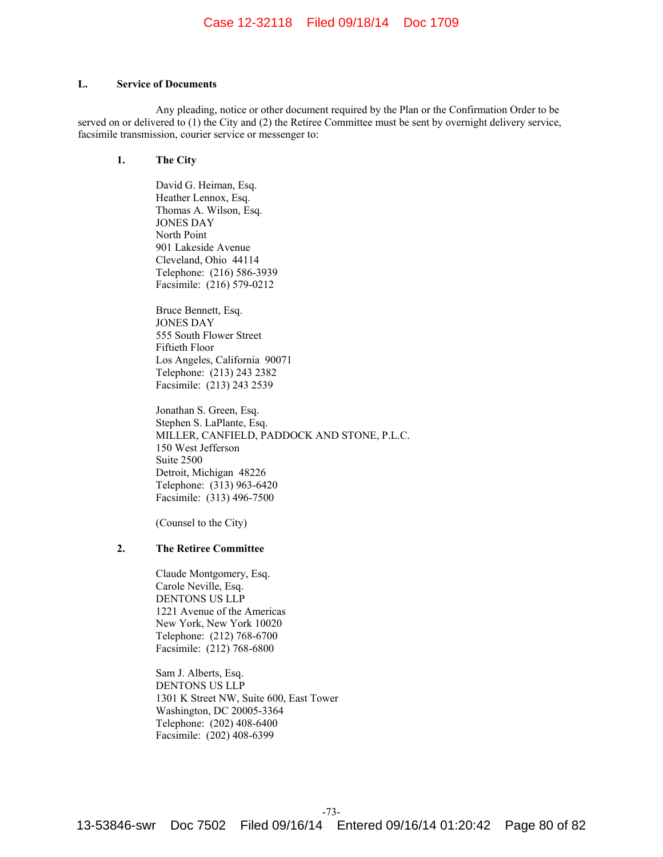## **L. Service of Documents**

Any pleading, notice or other document required by the Plan or the Confirmation Order to be served on or delivered to (1) the City and (2) the Retiree Committee must be sent by overnight delivery service, facsimile transmission, courier service or messenger to:

# **1. The City**

David G. Heiman, Esq. Heather Lennox, Esq. Thomas A. Wilson, Esq. JONES DAY North Point 901 Lakeside Avenue Cleveland, Ohio 44114 Telephone: (216) 586-3939 Facsimile: (216) 579-0212

Bruce Bennett, Esq. JONES DAY 555 South Flower Street Fiftieth Floor Los Angeles, California 90071 Telephone: (213) 243 2382 Facsimile: (213) 243 2539

Jonathan S. Green, Esq. Stephen S. LaPlante, Esq. MILLER, CANFIELD, PADDOCK AND STONE, P.L.C. 150 West Jefferson Suite 2500 Detroit, Michigan 48226 Telephone: (313) 963-6420 Facsimile: (313) 496-7500

(Counsel to the City)

# **2. The Retiree Committee**

Claude Montgomery, Esq. Carole Neville, Esq. DENTONS US LLP 1221 Avenue of the Americas New York, New York 10020 Telephone: (212) 768-6700 Facsimile: (212) 768-6800

Sam J. Alberts, Esq. DENTONS US LLP 1301 K Street NW, Suite 600, East Tower Washington, DC 20005-3364 Telephone: (202) 408-6400 Facsimile: (202) 408-6399